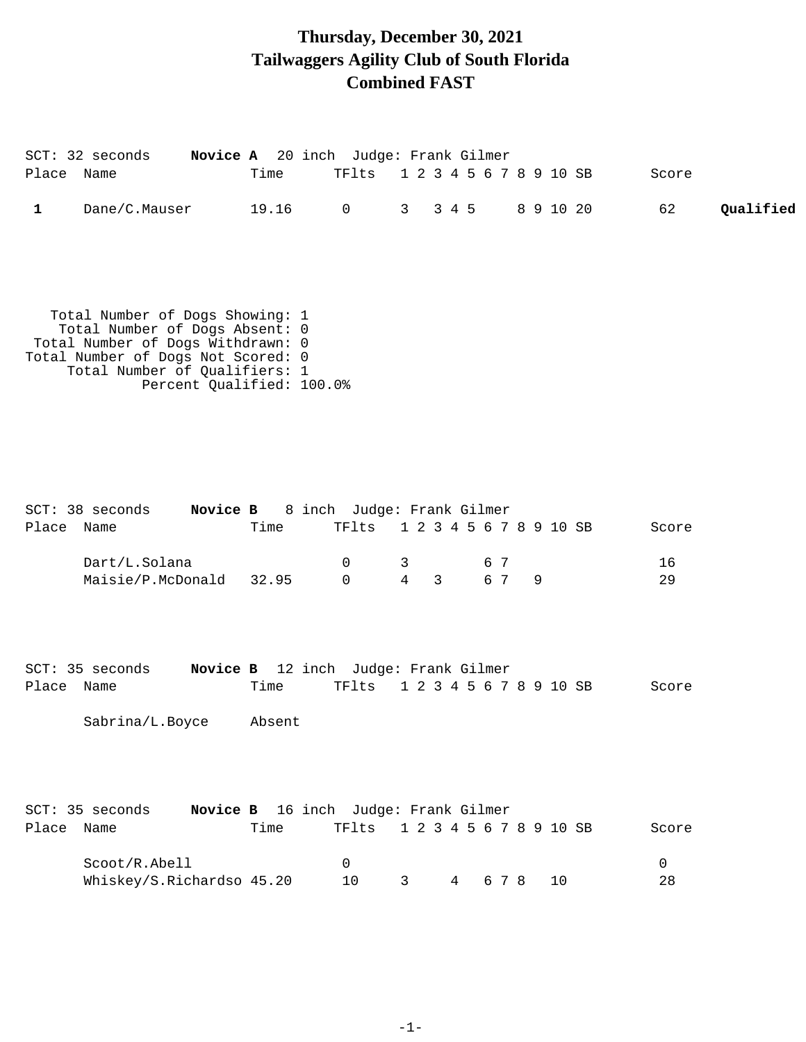### **Thursday, December 30, 2021 Tailwaggers Agility Club of South Florida Combined FAST**

|              | SCT: 32 seconds                                                                                                                                                                                            |                | Novice A 20 inch Judge: Frank Gilmer                               |                                                                |       |            |   |           |                   |           |
|--------------|------------------------------------------------------------------------------------------------------------------------------------------------------------------------------------------------------------|----------------|--------------------------------------------------------------------|----------------------------------------------------------------|-------|------------|---|-----------|-------------------|-----------|
| Place Name   |                                                                                                                                                                                                            | Time           | TFlts                                                              | 1 2 3 4 5 6 7 8 9 10 SB                                        |       |            |   |           | Score             |           |
| $\mathbf{1}$ | Dane/C.Mauser                                                                                                                                                                                              | 19.16          | $\overline{0}$                                                     | 3 <sup>7</sup>                                                 | 3 4 5 |            |   | 8 9 10 20 | 62                | Qualified |
|              | Total Number of Dogs Showing: 1<br>Total Number of Dogs Absent: 0<br>Total Number of Dogs Withdrawn: 0<br>Total Number of Dogs Not Scored: 0<br>Total Number of Qualifiers: 1<br>Percent Qualified: 100.0% |                |                                                                    |                                                                |       |            |   |           |                   |           |
| Place Name   | SCT: 38 seconds Novice B 8 inch Judge: Frank Gilmer<br>Dart/L.Solana<br>Maisie/P.McDonald                                                                                                                  | Time<br>32.95  | TFlts<br>0<br>$\Omega$                                             | 1 2 3 4 5 6 7 8 9 10 SB<br>3<br>$\overline{4}$<br>$\mathbf{3}$ |       | 6 7<br>6 7 | 9 |           | Score<br>16<br>29 |           |
| Place Name   | SCT: 35 seconds<br>Sabrina/L.Boyce                                                                                                                                                                         | Time<br>Absent | Novice B 12 inch Judge: Frank Gilmer<br>TFlts                      | 1 2 3 4 5 6 7 8 9 10 SB                                        |       |            |   |           | Score             |           |
| Place        | SCT: 35 seconds<br>Name<br>Scoot/R.Abell<br>Whiskey/S.Richardso 45.20                                                                                                                                      | Time           | Novice B 16 inch Judge: Frank Gilmer<br>TFlts<br>$\mathbf 0$<br>10 | 1 2 3 4 5 6 7 8 9 10 SB<br>3                                   |       | 4 6 7 8    |   | 10        | Score<br>0<br>28  |           |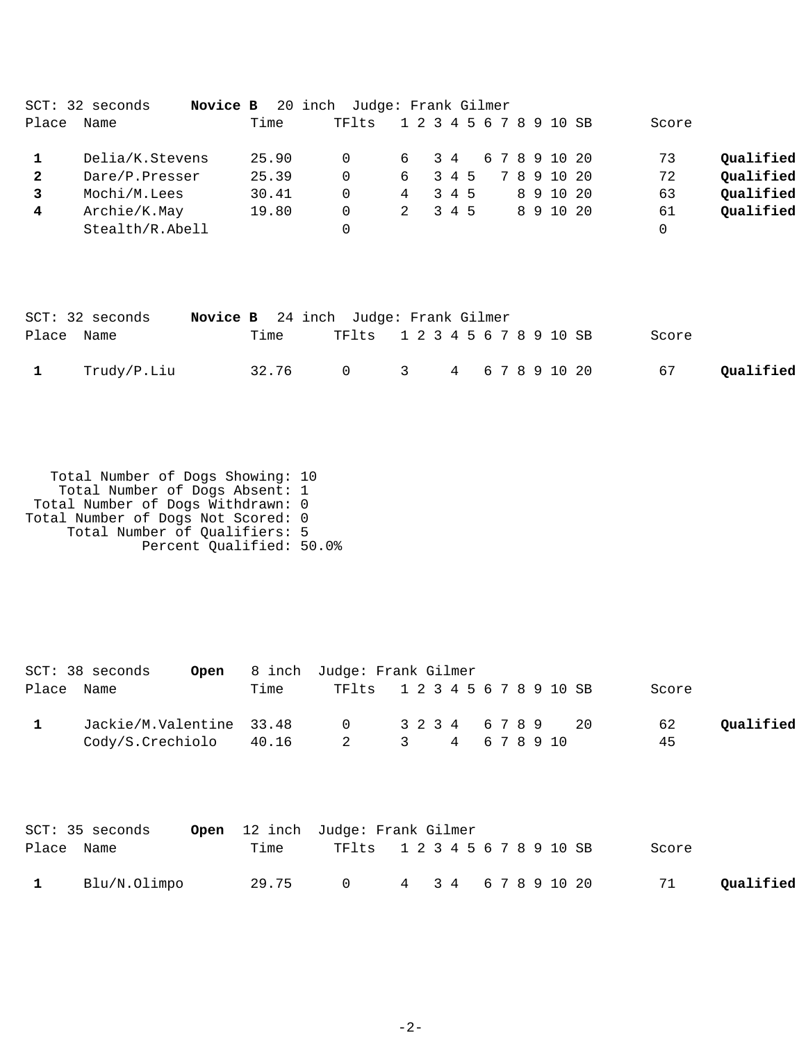|              | SCT: 32 seconds<br>Novice B |       | 20 inch Judge: Frank Gilmer |     |       |       |  |  |                         |       |           |
|--------------|-----------------------------|-------|-----------------------------|-----|-------|-------|--|--|-------------------------|-------|-----------|
| Place        | Name                        | Time  | TF1ts                       |     |       |       |  |  | 1 2 3 4 5 6 7 8 9 10 SB | Score |           |
|              | Delia/K.Stevens             | 25.90 |                             |     | 6 3 4 |       |  |  | 67891020                | 73    | Qualified |
| $\mathbf{2}$ | Dare/P.Presser              | 25.39 | 0                           | ნ — |       | 3 4 5 |  |  | 7 8 9 10 20             | 72    | Qualified |
|              | Mochi/M.Lees                | 30.41 | 0                           | 4   |       | 3 4 5 |  |  | 8 9 10 20               | 63    | Qualified |
| 4            | Archie/K.May                | 19.80 |                             | 2   |       | 345   |  |  | 8 9 10 20               | 61    | Qualified |
|              | Stealth/R.Abell             |       |                             |     |       |       |  |  |                         | 0     |           |

|            | $SCT: 32$ seconds |      | <b>Novice B</b> 24 inch Judge: Frank Gilmer |  |  |  |       |           |
|------------|-------------------|------|---------------------------------------------|--|--|--|-------|-----------|
| Place Name |                   | Time | TF1ts 1 2 3 4 5 6 7 8 9 10 SB               |  |  |  | Score |           |
|            | Trudy/P.Liu       |      | 32.76 0 3 4 6 7 8 9 10 20                   |  |  |  | 67    | Qualified |

 Total Number of Dogs Showing: 10 Total Number of Dogs Absent: 1 Total Number of Dogs Withdrawn: 0 Total Number of Dogs Not Scored: 0 Total Number of Qualifiers: 5 Percent Qualified: 50.0%

|       | $SCT: 38$ seconds  | Open | 8 inch  | Judge: Frank Gilmer |                         |                 |      |  |               |    |       |           |
|-------|--------------------|------|---------|---------------------|-------------------------|-----------------|------|--|---------------|----|-------|-----------|
| Place | Name               |      | Time    | TFlts               | 1 2 3 4 5 6 7 8 9 10 SB |                 |      |  |               |    | Score |           |
| 1     | Jackie/M.Valentine |      | 33.48   | $\mathbf 0$         | 3 2 3 4                 |                 | 6789 |  |               | 20 | 62    | Qualified |
|       | Cody/S.Crechiolo   |      | 40.16   | 2                   | 3                       | $4\overline{ }$ |      |  | 678910        |    | 45    |           |
|       |                    |      |         |                     |                         |                 |      |  |               |    |       |           |
|       | SCT: 35 seconds    | Open | 12 inch | Judge: Frank Gilmer |                         |                 |      |  |               |    |       |           |
| Place | Name               |      | Time    | TFlts               | 1 2 3 4 5 6 7 8 9 10 SB |                 |      |  |               |    | Score |           |
|       | Blu/N.Olimpo       |      | 29.75   | $\mathbf 0$         | 4                       | 3 4             |      |  | 6 7 8 9 10 20 |    | 71    | Oualified |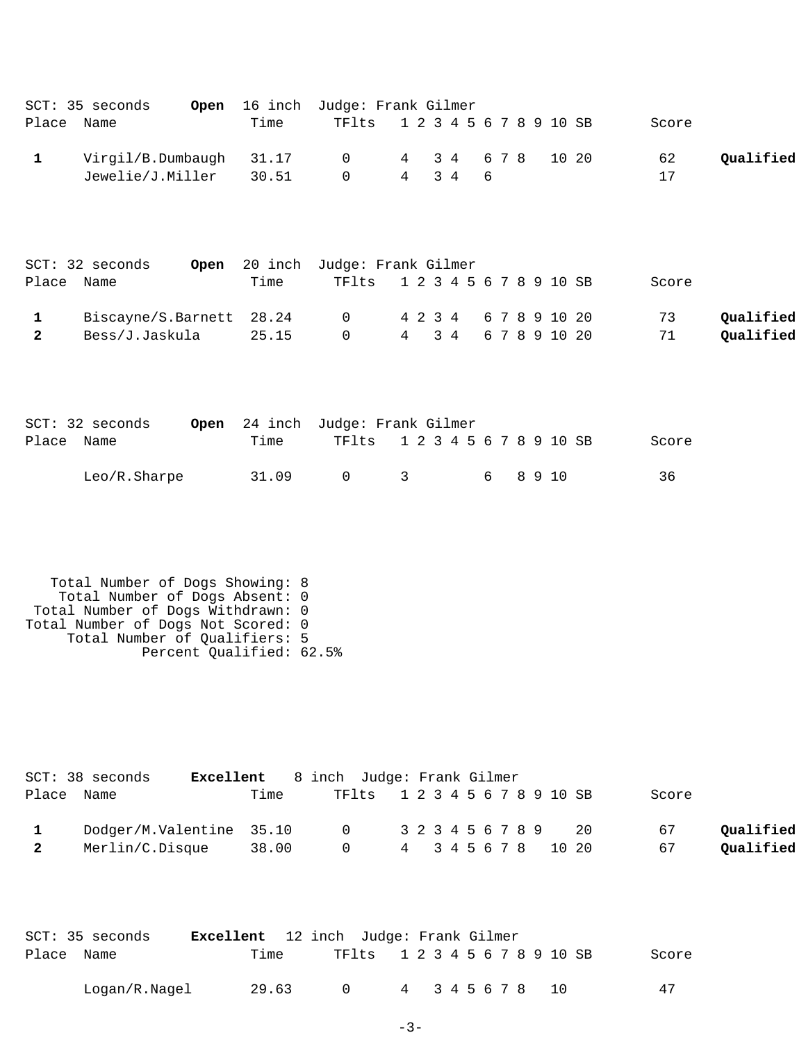| Place Name        | SCT: 35 seconds<br>Open                                                                                                                                                       | 16 inch<br>Time          | Judge: Frank Gilmer<br>TFlts         | 1 2 3 4 5 6 7 8 9 10 SB                   |             |            |        |                                | Score    |                        |
|-------------------|-------------------------------------------------------------------------------------------------------------------------------------------------------------------------------|--------------------------|--------------------------------------|-------------------------------------------|-------------|------------|--------|--------------------------------|----------|------------------------|
| $\mathbf 1$       | Virgil/B.Dumbaugh<br>Jewelie/J.Miller                                                                                                                                         | 31.17<br>30.51           | 0<br>$\Omega$                        | 3 4<br>4<br>$3\quad 4$<br>$4\overline{ }$ |             | 6 7 8<br>6 |        | 10 20                          | 62<br>17 | Qualified              |
| Place Name        | SCT: 32 seconds<br>Open                                                                                                                                                       | Time                     | 20 inch Judge: Frank Gilmer<br>TFlts | 1 2 3 4 5 6 7 8 9 10 SB                   |             |            |        |                                | Score    |                        |
| 1<br>$\mathbf{2}$ | Biscayne/S.Barnett<br>Bess/J.Jaskula                                                                                                                                          | 28.24<br>25.15           | $\mathbf 0$<br>$\Omega$              | 4 2 3 4<br>$\overline{4}$<br>$3\quad 4$   |             |            |        | 6 7 8 9 10 20<br>6 7 8 9 10 20 | 73<br>71 | Qualified<br>Qualified |
| Place             | $SCT: 32$ seconds<br>Name                                                                                                                                                     | Open 24 inch<br>Time     | Judge: Frank Gilmer<br>TFlts         | 1 2 3 4 5 6 7 8 9 10 SB                   |             |            |        |                                | Score    |                        |
|                   | Leo/R.Sharpe                                                                                                                                                                  | 31.09                    | $\mathsf{O}$                         | 3                                         |             | 6          | 8 9 10 |                                | 36       |                        |
|                   | Total Number of Dogs Showing: 8<br>Total Number of Dogs Absent: 0<br>Total Number of Dogs Withdrawn: 0<br>Total Number of Dogs Not Scored: 0<br>Total Number of Qualifiers: 5 | Percent Qualified: 62.5% |                                      |                                           |             |            |        |                                |          |                        |
| Place             | SCT: 38 seconds<br>Name                                                                                                                                                       | Excellent<br>Time        | 8 inch Judge: Frank Gilmer<br>TFlts  | 1 2 3 4 5 6 7 8 9 10 SB                   |             |            |        |                                | Score    |                        |
| 1<br>$\mathbf{2}$ | Dodger/M.Valentine<br>Merlin/C.Disque                                                                                                                                         | 35.10<br>38.00           | 0<br>0                               | 3 2 3 4 5 6 7 8 9<br>4                    | 3 4 5 6 7 8 |            |        | 20<br>10 20                    | 67<br>67 | Qualified<br>Qualified |

|            | SCT: 35 seconds | Excellent 12 inch Judge: Frank Gilmer |           |                               |  |  |  |  |                  |  |       |
|------------|-----------------|---------------------------------------|-----------|-------------------------------|--|--|--|--|------------------|--|-------|
| Place Name |                 | Time                                  |           | TF1ts 1 2 3 4 5 6 7 8 9 10 SB |  |  |  |  |                  |  | Score |
|            | Logan/R.Nagel   | 29.63                                 | $\bigcap$ |                               |  |  |  |  | 4 3 4 5 6 7 8 10 |  | 47    |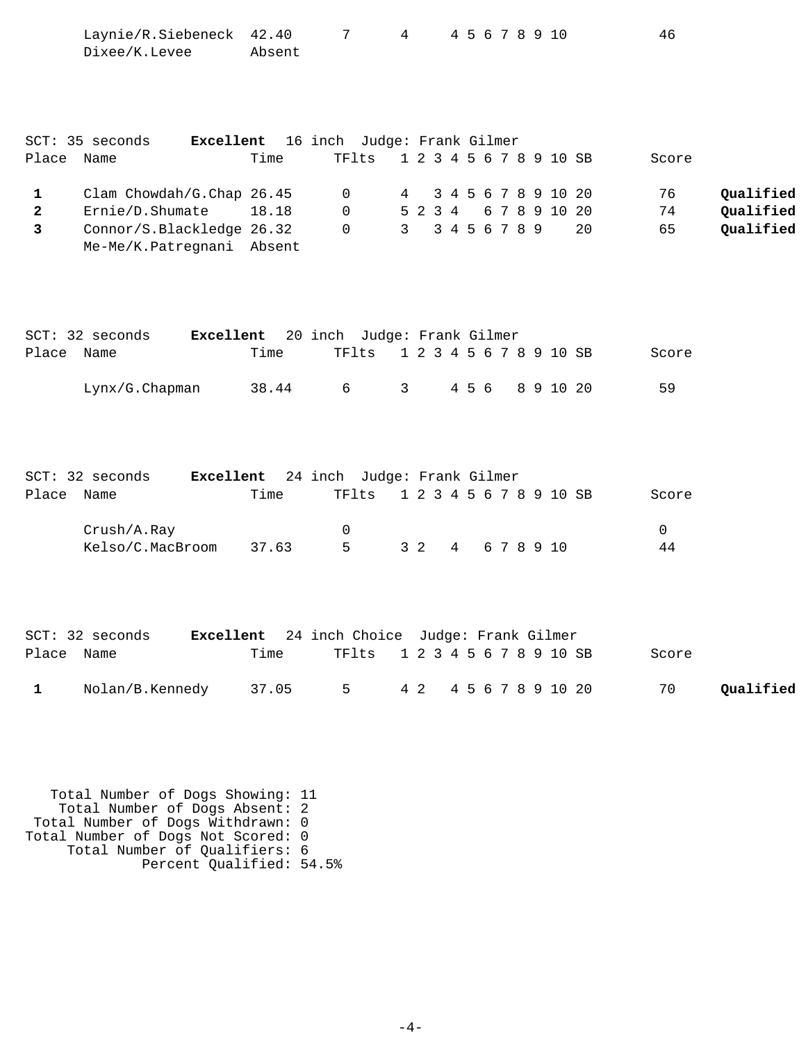|                          | Laynie/R.Siebeneck<br>Dixee/K.Levee                                                                    | 42.40<br>Absent | $7\overline{ }$                                          |                    | $4\degree$              |               |       |  |  | 4 5 6 7 8 9 10                       |    | 46                          |                                     |
|--------------------------|--------------------------------------------------------------------------------------------------------|-----------------|----------------------------------------------------------|--------------------|-------------------------|---------------|-------|--|--|--------------------------------------|----|-----------------------------|-------------------------------------|
| Place                    | SCT: 35 seconds<br>Excellent<br>Name                                                                   | Time            | 16 inch Judge: Frank Gilmer<br>TFlts                     |                    | 1 2 3 4 5 6 7 8 9 10 SB |               |       |  |  |                                      |    | Score                       |                                     |
| 1<br>$\overline{2}$<br>3 | Clam Chowdah/G.Chap 26.45<br>Ernie/D.Shumate<br>Connor/S.Blackledge 26.32<br>Me-Me/K.Patregnani Absent | 18.18           | $\mathbf 0$<br>$\Omega$<br>$\Omega$                      | 4<br>$\mathcal{E}$ | 5 2 3 4                 | 3 4 5 6 7 8 9 |       |  |  | 3 4 5 6 7 8 9 10 20<br>6 7 8 9 10 20 | 20 | 76<br>74<br>65              | Qualified<br>Qualified<br>Qualified |
| Place                    | Excellent<br>$SCT: 32$ seconds<br>Name<br>Lynx/G. Chapman                                              | Time<br>38.44   | 20 inch Judge: Frank Gilmer<br>TFlts<br>$6\overline{6}$  | 3 <sup>7</sup>     | 1 2 3 4 5 6 7 8 9 10 SB |               | 4 5 6 |  |  | 8 9 10 20                            |    | Score<br>59                 |                                     |
| Place                    | SCT: 32 seconds<br>Excellent<br>Name<br>Crush/A.Ray<br>Kelso/C.MacBroom                                | Time<br>37.63   | 24 inch Judge: Frank Gilmer<br>TFlts<br>$\mathbf 0$<br>5 | 3 <sub>2</sub>     | 1 2 3 4 5 6 7 8 9 10 SB | 4             |       |  |  | 6 7 8 9 10                           |    | Score<br>$\mathsf{O}$<br>44 |                                     |

|            | $SCT: 32$ seconds                             |      | <b>Excellent</b> 24 inch Choice Judge: Frank Gilmer |  |  |  |  |  |       |           |
|------------|-----------------------------------------------|------|-----------------------------------------------------|--|--|--|--|--|-------|-----------|
| Place Name |                                               | Time | TF1ts 1 2 3 4 5 6 7 8 9 10 SB                       |  |  |  |  |  | Score |           |
|            | Nolan/B.Kennedy 37.05 5 4 2 4 5 6 7 8 9 10 20 |      |                                                     |  |  |  |  |  | 70    | Qualified |

 Total Number of Dogs Showing: 11 Total Number of Dogs Absent: 2 Total Number of Dogs Withdrawn: 0 Total Number of Dogs Not Scored: 0 Total Number of Qualifiers: 6 Percent Qualified: 54.5%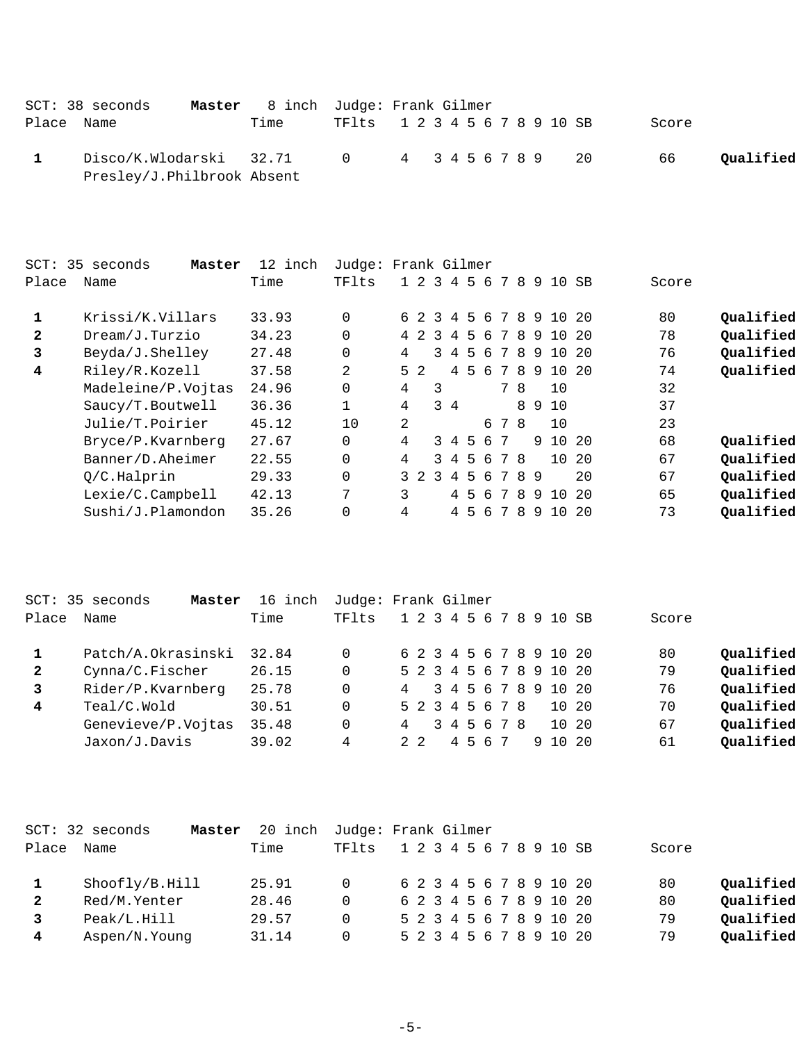|            | $SCT: 38$ seconds          | <b>Master</b> 8 inch Judge: Frank Gilmer |                               |  |  |  |  |  |       |           |
|------------|----------------------------|------------------------------------------|-------------------------------|--|--|--|--|--|-------|-----------|
| Place Name |                            | Time                                     | TF1ts 1 2 3 4 5 6 7 8 9 10 SB |  |  |  |  |  | Score |           |
|            | Disco/K.Wlodarski 32.71    |                                          | 0 4 3 4 5 6 7 8 9 20          |  |  |  |  |  | 66    | Qualified |
|            | Presley/J.Philbrook Absent |                                          |                               |  |  |  |  |  |       |           |

| SCT:         | 35 seconds<br>Master | 12<br>inch | Judge: Frank Gilmer |   |                |               |                |             |     |       |    |     |                 |     |       |           |
|--------------|----------------------|------------|---------------------|---|----------------|---------------|----------------|-------------|-----|-------|----|-----|-----------------|-----|-------|-----------|
| Place        | Name                 | Time       | TFlts               |   | $1\quad 2$     | 3             | 4              |             | 56  | 7     | 8  | 9   | 10              | SB  | Score |           |
| 1            | Krissi/K.Villars     | 33.93      | 0                   |   | 62             | $\mathcal{R}$ | 4              |             |     | 567   |    |     | 8910            | -20 | 80    | Qualified |
| $\mathbf{2}$ | Dream/J.Turzio       | 34.23      | 0                   |   | 4 2            | $\mathcal{R}$ | $\overline{4}$ | 5           | - 6 | 7     | 8  | 9   | 10              | -20 | 78    | Qualified |
| 3            | Beyda/J.Shelley      | 27.48      | 0                   | 4 |                | 3             | $\overline{4}$ | -5          | 6   | 7     | 8  | - 9 | 10 <sup>°</sup> | -20 | 76    | Qualified |
| 4            | Riley/R.Kozell       | 37.58      | 2                   |   | 5 <sub>2</sub> |               | 4              | 5           | 6   | 7     | 8  | 9   | 10 <sup>°</sup> | 20  | 74    | Qualified |
|              | Madeleine/P.Vojtas   | 24.96      | 0                   | 4 |                | 3             |                |             |     | 7     | -8 |     | 10              |     | 32    |           |
|              | Saucy/T.Boutwell     | 36.36      | 1                   | 4 |                |               | $3 \quad 4$    |             |     |       |    |     | 8 9 10          |     | 37    |           |
|              | Julie/T.Poirier      | 45.12      | 10                  | 2 |                |               |                |             |     | 6 7 8 |    |     | 10              |     | 23    |           |
|              | Bryce/P.Kvarnberg    | 27.67      | 0                   | 4 |                |               | $3 \quad 4$    | 5           | 6   | 7     |    |     | 9 10 20         |     | 68    | Qualified |
|              | Banner/D.Aheimer     | 22.55      | 0                   | 4 |                | $\mathcal{L}$ | $\overline{4}$ | $5^{\circ}$ | - 6 |       | 78 |     | 10              | 20  | 67    | Qualified |
|              | Q/C.Halprin          | 29.33      | 0                   |   | 32             | $\mathcal{R}$ | 4              | 5           | - 6 | 7     |    | 89  |                 | 20  | 67    | Qualified |
|              | Lexie/C.Campbell     | 42.13      | 7                   | 3 |                |               | 4              | -5          | 6   | 7     | 8  | 9   | 10 <sup>°</sup> | 20  | 65    | Qualified |
|              | Sushi/J.Plamondon    | 35.26      | 0                   | 4 |                |               | 4              |             | 56  | 7     | 8  | 9   | 10 <sup>°</sup> | -20 | 73    | Qualified |

|              | SCT: 35 seconds<br>Master | 16 inch | Judge: Frank Gilmer |   |       |  |     |                 |  |                         |       |           |
|--------------|---------------------------|---------|---------------------|---|-------|--|-----|-----------------|--|-------------------------|-------|-----------|
| Place        | Name                      | Time    | TFlts               |   |       |  |     |                 |  | 1 2 3 4 5 6 7 8 9 10 SB | Score |           |
|              | Patch/A.Okrasinski        | 32.84   | $\Omega$            |   |       |  |     |                 |  | 6 2 3 4 5 6 7 8 9 10 20 | 80    | Qualified |
| $\mathbf{2}$ | Cynna/C.Fischer           | 26.15   |                     |   |       |  |     |                 |  | 5 2 3 4 5 6 7 8 9 10 20 | 79    | Qualified |
| $\mathbf{3}$ | Rider/P.Kvarnberg         | 25.78   |                     | 4 |       |  |     |                 |  | 3 4 5 6 7 8 9 10 20     | 76    | Qualified |
| 4            | Teal/C.Wold               | 30.51   |                     |   |       |  |     | 5 2 3 4 5 6 7 8 |  | 10 20                   | 70    | Qualified |
|              | Genevieve/P.Vojtas        | 35.48   | 0                   | 4 |       |  |     | 3 4 5 6 7 8     |  | 10 20                   | 67    | Qualified |
|              | Jaxon/J.Davis             | 39.02   | 4                   |   | 2. 2. |  | 456 | 7               |  | 9 1 0 2 0               | 61    | Qualified |

|              | SCT: 32 seconds<br>Master | 20 inch | Judge: Frank Gilmer |  |  |  |  |                         |       |           |
|--------------|---------------------------|---------|---------------------|--|--|--|--|-------------------------|-------|-----------|
| Place        | Name                      | Time    | TFlts               |  |  |  |  | 1 2 3 4 5 6 7 8 9 10 SB | Score |           |
|              | $\text{Shoofly/B.Hill}$   | 25.91   |                     |  |  |  |  | 6 2 3 4 5 6 7 8 9 10 20 | 80    | Qualified |
| $\mathbf{2}$ | Red/M.Yenter              | 28.46   |                     |  |  |  |  | 6 2 3 4 5 6 7 8 9 10 20 | 80    | Qualified |
|              | Peak/L.Hill               | 29.57   | $\Omega$            |  |  |  |  | 5 2 3 4 5 6 7 8 9 10 20 | 79    | Qualified |
| 4            | Aspen/N.Young             | 31.14   |                     |  |  |  |  | 5 2 3 4 5 6 7 8 9 10 20 | 79    | Oualified |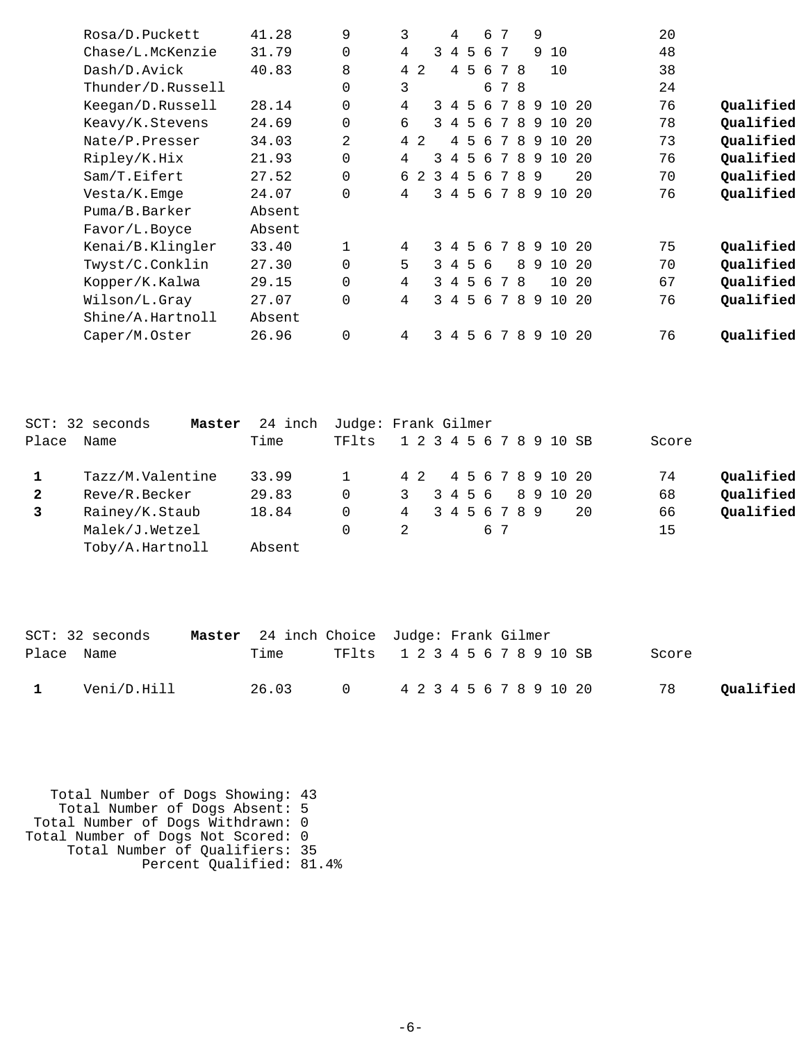| Rosa/D.Puckett    | 41.28  | 9            | 3   |   |   | 4              |                 | 6        | 7 |    | 9  |       |      | 20 |           |
|-------------------|--------|--------------|-----|---|---|----------------|-----------------|----------|---|----|----|-------|------|----|-----------|
| Chase/L.McKenzie  | 31.79  | $\mathbf 0$  | 4   |   | 3 | 4              | 5               | 6        | 7 |    | 9  | 10    |      | 48 |           |
| Dash/D.Avick      | 40.83  | 8            | 4 2 |   |   | $\overline{4}$ | -5              | 6        | 7 | -8 |    | 10    |      | 38 |           |
| Thunder/D.Russell |        | 0            | 3   |   |   |                |                 | 6        | 7 | -8 |    |       |      | 24 |           |
| Keegan/D.Russell  | 28.14  | 0            | 4   |   | 3 | $\overline{4}$ | -5              | 6        | 7 | 8  | 9  | 10    | 20   | 76 | Qualified |
| Keavy/K.Stevens   | 24.69  | $\Omega$     | 6   |   | ζ | 4              | 5               | 6        | 7 | 8  | 9  | 10    | 20   | 78 | Qualified |
| Nate/P.Presser    | 34.03  | 2            | 4   | 2 |   | 4              | 5               | 6        |   | 8  | 9  | 10    | 20   | 73 | Qualified |
| Ripley/K.Hix      | 21.93  | $\mathbf{0}$ | 4   |   | ζ | 4              | 5               | 6        |   | 8  | 9  | 10    | 20   | 76 | Qualified |
| Sam/T.Eifert      | 27.52  | $\Omega$     | б.  | 2 | 3 | $\overline{4}$ | 5               | 6        | 7 | 8  | 9  |       | 20   | 70 | Qualified |
| Vesta/K.Emge      | 24.07  | $\Omega$     | 4   |   | २ | $\overline{4}$ | $5\overline{)}$ | <u>б</u> | 7 | 8  | -9 | 10    | 20   | 76 | Qualified |
| Puma/B.Barker     | Absent |              |     |   |   |                |                 |          |   |    |    |       |      |    |           |
| Favor/L.Boyce     | Absent |              |     |   |   |                |                 |          |   |    |    |       |      |    |           |
| Kenai/B.Klingler  | 33.40  | 1            | 4   |   | 3 | 4              | .5              | <u>б</u> | 7 | 8  | -9 | 10 20 |      | 75 | Qualified |
| Twyst/C.Conklin   | 27.30  | $\mathbf{0}$ | 5   |   | 3 | $\overline{4}$ | 56              |          |   | 8  | 9  | 10    | - 20 | 70 | Qualified |
| Kopper/K.Kalwa    | 29.15  | $\mathbf{0}$ | 4   |   | 3 | $\overline{4}$ | 5               | 6        | 7 | 8  |    | 10    | 20   | 67 | Qualified |
| Wilson/L.Gray     | 27.07  | $\Omega$     | 4   |   | 3 | $\overline{4}$ | 5               | 6        | 7 | 8  | 9  | 10    | 20   | 76 | Qualified |
| Shine/A.Hartnoll  | Absent |              |     |   |   |                |                 |          |   |    |    |       |      |    |           |
| Caper/M.Oster     | 26.96  | $\Omega$     | 4   |   | २ | 4              | 5               | 6        | 7 | 8  | 9  | 10    | 20   | 76 | Qualified |
|                   |        |              |     |   |   |                |                 |          |   |    |    |       |      |    |           |

|              | $SCT: 32$ seconds<br>Master | 24 inch | Judge: Frank Gilmer |                         |  |  |    |  |    |       |           |
|--------------|-----------------------------|---------|---------------------|-------------------------|--|--|----|--|----|-------|-----------|
| Place        | Name                        | Time    | TF1ts               | 1 2 3 4 5 6 7 8 9 10 SB |  |  |    |  |    | Score |           |
|              | Tazz/M.Valentine            | 33.99   | 1                   | 4 2 4 5 6 7 8 9 10 20   |  |  |    |  |    | 74    | Qualified |
| $\mathbf{2}$ | Reve/R.Becker               | 29.83   | 0                   | 3 3 4 5 6 8 9 10 20     |  |  |    |  |    | 68    | Oualified |
|              | Rainey/K.Staub              | 18.84   | 0                   | 4 3 4 5 6 7 8 9         |  |  |    |  | 20 | 66    | Qualified |
|              | Malek/J.Wetzel              |         |                     |                         |  |  | 67 |  |    | 15    |           |
|              | Toby/A.Hartnoll             | Absent  |                     |                         |  |  |    |  |    |       |           |

|                | $SCT: 32$ seconds | <b>Master</b> 24 inch Choice Judge: Frank Gilmer |                               |  |  |  |       |           |
|----------------|-------------------|--------------------------------------------------|-------------------------------|--|--|--|-------|-----------|
| Place Name     |                   | Time                                             | TF1ts 1 2 3 4 5 6 7 8 9 10 SB |  |  |  | Score |           |
| $\blacksquare$ | Veni/D.Hill       | 26.03                                            | 0 4 2 3 4 5 6 7 8 9 10 20     |  |  |  | 78    | Qualified |

 Total Number of Dogs Showing: 43 Total Number of Dogs Absent: 5 Total Number of Dogs Withdrawn: 0 Total Number of Dogs Not Scored: 0 Total Number of Qualifiers: 35 Percent Qualified: 81.4%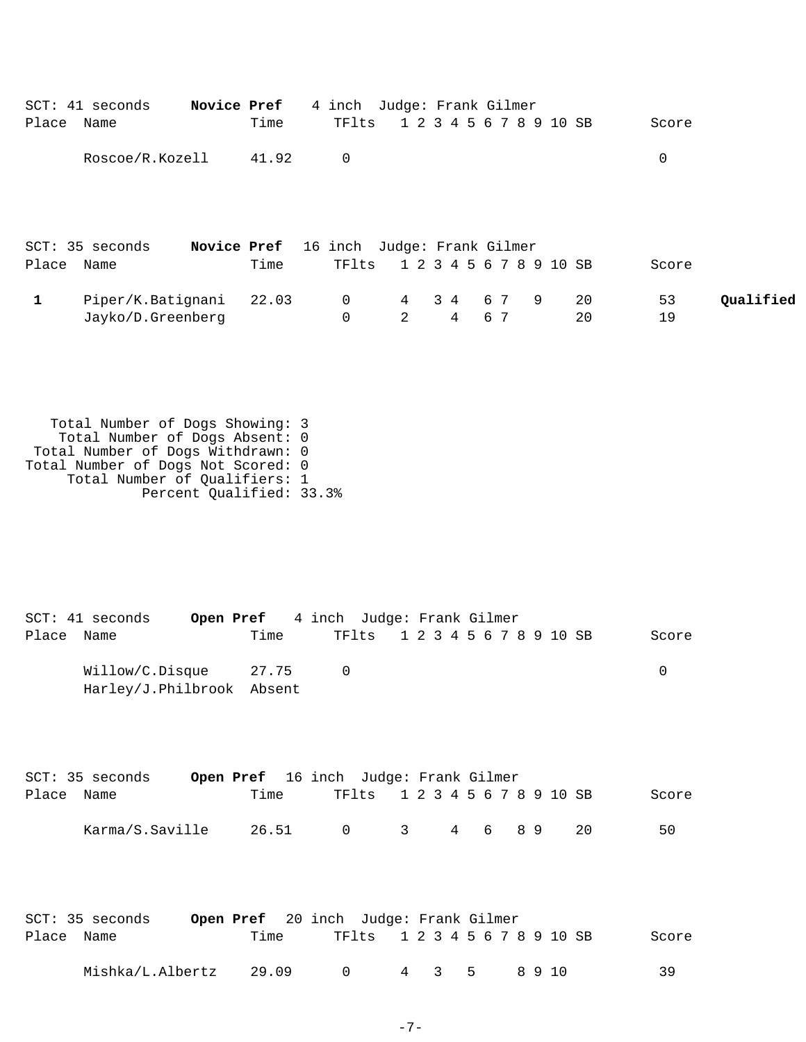|              | SCT: 41 seconds                                                                                                                            | Novice Pref              |                                               | 4 inch Judge: Frank Gilmer |                               |                                   |                         |                        |            |            |    |        |                         |          |           |
|--------------|--------------------------------------------------------------------------------------------------------------------------------------------|--------------------------|-----------------------------------------------|----------------------------|-------------------------------|-----------------------------------|-------------------------|------------------------|------------|------------|----|--------|-------------------------|----------|-----------|
| Place Name   |                                                                                                                                            |                          | Time                                          | TFlts                      |                               |                                   |                         |                        |            |            |    |        | 1 2 3 4 5 6 7 8 9 10 SB | Score    |           |
|              | Roscoe/R.Kozell                                                                                                                            |                          | 41.92                                         | 0                          |                               |                                   |                         |                        |            |            |    |        |                         | 0        |           |
|              | SCT: 35 seconds                                                                                                                            |                          | Novice Pref 16 inch Judge: Frank Gilmer       |                            |                               |                                   |                         |                        |            |            |    |        |                         |          |           |
| Place Name   |                                                                                                                                            |                          | Time                                          | TFlts                      |                               |                                   |                         |                        |            |            |    |        | 1 2 3 4 5 6 7 8 9 10 SB | Score    |           |
| $\mathbf{1}$ | Piper/K.Batignani<br>Jayko/D.Greenberg                                                                                                     |                          | 22.03                                         | 0<br>$\mathbf 0$           |                               | $4\overline{ }$<br>$\overline{a}$ |                         | 3 4<br>$4\overline{ }$ |            | 6 7<br>6 7 | 9  |        | 20<br>20                | 53<br>19 | Qualified |
|              | Total Number of Dogs Showing: 3                                                                                                            |                          |                                               |                            |                               |                                   |                         |                        |            |            |    |        |                         |          |           |
|              | Total Number of Dogs Absent: 0<br>Total Number of Dogs Withdrawn: 0<br>Total Number of Dogs Not Scored: 0<br>Total Number of Qualifiers: 1 | Percent Qualified: 33.3% |                                               |                            |                               |                                   |                         |                        |            |            |    |        |                         |          |           |
|              | SCT: 41 seconds                                                                                                                            |                          | Open Pref 4 inch Judge: Frank Gilmer          |                            |                               |                                   |                         |                        |            |            |    |        |                         |          |           |
| Place Name   |                                                                                                                                            |                          | Time                                          | TFlts                      |                               |                                   | 1 2 3 4 5 6 7 8 9 10 SB |                        |            |            |    |        |                         | Score    |           |
|              | Willow/C.Disque<br>Harley/J.Philbrook Absent                                                                                               |                          | 27.75                                         | 0                          |                               |                                   |                         |                        |            |            |    |        |                         | 0        |           |
| Place Name   | SCT: 35 seconds                                                                                                                            |                          | Open Pref 16 inch Judge: Frank Gilmer<br>Time |                            | TF1ts 1 2 3 4 5 6 7 8 9 10 SB |                                   |                         |                        |            |            |    |        |                         | Score    |           |
|              | Karma/S.Saville                                                                                                                            |                          | 26.51                                         | $\overline{0}$             |                               |                                   | $3 \sim$                |                        | $4\quad 6$ |            | 89 |        | 20                      | 50       |           |
|              |                                                                                                                                            |                          |                                               |                            |                               |                                   |                         |                        |            |            |    |        |                         |          |           |
|              | SCT: 35 seconds                                                                                                                            |                          | Open Pref 20 inch Judge: Frank Gilmer         |                            |                               |                                   |                         |                        |            |            |    |        |                         |          |           |
| Place Name   |                                                                                                                                            |                          | Time                                          |                            | TF1ts 1 2 3 4 5 6 7 8 9 10 SB |                                   |                         |                        |            |            |    |        |                         | Score    |           |
|              | Mishka/L.Albertz                                                                                                                           |                          | 29.09                                         | 0                          |                               | 4                                 | 3                       |                        | 5          |            |    | 8 9 10 |                         | 39       |           |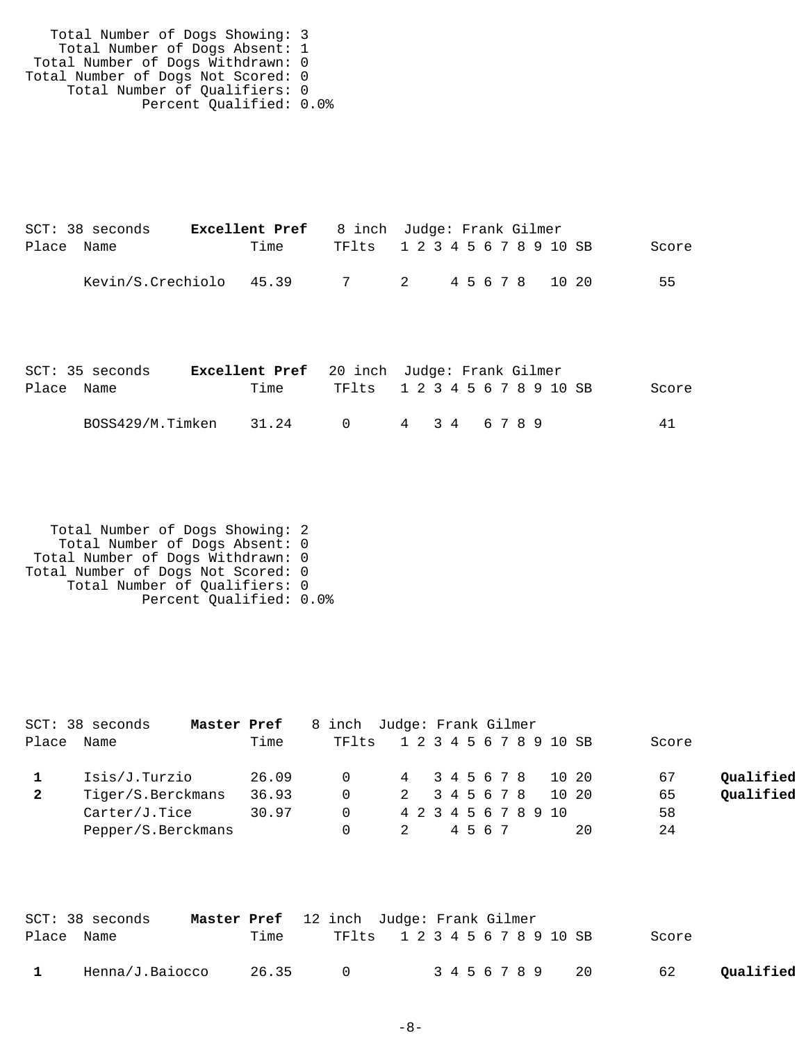| Total Number of Dogs Showing: 3    |  |
|------------------------------------|--|
| Total Number of Dogs Absent: 1     |  |
| Total Number of Dogs Withdrawn: 0  |  |
| Total Number of Dogs Not Scored: 0 |  |
| Total Number of Qualifiers: 0      |  |
| Percent Qualified: 0.0%            |  |

|            | $SCT: 38$ seconds | <b>Excellent Pref</b> 8 inch Judge: Frank Gilmer |                               |  |  |  |       |
|------------|-------------------|--------------------------------------------------|-------------------------------|--|--|--|-------|
| Place Name |                   | Time                                             | TF1ts 1 2 3 4 5 6 7 8 9 10 SB |  |  |  | Score |
|            |                   | Kevin/S.Crechiolo 45.39                          | 7 2 45678 1020                |  |  |  | 55    |

|            | SCT: 35 seconds  | <b>Excellent Pref</b> 20 inch Judge: Frank Gilmer |                               |               |  |  |  |  |       |
|------------|------------------|---------------------------------------------------|-------------------------------|---------------|--|--|--|--|-------|
| Place Name |                  | Time                                              | TF1ts 1 2 3 4 5 6 7 8 9 10 SB |               |  |  |  |  | Score |
|            | BOSS429/M.Timken | 31.24                                             | $\cap$                        | 4 3 4 6 7 8 9 |  |  |  |  | 41    |

 Total Number of Dogs Showing: 2 Total Number of Dogs Absent: 0 Total Number of Dogs Withdrawn: 0 Total Number of Dogs Not Scored: 0 Total Number of Qualifiers: 0 Percent Qualified: 0.0%

| $SCT: 38$ seconds<br>Master Pref<br>Place Name | Time  | 8 inch Judge: Frank Gilmer<br>TF1ts |               |  |      |  |  | 1 2 3 4 5 6 7 8 9 10 SB |    | Score |           |
|------------------------------------------------|-------|-------------------------------------|---------------|--|------|--|--|-------------------------|----|-------|-----------|
| Isis/J.Turzio                                  | 26.09 | 0 4 3 4 5 6 7 8 10 20               |               |  |      |  |  |                         |    | 67    | Oualified |
| Tiger/S.Berckmans                              | 36.93 | $\Omega$                            | 2 3 4 5 6 7 8 |  |      |  |  | 10 20                   |    | 65    | Qualified |
| Carter/J.Tice                                  | 30.97 | 0                                   |               |  |      |  |  | 4 2 3 4 5 6 7 8 9 10    |    | 58    |           |
| Pepper/S.Berckmans                             |       |                                     | 2             |  | 4567 |  |  |                         | 20 | 24    |           |

|            | SCT: 38 seconds | <b>Master Pref</b> 12 inch Judge: Frank Gilmer |                |  |                               |       |           |
|------------|-----------------|------------------------------------------------|----------------|--|-------------------------------|-------|-----------|
| Place Name |                 | Time                                           |                |  | TF1ts 1 2 3 4 5 6 7 8 9 10 SB | Score |           |
|            | Henna/J.Baiocco | 26.35                                          | $\overline{a}$ |  | 3 4 5 6 7 8 9 20              | 62    | Qualified |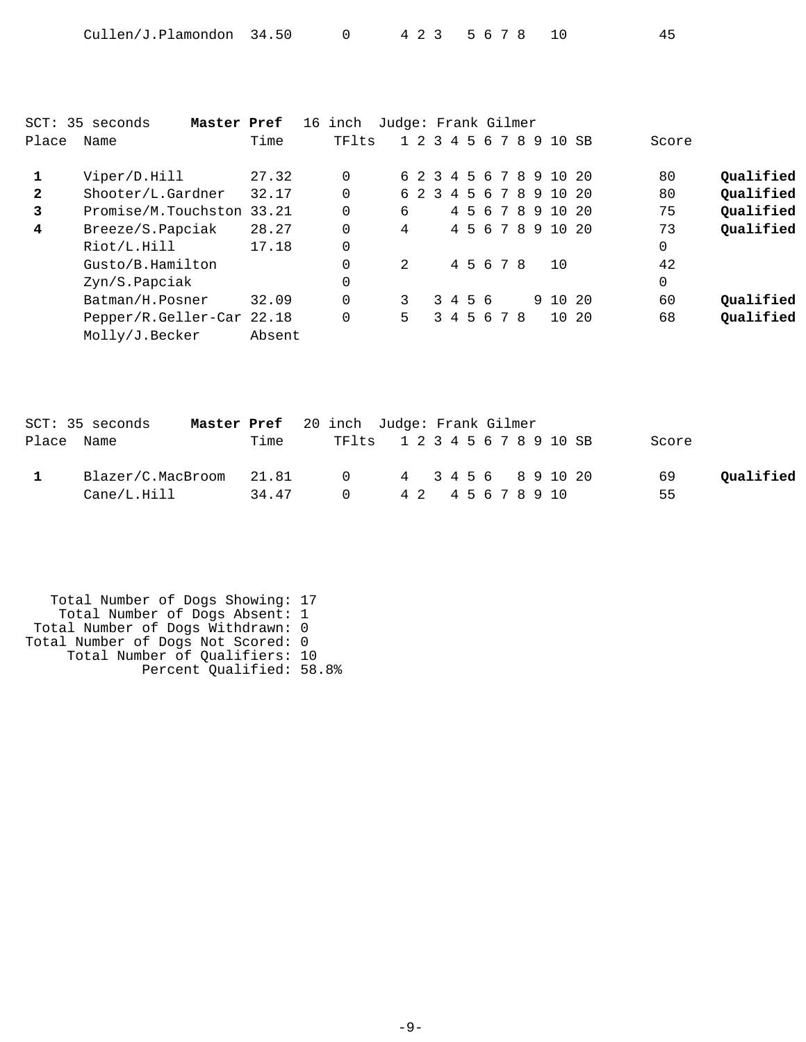| Cullen/J.Plamondon 34.50 |  |  |  | 4 2 3 5 6 7 8 10 |  |  |
|--------------------------|--|--|--|------------------|--|--|
|--------------------------|--|--|--|------------------|--|--|

|              | SCT: 35 seconds<br>Master Pref |        | 16 inch  | Judge: Frank Gilmer |                    |  |         |               |   |    |                         |     |          |           |
|--------------|--------------------------------|--------|----------|---------------------|--------------------|--|---------|---------------|---|----|-------------------------|-----|----------|-----------|
| Place        | Name                           | Time   | TFlts    |                     | $1\;\;2\;\;3\;\;4$ |  |         | 567           | 8 | -9 | $10$ SB                 |     | Score    |           |
|              | Viper/D.Hill                   | 27.32  | $\Omega$ |                     |                    |  |         |               |   |    | 6 2 3 4 5 6 7 8 9 10 20 |     | 80       | Qualified |
| $\mathbf{2}$ | Shooter/L.Gardner              | 32.17  | $\Omega$ |                     | 6 2                |  |         | 3 4 5 6 7 8 9 |   |    | 10 <sup>°</sup>         | 2.0 | 80       | Qualified |
| 3            | Promise/M.Touchston 33.21      |        | 0        | б.                  |                    |  |         |               |   |    | 4 5 6 7 8 9 10 20       |     | 75       | Qualified |
| 4            | Breeze/S.Papciak               | 28.27  | 0        | 4                   |                    |  |         |               |   |    | 4 5 6 7 8 9 10 20       |     | 73       | Oualified |
|              | Riot/L.Hill                    | 17.18  | 0        |                     |                    |  |         |               |   |    |                         |     | 0        |           |
|              | Gusto/B.Hamilton               |        | 0        | $\mathcal{L}$       |                    |  |         | 4 5 6 7 8     |   |    | 10                      |     | 42       |           |
|              | Zyn/S.Papciak                  |        | 0        |                     |                    |  |         |               |   |    |                         |     | $\Omega$ |           |
|              | Batman/H.Posner                | 32.09  | $\Omega$ | 3                   |                    |  | 3 4 5 6 |               |   |    | 9 10 20                 |     | 60       | Oualified |
|              | Pepper/R.Geller-Car 22.18      |        | 0        | 5                   |                    |  |         | 3 4 5 6 7 8   |   |    | 10 20                   |     | 68       | Qualified |
|              | Molly/J.Becker                 | Absent |          |                     |                    |  |         |               |   |    |                         |     |          |           |

| SCT: 35 seconds         | <b>Master Pref</b> 20 inch Judge: Frank Gilmer |                               |  |  |  |  |  |  |       |           |
|-------------------------|------------------------------------------------|-------------------------------|--|--|--|--|--|--|-------|-----------|
| Place Name              | Time                                           | TF1ts 1 2 3 4 5 6 7 8 9 10 SB |  |  |  |  |  |  | Score |           |
| Blazer/C.MacBroom 21.81 |                                                | 0 4 3 4 5 6 8 9 10 20         |  |  |  |  |  |  | 69    | Qualified |
| Cane/L.Hill             | 34.47                                          | 0 42 45 6 7 8 9 10            |  |  |  |  |  |  | 55    |           |

 Total Number of Dogs Showing: 17 Total Number of Dogs Absent: 1 Total Number of Dogs Withdrawn: 0 Total Number of Dogs Not Scored: 0 Total Number of Qualifiers: 10 Percent Qualified: 58.8%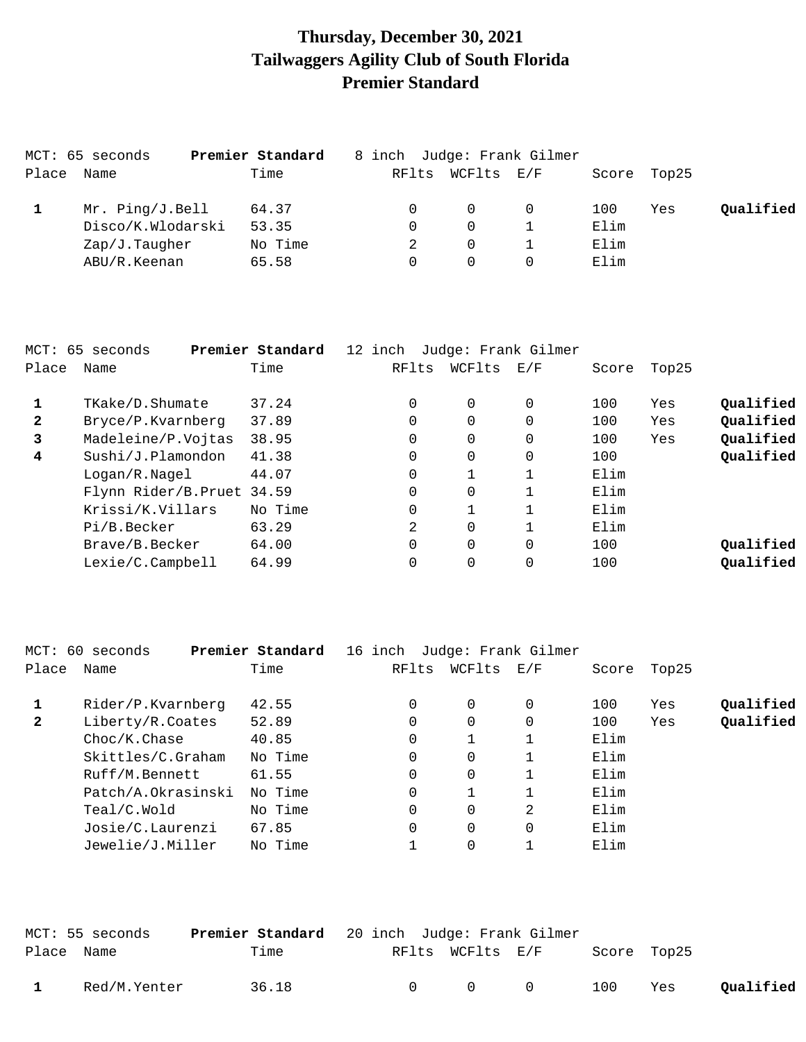# **Thursday, December 30, 2021 Tailwaggers Agility Club of South Florida Premier Standard**

|       | MCT: 65 seconds   | Premier Standard | 8 inch Judge: Frank Gilmer |          |          |       |       |           |
|-------|-------------------|------------------|----------------------------|----------|----------|-------|-------|-----------|
| Place | Name              | Time             | RFlts                      | WCFlts   | E/F      | Score | Top25 |           |
|       | Mr. Ping/J.Bell   | 64.37            |                            | $\Omega$ | $\Omega$ | 100   | Yes   | Qualified |
|       | Disco/K.Wlodarski | 53.35            |                            | 0        |          | Elim  |       |           |
|       | Zap/J.Taugher     | No Time          |                            | $\Omega$ |          | Elim  |       |           |
|       | ABU/R.Keenan      | 65.58            |                            | $\Omega$ |          | Elim  |       |           |
|       |                   |                  |                            |          |          |       |       |           |

|              | MCT: 65 seconds           | Premier Standard | 12 inch        |          | Judge: Frank Gilmer |       |       |           |
|--------------|---------------------------|------------------|----------------|----------|---------------------|-------|-------|-----------|
| Place        | Name                      | Time             | RFlts          | WCFlts   | $\rm E$ / $\rm F$   | Score | Top25 |           |
|              | TKake/D.Shumate           | 37.24            | $\Omega$       | 0        |                     | 100   | Yes   | Qualified |
| $\mathbf{2}$ | Bryce/P.Kvarnberg         | 37.89            | 0              | 0        |                     | 100   | Yes   | Qualified |
| 3            | Madeleine/P.Vojtas        | 38.95            | $\Omega$       | $\Omega$ | $\Omega$            | 100   | Yes   | Qualified |
| 4            | Sushi/J.Plamondon         | 41.38            | $\Omega$       | $\Omega$ | $\Omega$            | 100   |       | Qualified |
|              | Logan/R.Naqel             | 44.07            | $\Omega$       |          |                     | Elim  |       |           |
|              | Flynn Rider/B.Pruet 34.59 |                  | $\Omega$       | $\Omega$ |                     | Elim  |       |           |
|              | Krissi/K.Villars          | No Time          | $\Omega$       |          |                     | Elim  |       |           |
|              | Pi/B.Becker               | 63.29            | $\mathfrak{D}$ | $\Omega$ |                     | Elim  |       |           |
|              | Brave/B.Becker            | 64.00            | $\Omega$       | $\Omega$ | $\Omega$            | 100   |       | Oualified |
|              | Lexie/C.Campbell          | 64.99            | 0              | 0        |                     | 100   |       | Qualified |
|              |                           |                  |                |          |                     |       |       |           |

| Name               | Time            |                  | RFlts | WCFlts      | E/F      | Score               | Top25 |           |
|--------------------|-----------------|------------------|-------|-------------|----------|---------------------|-------|-----------|
| Rider/P.Kvarnberg  | 42.55           |                  | 0     | $\Omega$    | 0        | 100                 | Yes   | Qualified |
| Liberty/R.Coates   | 52.89           |                  | 0     | 0           | 0        | 100                 | Yes   | Qualified |
| Choc/K.Chase       | 40.85           |                  | 0     |             |          | Elim                |       |           |
| Skittles/C.Graham  | No Time         |                  | 0     | $\Omega$    |          | Elim                |       |           |
| Ruff/M.Bennett     | 61.55           |                  | 0     | $\mathbf 0$ |          | Elim                |       |           |
| Patch/A.Okrasinski | No Time         |                  | 0     |             |          | Elim                |       |           |
| Teal/C.Wold        | No Time         |                  | 0     | $\Omega$    | 2        | Elim                |       |           |
| Josie/C.Laurenzi   | 67.85           |                  | 0     | $\Omega$    | $\Omega$ | Elim                |       |           |
| Jewelie/J.Miller   | No Time         |                  |       | 0           |          | Elim                |       |           |
|                    | MCT: 60 seconds | Premier Standard |       | 16 inch     |          | Judge: Frank Gilmer |       |           |

|            | MCT: 55 seconds | <b>Premier Standard</b> 20 inch Judge: Frank Gilmer |        |                                 |                  |             |     |           |
|------------|-----------------|-----------------------------------------------------|--------|---------------------------------|------------------|-------------|-----|-----------|
| Place Name |                 | Time                                                |        |                                 | RFlts WCFlts E/F | Score Top25 |     |           |
|            | Red/M.Yenter    | 36.18                                               | $\cap$ | $\begin{matrix}0&0\end{matrix}$ |                  | 100         | Yes | Qualified |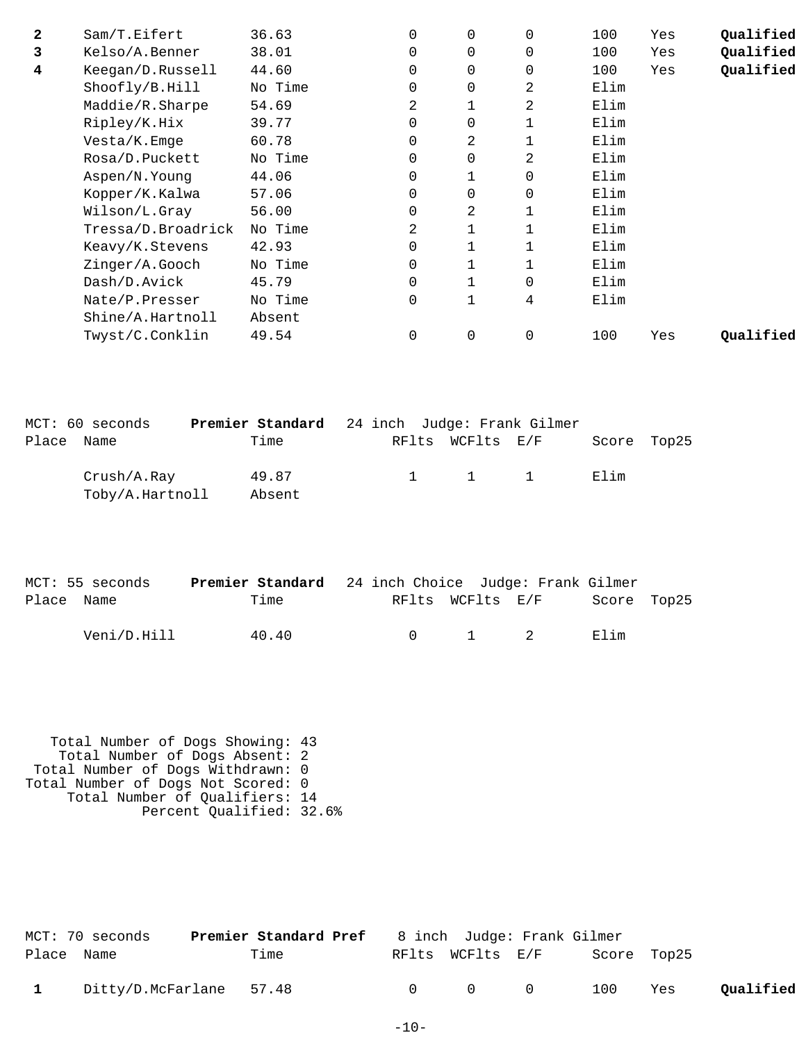| $\mathbf{2}$ | Sam/T.Eifert       | 36.63   | 0            | 0 | $\Omega$ | 100  | Yes | Qualified |
|--------------|--------------------|---------|--------------|---|----------|------|-----|-----------|
| 3            | Kelso/A.Benner     | 38.01   | $\Omega$     | 0 | $\Omega$ | 100  | Yes | Qualified |
| 4            | Keegan/D.Russell   | 44.60   | 0            | 0 | $\Omega$ | 100  | Yes | Qualified |
|              | Shoofly/B.Hill     | No Time | 0            | 0 | 2        | Elim |     |           |
|              | Maddie/R.Sharpe    | 54.69   | 2            |   | 2        | Elim |     |           |
|              | Ripley/K.Hix       | 39.77   | 0            | 0 | 1        | Elim |     |           |
|              | Vesta/K.Emge       | 60.78   | 0            | 2 | 1        | Elim |     |           |
|              | Rosa/D.Puckett     | No Time | $\Omega$     | 0 | 2        | Elim |     |           |
|              | Aspen/N.Young      | 44.06   | 0            |   | $\Omega$ | Elim |     |           |
|              | Kopper/K.Kalwa     | 57.06   | <sup>n</sup> | 0 | $\Omega$ | Elim |     |           |
|              | Wilson/L.Gray      | 56.00   | 0            | 2 |          | Elim |     |           |
|              | Tressa/D.Broadrick | No Time | 2            |   |          | Elim |     |           |
|              | Keavy/K.Stevens    | 42.93   | 0            |   |          | Elim |     |           |
|              | Zinger/A.Gooch     | No Time | 0            |   |          | Elim |     |           |
|              | Dash/D.Avick       | 45.79   | 0            |   | $\Omega$ | Elim |     |           |
|              | Nate/P.Presser     | No Time | 0            | 1 | 4        | Elim |     |           |
|              | Shine/A.Hartnoll   | Absent  |              |   |          |      |     |           |
|              | Twyst/C.Conklin    | 49.54   | 0            | 0 | $\Omega$ | 100  | Yes | Oualified |
|              |                    |         |              |   |          |      |     |           |

|            | MCT: 60 seconds | <b>Premier Standard</b> 24 inch Judge: Frank Gilmer |  |                     |  |             |  |
|------------|-----------------|-----------------------------------------------------|--|---------------------|--|-------------|--|
| Place Name |                 | Time                                                |  | RFlts WCFlts E/F    |  | Score Top25 |  |
|            | $Crush/A$ .Ray  | 49.87                                               |  | $1 \quad 1 \quad 1$ |  | Elim        |  |
|            | Toby/A.Hartnoll | Absent                                              |  |                     |  |             |  |

|            | MCT: 55 seconds | <b>Premier Standard</b> 24 inch Choice Judge: Frank Gilmer |  |                       |                  |             |  |
|------------|-----------------|------------------------------------------------------------|--|-----------------------|------------------|-------------|--|
| Place Name |                 | Time                                                       |  |                       | RFlts WCFlts E/F | Score Top25 |  |
|            | Veni/D.Hill     | 40.40                                                      |  | $0 \qquad 1 \qquad 2$ |                  | Elim        |  |

 Total Number of Dogs Showing: 43 Total Number of Dogs Absent: 2 Total Number of Dogs Withdrawn: 0 Total Number of Dogs Not Scored: 0 Total Number of Qualifiers: 14 Percent Qualified: 32.6%

|              | MCT: 70 seconds         | <b>Premier Standard Pref</b> 8 inch Judge: Frank Gilmer |        |                  |                                     |             |     |           |
|--------------|-------------------------|---------------------------------------------------------|--------|------------------|-------------------------------------|-------------|-----|-----------|
| Place Name   |                         | Time                                                    |        | RFlts WCFlts E/F |                                     | Score Top25 |     |           |
| $\mathbf{1}$ | Ditty/D.McFarlane 57.48 |                                                         | $\cap$ |                  | $\begin{matrix} 0 & 0 \end{matrix}$ | 100         | Yes | Qualified |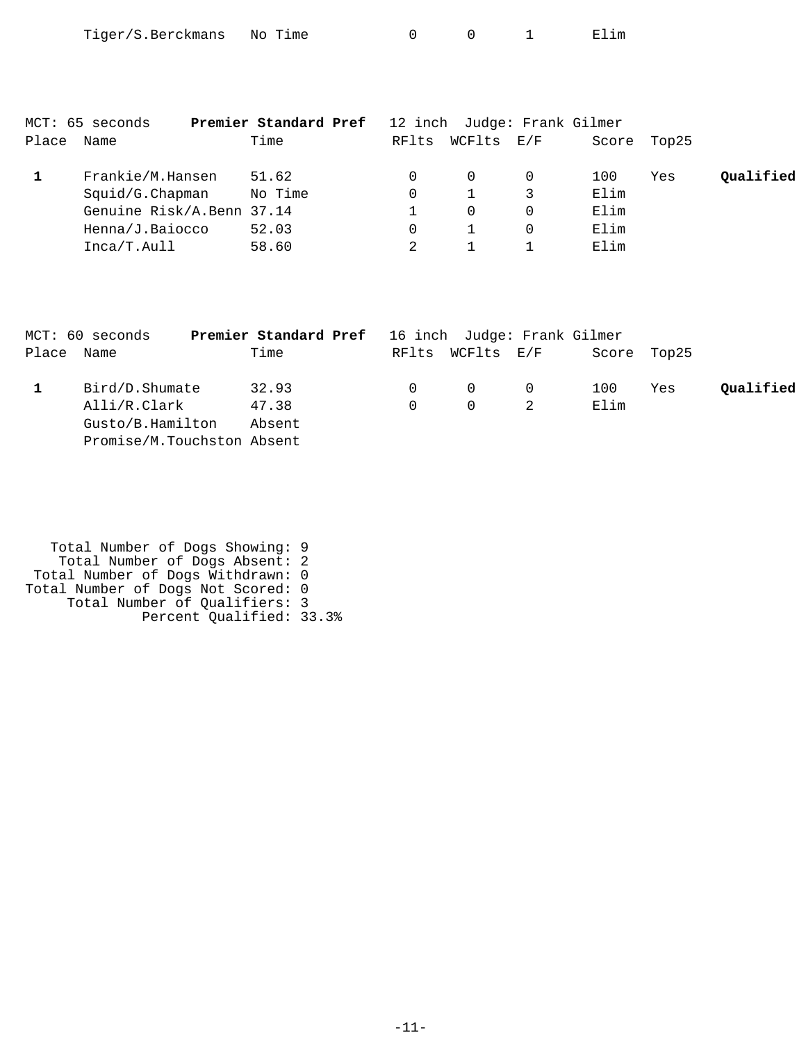| Tiger/S.Berckmans | No Time |  |  |  | Elim |
|-------------------|---------|--|--|--|------|
|-------------------|---------|--|--|--|------|

|       | MCT: 65 seconds           | Premier Standard Pref |          | 12 inch Judge: Frank Gilmer |       |       |           |
|-------|---------------------------|-----------------------|----------|-----------------------------|-------|-------|-----------|
| Place | Name                      | Time                  | RFlts    | WCFlts E/F                  | Score | Top25 |           |
|       | Frankie/M.Hansen          | 51.62                 | 0        | $\Omega$                    | 100   | Yes   | Qualified |
|       | Squid/G.Chapman           | No Time               | $\Omega$ |                             | Elim  |       |           |
|       | Genuine Risk/A.Benn 37.14 |                       |          | $\Omega$                    | Elim  |       |           |
|       | Henna/J.Baiocco           | 52.03                 | 0        |                             | Elim  |       |           |
|       | Inca/T.Aull               | 58.60                 |          |                             | Elim  |       |           |
|       |                           |                       |          |                             |       |       |           |

| MCT: 60 seconds                                                | Premier Standard Pref 16 inch Judge: Frank Gilmer |          |                   |                |             |     |           |
|----------------------------------------------------------------|---------------------------------------------------|----------|-------------------|----------------|-------------|-----|-----------|
| Place Name                                                     | Time                                              |          | RFlts WCFlts E/F  |                | Score Top25 |     |           |
| Bird/D.Shumate                                                 | 32.93                                             | $\Omega$ | $0 \qquad \qquad$ | $\overline{0}$ | 100         | Yes | Qualified |
| Alli/R.Clark<br>Gusto/B.Hamilton<br>Promise/M.Touchston Absent | 47.38<br>Absent                                   | $\Omega$ | $\Omega$          |                | Elim        |     |           |
|                                                                |                                                   |          |                   |                |             |     |           |

| Total Number of Dogs Absent: 2     |  |
|------------------------------------|--|
|                                    |  |
| Total Number of Dogs Withdrawn: 0  |  |
| Total Number of Dogs Not Scored: 0 |  |
| Total Number of Qualifiers: 3      |  |
| Percent Qualified: 33.3%           |  |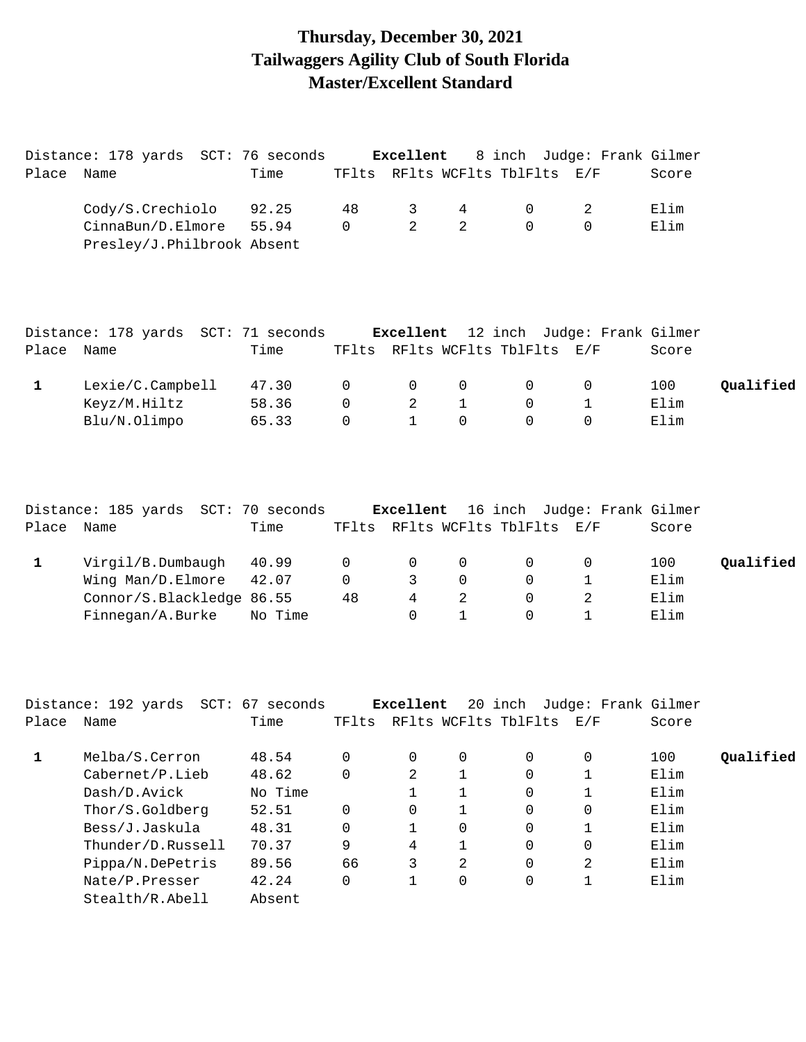### **Thursday, December 30, 2021 Tailwaggers Agility Club of South Florida Master/Excellent Standard**

|            | Distance: 178 yards SCT: 76 seconds |         |              | Excellent               |                |                                | 8 inch Judge: Frank Gilmer  |       |           |
|------------|-------------------------------------|---------|--------------|-------------------------|----------------|--------------------------------|-----------------------------|-------|-----------|
| Place      | Name                                | Time    |              |                         |                | TFlts RFlts WCFlts TblFlts E/F |                             | Score |           |
|            | Cody/S.Crechiolo                    | 92.25   | 48           | 3                       | 4              | 0                              | 2                           | Elim  |           |
|            | CinnaBun/D.Elmore                   | 55.94   | $\mathsf{O}$ | $\overline{2}$          | $\overline{2}$ | $\Omega$                       | $\Omega$                    | Elim  |           |
|            | Presley/J.Philbrook Absent          |         |              |                         |                |                                |                             |       |           |
|            | Distance: 178 yards SCT: 71 seconds |         |              | Excellent               |                |                                | 12 inch Judge: Frank Gilmer |       |           |
| Place Name |                                     | Time    |              |                         |                | TFlts RFlts WCFlts TblFlts E/F |                             | Score |           |
| 1          | Lexie/C.Campbell                    | 47.30   | 0            | 0                       | 0              | 0                              | 0                           | 100   | Qualified |
|            | Keyz/M.Hiltz                        | 58.36   | 0            | 2                       | $\mathbf{1}$   | $\mathsf{O}$                   | $\mathbf 1$                 | Elim  |           |
|            | Blu/N.Olimpo                        | 65.33   | $\mathbf 0$  | $\mathbf{1}$            | $\mathbf 0$    | 0                              | $\mathbf 0$                 | Elim  |           |
| Place Name | Distance: 185 yards SCT: 70 seconds | Time    |              | Excellent               |                | TFlts RFlts WCFlts TblFlts E/F | 16 inch Judge: Frank Gilmer | Score |           |
|            |                                     |         |              |                         |                |                                |                             |       |           |
| 1          | Virgil/B.Dumbaugh                   | 40.99   | 0            | 0                       | 0              | 0                              | 0                           | 100   | Qualified |
|            | Wing Man/D.Elmore                   | 42.07   | $\mathbf 0$  | 3                       | 0              | 0                              | $\mathbf 1$                 | Elim  |           |
|            | Connor/S.Blackledge 86.55           |         | 48           | 4                       | 2              | $\mathbf 0$                    | 2                           | Elim  |           |
|            | Finnegan/A.Burke                    | No Time |              | $\Omega$                | $\mathbf{1}$   | $\Omega$                       | $\mathbf{1}$                | Elim  |           |
|            | Distance: 192 yards SCT: 67 seconds |         |              | Excellent               |                |                                | 20 inch Judge: Frank Gilmer |       |           |
| Place Name |                                     | Time    |              |                         |                | TFlts RFlts WCFlts TblFlts E/F |                             | Score |           |
| 1          | Melba/S.Cerron                      | 48.54   | 0            | 0                       | 0              | 0                              | 0                           | 100   | Qualified |
|            | Cabernet/P.Lieb                     | 48.62   | 0            | $\overline{\mathbf{c}}$ | $\mathbf 1$    | 0                              | $\mathbf 1$                 | Elim  |           |
|            | Dash/D.Avick                        | No Time |              | $\mathbf{1}$            | 1              | 0                              | 1                           | Elim  |           |
|            | Thor/S.Goldberg                     | 52.51   | 0            | $\Omega$                | $\mathbf 1$    | $\Omega$                       | 0                           | Elim  |           |
|            | Bess/J.Jaskula                      | 48.31   | 0            | 1                       | 0              | 0                              | 1                           | Elim  |           |
|            | Thunder/D.Russell                   | 70.37   | 9            | 4                       | $\mathbf 1$    | 0                              | 0                           | Elim  |           |

Pippa/N.DePetris 89.56 66 3 2 0 2 Elim Nate/P.Presser 42.24 0 1 0 0 1 Elim

Stealth/R.Abell Absent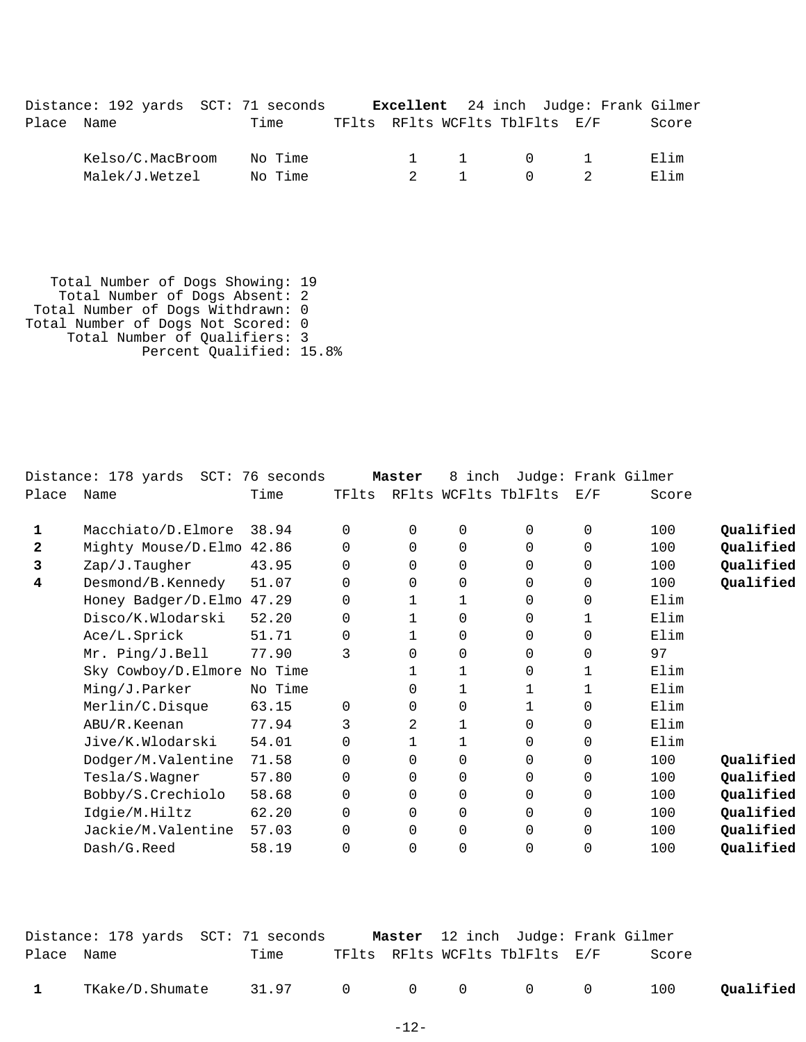|            | Distance: 192 yards SCT: 71 seconds |         |  | <b>Excellent</b> 24 inch Judge: Frank Gilmer |                                        |       |
|------------|-------------------------------------|---------|--|----------------------------------------------|----------------------------------------|-------|
| Place Name |                                     | Time    |  | TFlts RFlts WCFlts TblFlts E/F               |                                        | Score |
|            | Kelso/C.MacBroom                    | No Time |  | $1 \quad 1 \quad 0 \quad 1$                  |                                        | Elim  |
|            | Malek/J.Wetzel                      | No Time |  | 2 1                                          | $\begin{array}{ccc} 0 & 2 \end{array}$ | Elim  |

 Total Number of Dogs Showing: 19 Total Number of Dogs Absent: 2 Total Number of Dogs Withdrawn: 0 Total Number of Dogs Not Scored: 0 Total Number of Qualifiers: 3 Percent Qualified: 15.8%

|              | Distance: 178 yards SCT: 76 seconds |         |          | Master       | 8 inch         |                      |          | Judge: Frank Gilmer |           |
|--------------|-------------------------------------|---------|----------|--------------|----------------|----------------------|----------|---------------------|-----------|
| Place        | Name                                | Time    | TFlts    |              |                | RFlts WCFlts TblFlts | E/F      | Score               |           |
| 1            | Macchiato/D.Elmore                  | 38.94   | 0        | 0            | 0              | 0                    | 0        | 100                 | Qualified |
| $\mathbf{2}$ | Mighty Mouse/D.Elmo 42.86           |         | 0        | 0            | $\mathbf 0$    | 0                    | $\Omega$ | 100                 | Qualified |
| 3            | Zap/J.Taugher                       | 43.95   | 0        | $\Omega$     | $\mathbf 0$    | $\Omega$             | $\Omega$ | 100                 | Qualified |
| 4            | Desmond/B.Kennedy                   | 51.07   | $\Omega$ | $\Omega$     | 0              | 0                    | 0        | 100                 | Qualified |
|              | Honey Badger/D.Elmo 47.29           |         | 0        | 1            | 1              | 0                    | 0        | Elim                |           |
|              | Disco/K.Wlodarski                   | 52.20   | 0        | 1            | 0              | 0                    | 1        | Elim                |           |
|              | Ace/L.Sprick                        | 51.71   | 0        | $\mathbf{1}$ | 0              | 0                    | 0        | Elim                |           |
|              | Mr. Ping/J.Bell                     | 77.90   | 3        | $\Omega$     | 0              | 0                    | 0        | 97                  |           |
|              | Sky Cowboy/D.Elmore No Time         |         |          |              |                | 0                    |          | Elim                |           |
|              | Ming/J.Parker                       | No Time |          | 0            |                |                      | 1        | Elim                |           |
|              | Merlin/C.Disque                     | 63.15   | $\Omega$ | 0            | $\Omega$       |                      | 0        | Elim                |           |
|              | ABU/R.Keenan                        | 77.94   | 3        | 2            | $\mathbf{1}$   | $\Omega$             | $\Omega$ | Elim                |           |
|              | Jive/K.Wlodarski                    | 54.01   | $\Omega$ | $\mathbf{1}$ | $\mathbf{1}$   | 0                    | 0        | Elim                |           |
|              | Dodger/M.Valentine                  | 71.58   | $\Omega$ | $\Omega$     | $\Omega$       | $\Omega$             | $\Omega$ | 100                 | Qualified |
|              | Tesla/S.Wagner                      | 57.80   | 0        | $\Omega$     | 0              | 0                    | 0        | 100                 | Qualified |
|              | Bobby/S.Crechiolo                   | 58.68   | 0        | 0            | 0              | 0                    | 0        | 100                 | Qualified |
|              | Idgie/M.Hiltz                       | 62.20   | $\Omega$ | $\Omega$     | $\mathbf 0$    | $\Omega$             | 0        | 100                 | Qualified |
|              | Jackie/M.Valentine                  | 57.03   | 0        | $\Omega$     | 0              | 0                    | $\Omega$ | 100                 | Qualified |
|              | Dash/G.Reed                         | 58.19   | 0        | 0            | $\overline{0}$ | 0                    | 0        | 100                 | Qualified |
|              |                                     |         |          |              |                |                      |          |                     |           |

|            | Distance: 178 yards SCT: 71 seconds |                 |  | Master 12 inch Judge: Frank Gilmer |       |           |
|------------|-------------------------------------|-----------------|--|------------------------------------|-------|-----------|
| Place Name |                                     | Time            |  | TFlts RFlts WCFlts TblFlts E/F     | Score |           |
|            | TKake/D.Shumate                     | 31.97 0 0 0 0 0 |  |                                    | 100   | Qualified |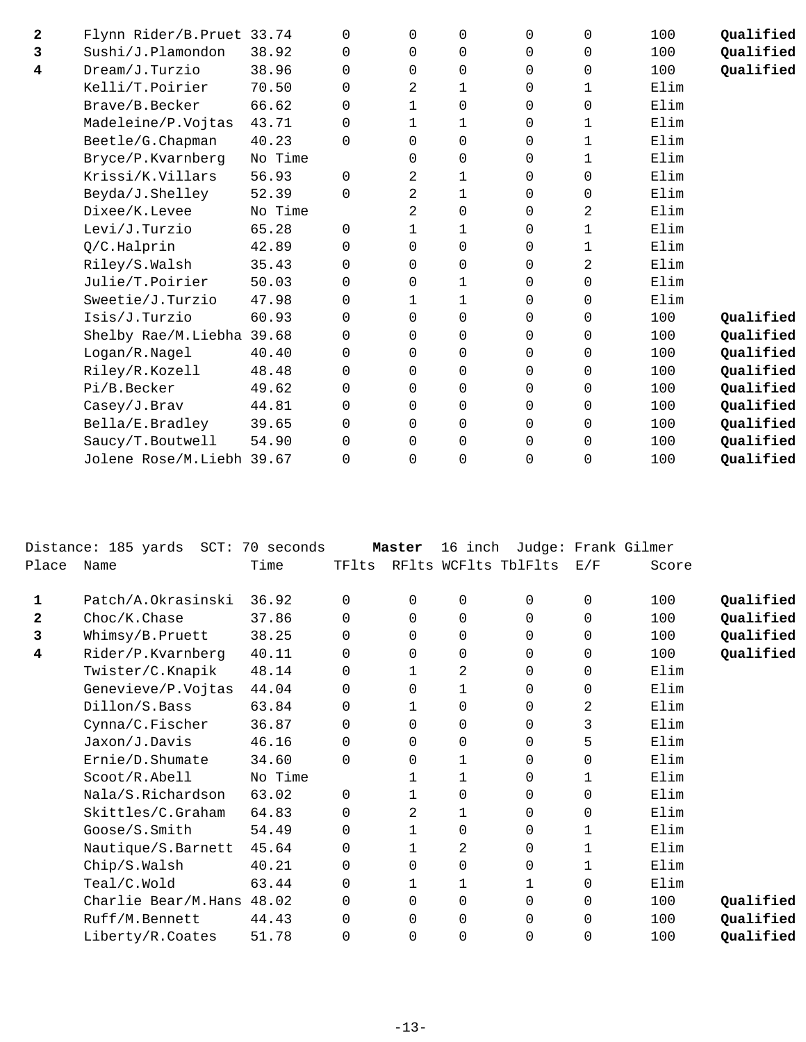| 2 | Flynn Rider/B.Pruet 33.74 |         | $\Omega$ | $\Omega$       | $\mathbf 0$ | $\Omega$ | 0           | 100  | Qualified |
|---|---------------------------|---------|----------|----------------|-------------|----------|-------------|------|-----------|
| 3 | Sushi/J.Plamondon         | 38.92   | $\Omega$ | $\Omega$       | $\Omega$    | $\Omega$ | $\Omega$    | 100  | Qualified |
| 4 | Dream/J.Turzio            | 38.96   | $\Omega$ | $\Omega$       | $\mathbf 0$ | $\Omega$ | 0           | 100  | Qualified |
|   | Kelli/T.Poirier           | 70.50   | $\Omega$ | 2              | $\mathbf 1$ | $\Omega$ | 1           | Elim |           |
|   | Brave/B.Becker            | 66.62   | $\Omega$ | $\mathbf 1$    | $\mathbf 0$ | $\Omega$ | $\Omega$    | Elim |           |
|   | Madeleine/P.Vojtas        | 43.71   | $\Omega$ | $\mathbf 1$    | $\mathbf 1$ | $\Omega$ | 1           | Elim |           |
|   | Beetle/G. Chapman         | 40.23   | 0        | 0              | $\mathbf 0$ | 0        | 1           | Elim |           |
|   | Bryce/P.Kvarnberg         | No Time |          | $\Omega$       | $\mathbf 0$ | 0        | 1           | Elim |           |
|   | Krissi/K.Villars          | 56.93   | 0        | 2              | 1           | 0        | $\mathbf 0$ | Elim |           |
|   | Beyda/J.Shelley           | 52.39   | $\Omega$ | $\overline{a}$ | $\mathbf 1$ | 0        | 0           | Elim |           |
|   | Dixee/K.Levee             | No Time |          | 2              | 0           | 0        | 2           | Elim |           |
|   | Levi/J.Turzio             | 65.28   | $\Omega$ | $\mathbf{1}$   | 1           | 0        | 1           | Elim |           |
|   | Q/C.Halprin               | 42.89   | $\Omega$ | $\Omega$       | 0           | 0        | 1           | Elim |           |
|   | Riley/S.Walsh             | 35.43   | 0        | 0              | 0           | 0        | 2           | Elim |           |
|   | Julie/T.Poirier           | 50.03   | 0        | 0              | 1           | 0        | 0           | Elim |           |
|   | Sweetie/J.Turzio          | 47.98   | $\Omega$ | 1              | 1           | 0        | $\Omega$    | Elim |           |
|   | Isis/J.Turzio             | 60.93   | 0        | $\mathbf 0$    | $\mathbf 0$ | 0        | 0           | 100  | Qualified |
|   | Shelby Rae/M.Liebha 39.68 |         | $\Omega$ | $\Omega$       | 0           | $\Omega$ | $\Omega$    | 100  | Qualified |
|   | Logan/R.Nagel             | 40.40   | $\Omega$ | $\Omega$       | $\mathbf 0$ | 0        | 0           | 100  | Qualified |
|   | Riley/R.Kozell            | 48.48   | $\Omega$ | $\Omega$       | 0           | $\Omega$ | 0           | 100  | Qualified |
|   | Pi/B.Becker               | 49.62   | $\Omega$ | $\Omega$       | $\Omega$    | $\Omega$ | $\Omega$    | 100  | Qualified |
|   | Casey/J.Brav              | 44.81   | $\Omega$ | $\Omega$       | 0           | $\Omega$ | 0           | 100  | Qualified |
|   | Bella/E.Bradley           | 39.65   | $\Omega$ | $\Omega$       | $\Omega$    | $\Omega$ | $\Omega$    | 100  | Qualified |
|   | Saucy/T.Boutwell          | 54.90   | $\Omega$ | $\Omega$       | $\mathbf 0$ | $\Omega$ | 0           | 100  | Qualified |
|   | Jolene Rose/M.Liebh 39.67 |         | 0        | $\Omega$       | 0           | $\Omega$ | $\mathbf 0$ | 100  | Qualified |
|   |                           |         |          |                |             |          |             |      |           |

|       | Distance: 185 yards SCT: 70 seconds |         |          | Master       |             | 16 inch Judge: Frank Gilmer |              |       |           |
|-------|-------------------------------------|---------|----------|--------------|-------------|-----------------------------|--------------|-------|-----------|
| Place | Name                                | Time    | TFlts    |              |             | RFlts WCFlts TblFlts        | E/F          | Score |           |
| 1     | Patch/A.Okrasinski                  | 36.92   | 0        | 0            | $\mathbf 0$ | 0                           | 0            | 100   | Qualified |
| 2     | Choc/K.Chase                        | 37.86   | 0        | 0            | 0           | 0                           | $\Omega$     | 100   | Qualified |
| 3     | Whimsy/B.Pruett                     | 38.25   | 0        | 0            | 0           | 0                           | $\Omega$     | 100   | Qualified |
| 4     | Rider/P.Kvarnberg                   | 40.11   | $\Omega$ | $\Omega$     | $\Omega$    | 0                           | $\Omega$     | 100   | Qualified |
|       | Twister/C.Knapik                    | 48.14   | 0        | 1            | 2           | 0                           | 0            | Elim  |           |
|       | Genevieve/P.Vojtas                  | 44.04   | 0        | $\Omega$     | 1           | 0                           | $\mathbf 0$  | Elim  |           |
|       | Dillon/S.Bass                       | 63.84   | 0        | 1            | 0           | 0                           | 2            | Elim  |           |
|       | Cynna/C.Fischer                     | 36.87   | $\Omega$ | $\Omega$     | 0           | 0                           | 3            | Elim  |           |
|       | Jaxon/J.Davis                       | 46.16   | $\Omega$ | $\Omega$     | $\Omega$    | 0                           | 5            | Elim  |           |
|       | Ernie/D.Shumate                     | 34.60   | $\Omega$ | $\Omega$     | 1           | 0                           | $\Omega$     | Elim  |           |
|       | Scoot/R.Abell                       | No Time |          | 1            | 1           | 0                           | 1            | Elim  |           |
|       | Nala/S.Richardson                   | 63.02   | $\Omega$ | $\mathbf{1}$ | 0           | 0                           | $\Omega$     | Elim  |           |
|       | Skittles/C.Graham                   | 64.83   | $\Omega$ | 2            | 1           | 0                           | $\Omega$     | Elim  |           |
|       | Goose/S.Smith                       | 54.49   | $\Omega$ | $\mathbf{1}$ | 0           | 0                           | $\mathbf 1$  | Elim  |           |
|       | Nautique/S.Barnett                  | 45.64   | 0        | 1            | 2           | 0                           | 1            | Elim  |           |
|       | Chip/S.Walsh                        | 40.21   | 0        | 0            | 0           | 0                           | $\mathbf{1}$ | Elim  |           |
|       | Teal/C.Wold                         | 63.44   | $\Omega$ | 1            | 1           | 1                           | $\Omega$     | Elim  |           |
|       | Charlie Bear/M.Hans                 | 48.02   | $\Omega$ | $\Omega$     | $\Omega$    | $\Omega$                    | $\Omega$     | 100   | Qualified |
|       | Ruff/M.Bennett                      | 44.43   | 0        | $\Omega$     | 0           | 0                           | 0            | 100   | Qualified |
|       | Liberty/R.Coates                    | 51.78   | 0        | 0            | 0           | 0                           | $\Omega$     | 100   | Qualified |
|       |                                     |         |          |              |             |                             |              |       |           |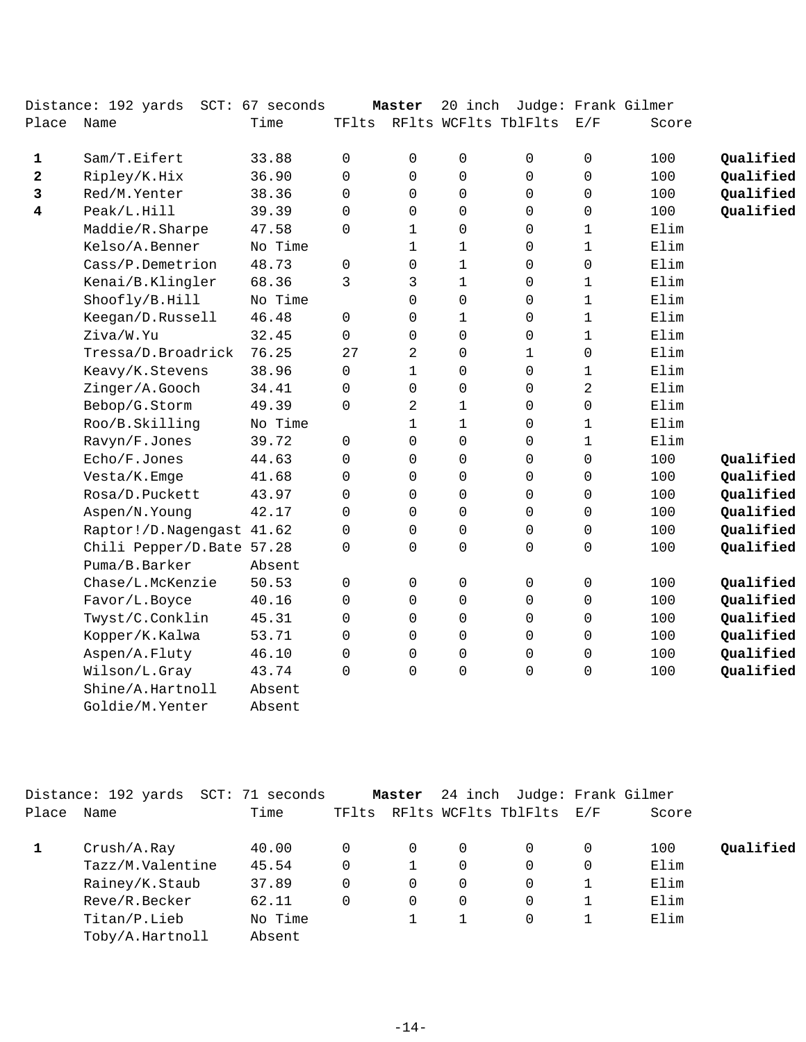|              | Distance: 192 yards SCT: 67 seconds |         |                | Master      | 20 inch              |                     |             | Judge: Frank Gilmer |           |
|--------------|-------------------------------------|---------|----------------|-------------|----------------------|---------------------|-------------|---------------------|-----------|
| Place        | Name                                | Time    | TFlts          |             | RFlts WCFlts TblFlts |                     | E/F         | Score               |           |
| $\mathbf{1}$ | Sam/T.Eifert                        | 33.88   | $\Omega$       | 0           | 0                    | $\mathsf{O}$        | $\mathbf 0$ | 100                 | Qualified |
| $\mathbf{2}$ | Ripley/K.Hix                        | 36.90   | 0              | 0           | 0                    | $\mathbf 0$         | 0           | 100                 | Qualified |
| 3            | Red/M.Yenter                        | 38.36   | 0              | $\Omega$    | 0                    | $\mathbf 0$         | $\mathbf 0$ | 100                 | Qualified |
| 4            | Peak/L.Hill                         | 39.39   | 0              | 0           | 0                    | 0                   | 0           | 100                 | Qualified |
|              | Maddie/R.Sharpe                     | 47.58   | $\mathbf 0$    | $\mathbf 1$ | $\mathsf{O}\xspace$  | $\mathsf{O}\xspace$ | $\mathbf 1$ | Elim                |           |
|              | Kelso/A.Benner                      | No Time |                | 1           | $\mathbf{1}$         | 0                   | $\mathbf 1$ | Elim                |           |
|              | Cass/P.Demetrion                    | 48.73   | 0              | $\Omega$    | $\mathbf{1}$         | $\mathsf{O}$        | $\mathsf 0$ | Elim                |           |
|              | Kenai/B.Klingler                    | 68.36   | 3              | 3           | $\mathbf 1$          | 0                   | 1           | Elim                |           |
|              | Shoofly/B.Hill                      | No Time |                | $\Omega$    | $\mathsf{O}\xspace$  | $\mathbf 0$         | $\mathbf 1$ | Elim                |           |
|              | Keegan/D.Russell                    | 46.48   | 0              | $\Omega$    | $\mathbf 1$          | 0                   | $\mathbf 1$ | Elim                |           |
|              | Ziva/W.Yu                           | 32.45   | $\overline{0}$ | 0           | $\mathsf{O}\xspace$  | $\mathsf{O}\xspace$ | $\mathbf 1$ | Elim                |           |
|              | Tressa/D.Broadrick                  | 76.25   | 27             | 2           | 0                    | $\mathbf{1}$        | 0           | Elim                |           |
|              | Keavy/K.Stevens                     | 38.96   | $\mathsf{O}$   | $\mathbf 1$ | $\mathsf{O}\xspace$  | $\mathsf{O}$        | 1           | Elim                |           |
|              | Zinger/A.Gooch                      | 34.41   | $\Omega$       | $\Omega$    | 0                    | $\Omega$            | 2           | Elim                |           |
|              | Bebop/G.Storm                       | 49.39   | $\Omega$       | 2           | $\mathbf 1$          | $\mathbf 0$         | 0           | Elim                |           |
|              | Roo/B.Skilling                      | No Time |                | $\mathbf 1$ | $\mathbf{1}$         | $\Omega$            | 1           | Elim                |           |
|              | Ravyn/F.Jones                       | 39.72   | 0              | $\Omega$    | $\mathsf{O}\xspace$  | $\mathbf 0$         | $\mathbf 1$ | Elim                |           |
|              | Echo/F.Jones                        | 44.63   | 0              | 0           | 0                    | 0                   | $\mathbf 0$ | 100                 | Qualified |
|              | Vesta/K.Emge                        | 41.68   | 0              | 0           | $\mathsf{O}\xspace$  | $\mathsf{O}\xspace$ | $\mathsf 0$ | 100                 | Qualified |
|              | Rosa/D.Puckett                      | 43.97   | $\mathbf 0$    | $\Omega$    | $\mathbf 0$          | $\mathbf 0$         | $\mathbf 0$ | 100                 | Qualified |
|              | Aspen/N.Young                       | 42.17   | 0              | $\Omega$    | 0                    | $\mathbf 0$         | $\mathbf 0$ | 100                 | Qualified |
|              | Raptor!/D.Nagengast 41.62           |         | 0              | $\Omega$    | 0                    | $\mathbf 0$         | $\mathbf 0$ | 100                 | Qualified |
|              | Chili Pepper/D.Bate 57.28           |         | 0              | 0           | $\mathsf{O}\xspace$  | $\mathbf 0$         | $\mathbf 0$ | 100                 | Qualified |
|              | Puma/B.Barker                       | Absent  |                |             |                      |                     |             |                     |           |
|              | Chase/L.McKenzie                    | 50.53   | 0              | 0           | $\mathsf{O}\xspace$  | $\mathsf{O}$        | $\mathsf 0$ | 100                 | Qualified |
|              | Favor/L.Boyce                       | 40.16   | 0              | 0           | $\mathsf{O}\xspace$  | $\mathsf{O}$        | $\mathsf 0$ | 100                 | Qualified |
|              | Twyst/C.Conklin                     | 45.31   | 0              | $\Omega$    | 0                    | $\mathsf{O}$        | 0           | 100                 | Qualified |
|              | Kopper/K.Kalwa                      | 53.71   | $\Omega$       | $\Omega$    | 0                    | $\mathbf 0$         | 0           | 100                 | Qualified |
|              | Aspen/A.Fluty                       | 46.10   | 0              | 0           | 0                    | $\mathbf 0$         | $\mathbf 0$ | 100                 | Qualified |
|              | Wilson/L.Gray                       | 43.74   | $\mathbf 0$    | $\Omega$    | $\mathbf 0$          | $\mathbf 0$         | $\mathbf 0$ | 100                 | Qualified |
|              | Shine/A.Hartnoll                    | Absent  |                |             |                      |                     |             |                     |           |
|              | Goldie/M. Yenter                    | Absent  |                |             |                      |                     |             |                     |           |

|       | Distance: 192 yards | SCT: 71 seconds |          | Master   |   | 24 inch Judge: Frank Gilmer |       |           |
|-------|---------------------|-----------------|----------|----------|---|-----------------------------|-------|-----------|
| Place | Name                | Time            | TFlts    |          |   | RFlts WCFlts TblFlts E/F    | Score |           |
|       | Crush/A.Ray         | 40.00           |          | $\Omega$ | 0 |                             | 100   | Qualified |
|       | Tazz/M.Valentine    | 45.54           | $\Omega$ |          | 0 | 0                           | Elim  |           |
|       | Rainey/K.Staub      | 37.89           |          | 0        | 0 | 0                           | Elim  |           |
|       | Reve/R.Becker       | 62.11           |          | 0        | 0 | 0                           | Elim  |           |
|       | Titan/P.Lieb        | No Time         |          |          |   |                             | Elim  |           |
|       | Toby/A.Hartnoll     | Absent          |          |          |   |                             |       |           |
|       |                     |                 |          |          |   |                             |       |           |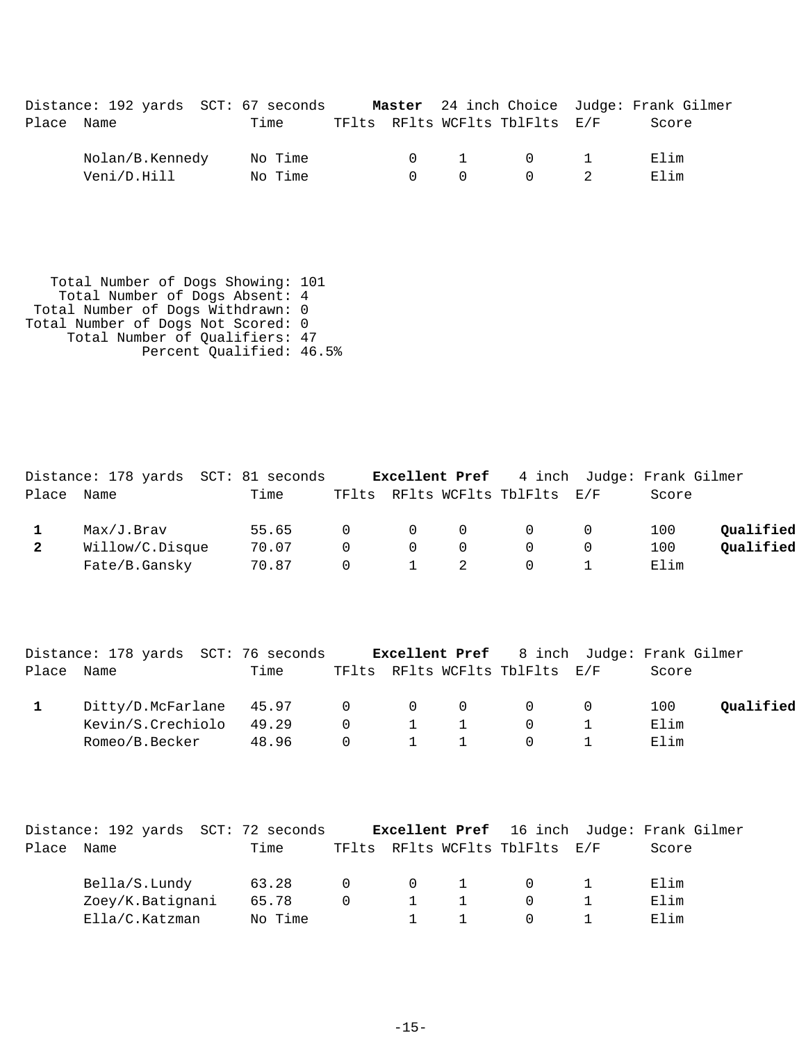|            | Distance: 192 yards  SCT: 67 seconds |         |  |                   |                                        | Master 24 inch Choice Judge: Frank Gilmer |
|------------|--------------------------------------|---------|--|-------------------|----------------------------------------|-------------------------------------------|
| Place Name |                                      | Time    |  |                   | TFlts RFlts WCFlts TblFlts E/F         | Score                                     |
|            | Nolan/B.Kennedy                      | No Time |  |                   | $0 \qquad 1 \qquad 0 \qquad 1$         | Flim                                      |
|            | Veni/D.Hill                          | No Time |  | $\Omega$ $\Omega$ | $\begin{array}{ccc} 0 & 2 \end{array}$ | Flim                                      |

 Total Number of Dogs Showing: 101 Total Number of Dogs Absent: 4 Total Number of Dogs Withdrawn: 0 Total Number of Dogs Not Scored: 0 Total Number of Qualifiers: 47 Percent Qualified: 46.5%

|            | Distance: 178 yards SCT: 81 seconds |       |          |                | Excellent Pref                          |                                            | 4 inch Judge: Frank Gilmer |       |           |
|------------|-------------------------------------|-------|----------|----------------|-----------------------------------------|--------------------------------------------|----------------------------|-------|-----------|
| Place Name |                                     | Time  |          |                |                                         | TFlts RFlts WCFlts TblFlts E/F             |                            | Score |           |
|            | Max/J.Brav                          | 55.65 |          |                | $\begin{matrix} 0 & 0 & 0 \end{matrix}$ | $\begin{array}{ccc} & & & 0 & \end{array}$ |                            | 100   | Qualified |
|            | Willow/C.Disque                     | 70.07 | $\Omega$ | $\overline{0}$ | $\Omega$                                | $\overline{0}$                             |                            | 100   | Oualified |
|            | Fate/B.Gansky                       | 70.87 | $\Omega$ | $\sim$ 1       |                                         | $\circ$                                    |                            | Elim  |           |

|            | Distance: 178 yards SCT: 76 seconds |       |                |   |          |                                | <b>Excellent Pref</b> 8 inch Judge: Frank Gilmer |           |
|------------|-------------------------------------|-------|----------------|---|----------|--------------------------------|--------------------------------------------------|-----------|
| Place Name |                                     | Time  |                |   |          | TFlts RFlts WCFlts TblFlts E/F | Score                                            |           |
|            | $Ditty/D.McFarlane$ 45.97 0 0 0 0 0 |       |                |   |          |                                | 100                                              | Oualified |
|            | Kevin/S.Crechiolo                   | 49.29 | $\bigcap$      | 1 | $\sim$ 1 | $\cap$                         | Elim                                             |           |
|            | Romeo/B.Becker                      | 48.96 | $\overline{0}$ |   |          |                                | Elim                                             |           |

|       | Distance: 192 yards SCT: 72 seconds |         |          |                                        |                                | <b>Excellent Pref</b> 16 inch Judge: Frank Gilmer |
|-------|-------------------------------------|---------|----------|----------------------------------------|--------------------------------|---------------------------------------------------|
| Place | Name                                | Time    |          |                                        | TFlts RFlts WCFlts TblFlts E/F | Score                                             |
|       | Bella/S.Lundy                       | 63.28   | $\Omega$ | $\begin{array}{ccc} 0 & 1 \end{array}$ | $\Omega$                       | Elim                                              |
|       | Zoey/K.Batignani                    | 65.78   |          |                                        |                                | Elim                                              |
|       | Ella/C.Katzman                      | No Time |          |                                        |                                | Elim                                              |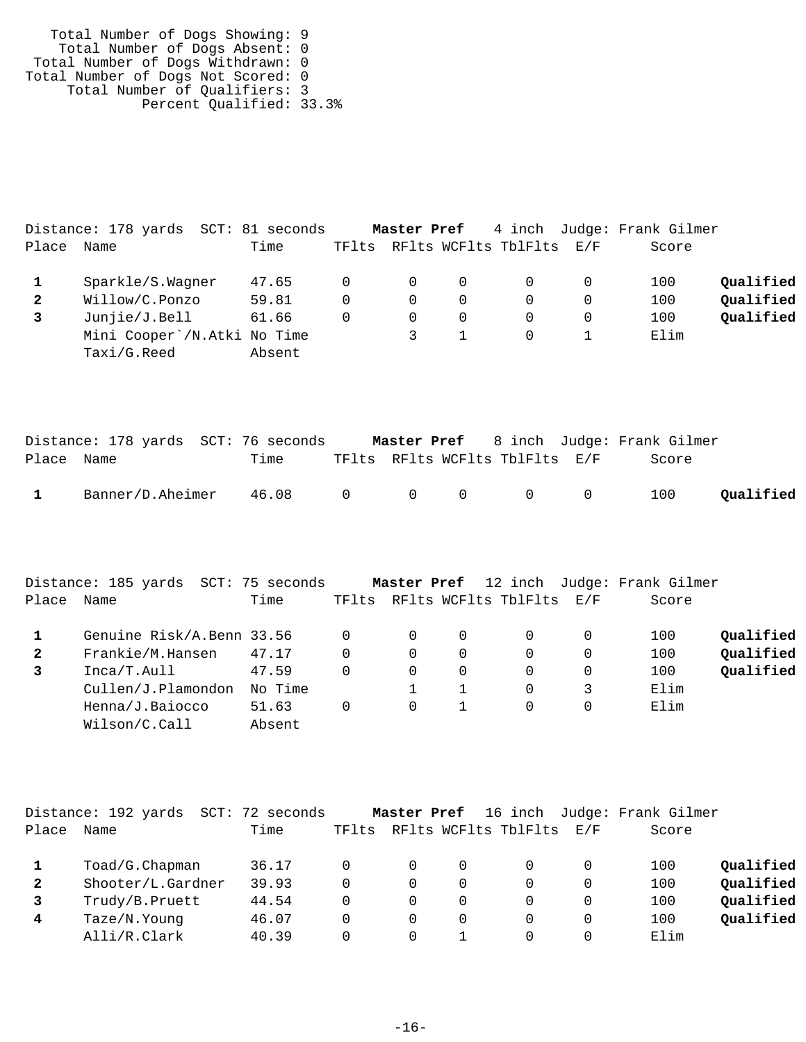Total Number of Dogs Showing: 9 Total Number of Dogs Absent: 0 Total Number of Dogs Withdrawn: 0 Total Number of Dogs Not Scored: 0 Total Number of Qualifiers: 3 Percent Qualified: 33.3%

|              | Distance: 178 yards SCT: 81 seconds |        |          |          |                                | Master Pref 4 inch Judge: Frank Gilmer |           |
|--------------|-------------------------------------|--------|----------|----------|--------------------------------|----------------------------------------|-----------|
| Place        | Name                                | Time   |          |          | TFlts RFlts WCFlts TblFlts E/F | Score                                  |           |
|              | Sparkle/S.Wagner                    | 47.65  | 0        | $\Omega$ |                                | 100                                    | Qualified |
| $\mathbf{2}$ | Willow/C.Ponzo                      | 59.81  | $\Omega$ | $\Omega$ |                                | 100                                    | Qualified |
|              | Junjie/J.Bell                       | 61.66  | 0        | 0        |                                | 100                                    | Qualified |
|              | Mini Cooper`/N.Atki No Time         |        |          |          |                                | Elim                                   |           |
|              | Taxi/G.Reed                         | Absent |          |          |                                |                                        |           |

|              | Distance: 178 yards SCT: 76 seconds |                 |  |                                | <b>Master Pref</b> 8 inch Judge: Frank Gilmer |           |
|--------------|-------------------------------------|-----------------|--|--------------------------------|-----------------------------------------------|-----------|
| Place Name   |                                     | Time            |  | TFlts RFlts WCFlts TblFlts E/F | Score                                         |           |
| $\mathbf{1}$ | Banner/D.Aheimer                    | 46.08 0 0 0 0 0 |  |                                | 100                                           | Qualified |

|              | Distance: 185 yards SCT: 75 seconds |         |       | Master Pref |          |                          |          | 12 inch Judge: Frank Gilmer |           |
|--------------|-------------------------------------|---------|-------|-------------|----------|--------------------------|----------|-----------------------------|-----------|
| Place        | Name                                | Time    | TFlts |             |          | RFlts WCFlts TblFlts E/F |          | Score                       |           |
|              | Genuine Risk/A.Benn 33.56           |         | 0     | $\Omega$    | 0        |                          | 0        | 100                         | Qualified |
| $\mathbf{2}$ | Frankie/M.Hansen                    | 47.17   | 0     | $\Omega$    | $\Omega$ |                          | $\Omega$ | 100                         | Qualified |
|              | Inca/T.Aull                         | 47.59   | 0     | 0           | $\Omega$ |                          | $\Omega$ | 100                         | Qualified |
|              | Cullen/J.Plamondon                  | No Time |       |             |          |                          | 3        | Elim                        |           |
|              | Henna/J.Baiocco                     | 51.63   | 0     | $\Omega$    |          |                          | $\Omega$ | Elim                        |           |
|              | Wilson/C.Call                       | Absent  |       |             |          |                          |          |                             |           |

|              | Distance: 192 yards<br>SCT: | 72 seconds |       | Master Pref |   | 16 inch              |          | Judge: Frank Gilmer |           |
|--------------|-----------------------------|------------|-------|-------------|---|----------------------|----------|---------------------|-----------|
| Place        | Name                        | Time       | TFlts |             |   | RFlts WCFlts TblFlts | F. / F   | Score               |           |
|              | Toad/G.Chapman              | 36.17      |       |             | 0 |                      | 0        | 100                 | Qualified |
| $\mathbf{2}$ | Shooter/L.Gardner           | 39.93      |       | $\Omega$    | 0 |                      | $\Omega$ | 100                 | Qualified |
|              | Trudy/B.Pruett              | 44.54      |       | $\Omega$    | 0 |                      | $\Omega$ | 100                 | Qualified |
| 4            | Taze/N.Young                | 46.07      |       | $\Omega$    | 0 |                      | $\Omega$ | 100                 | Qualified |
|              | Alli/R.Clark                | 40.39      |       |             |   |                      | 0        | Elim                |           |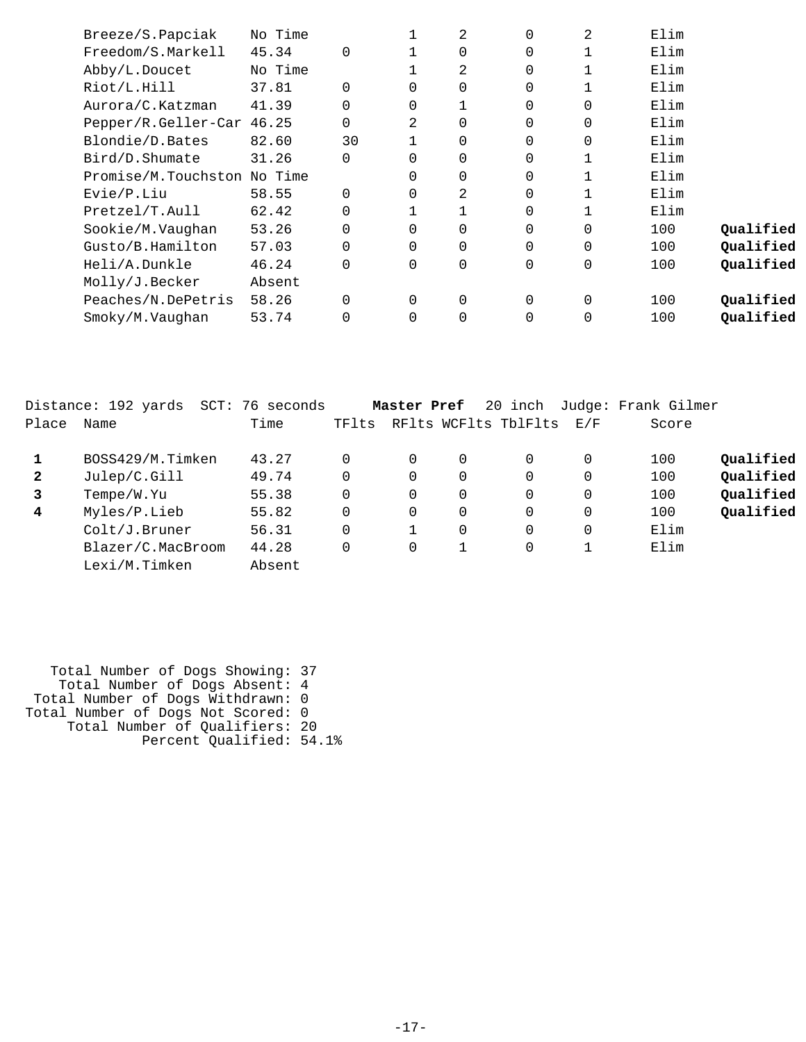| Breeze/S.Papciak            | No Time |             |          | 2           | $\Omega$    | 2              | Elim |           |
|-----------------------------|---------|-------------|----------|-------------|-------------|----------------|------|-----------|
| Freedom/S.Markell           | 45.34   | $\Omega$    |          | $\Omega$    | 0           |                | Elim |           |
| Abby/L.Doucet               | No Time |             |          | 2           | 0           |                | Elim |           |
| Riot/L.Hill                 | 37.81   | $\mathbf 0$ | 0        | 0           | 0           |                | Elim |           |
| Aurora/C.Katzman            | 41.39   | $\Omega$    | 0        |             | 0           | $\mathbf 0$    | Elim |           |
| Pepper/R.Geller-Car         | 46.25   |             | 2        | 0           | 0           | $\mathbf 0$    | Elim |           |
| Blondie/D.Bates             | 82.60   | 30          |          | $\Omega$    | 0           | $\overline{0}$ | Elim |           |
| Bird/D.Shumate              | 31.26   | $\Omega$    | $\Omega$ | 0           | 0           |                | Elim |           |
| Promise/M.Touchston No Time |         |             | $\Omega$ | 0           | 0           |                | Elim |           |
| Evie/P.Liu                  | 58.55   | $\Omega$    | 0        | 2           | 0           |                | Elim |           |
| Pretzel/T.Aull              | 62.42   | $\Omega$    |          |             | 0           |                | Elim |           |
| Sookie/M.Vaughan            | 53.26   |             | $\Omega$ | 0           | 0           | $\Omega$       | 100  | Qualified |
| Gusto/B.Hamilton            | 57.03   | $\Omega$    | $\Omega$ | $\Omega$    | 0           | $\mathbf 0$    | 100  | Qualified |
| Heli/A.Dunkle               | 46.24   | $\Omega$    | $\Omega$ | $\mathbf 0$ | 0           | $\mathbf 0$    | 100  | Qualified |
| Molly/J.Becker              | Absent  |             |          |             |             |                |      |           |
| Peaches/N.DePetris          | 58.26   | $\Omega$    | 0        | 0           | $\mathbf 0$ | $\mathbf 0$    | 100  | Qualified |
| Smoky/M.Vaughan             | 53.74   | $\Omega$    | $\Omega$ | 0           | 0           | 0              | 100  | Qualified |
|                             |         |             |          |             |             |                |      |           |

|              | Distance: 192 yards | SCT: 76 seconds |       | Master Pref |          | 20 inch              |          | Judge: Frank Gilmer |           |
|--------------|---------------------|-----------------|-------|-------------|----------|----------------------|----------|---------------------|-----------|
| Place        | Name                | Time            | TFlts |             |          | RFlts WCFlts TblFlts | E/F      | Score               |           |
|              | BOSS429/M.Timken    | 43.27           | 0     | $\Omega$    | $\Omega$ |                      | $\Omega$ | 100                 | Qualified |
| $\mathbf{2}$ | Julep/C.Gill        | 49.74           |       | $\Omega$    | $\Omega$ | 0                    | 0        | 100                 | Qualified |
| 3            | Tempe/W.Yu          | 55.38           | 0     | $\Omega$    | $\Omega$ | 0                    | 0        | 100                 | Qualified |
| 4            | Myles/P.Lieb        | 55.82           | 0     | $\Omega$    | 0        | 0                    | 0        | 100                 | Qualified |
|              | Colt/J.Bruner       | 56.31           | 0     |             | 0        | 0                    | 0        | Elim                |           |
|              | Blazer/C.MacBroom   | 44.28           | 0     | 0           |          |                      |          | Elim                |           |
|              | Lexi/M.Timken       | Absent          |       |             |          |                      |          |                     |           |

| Total Number of Dogs Showing: 37   |  |
|------------------------------------|--|
| Total Number of Dogs Absent: 4     |  |
| Total Number of Dogs Withdrawn: 0  |  |
| Total Number of Dogs Not Scored: 0 |  |
| Total Number of Qualifiers: 20     |  |
| Percent Qualified: 54.1%           |  |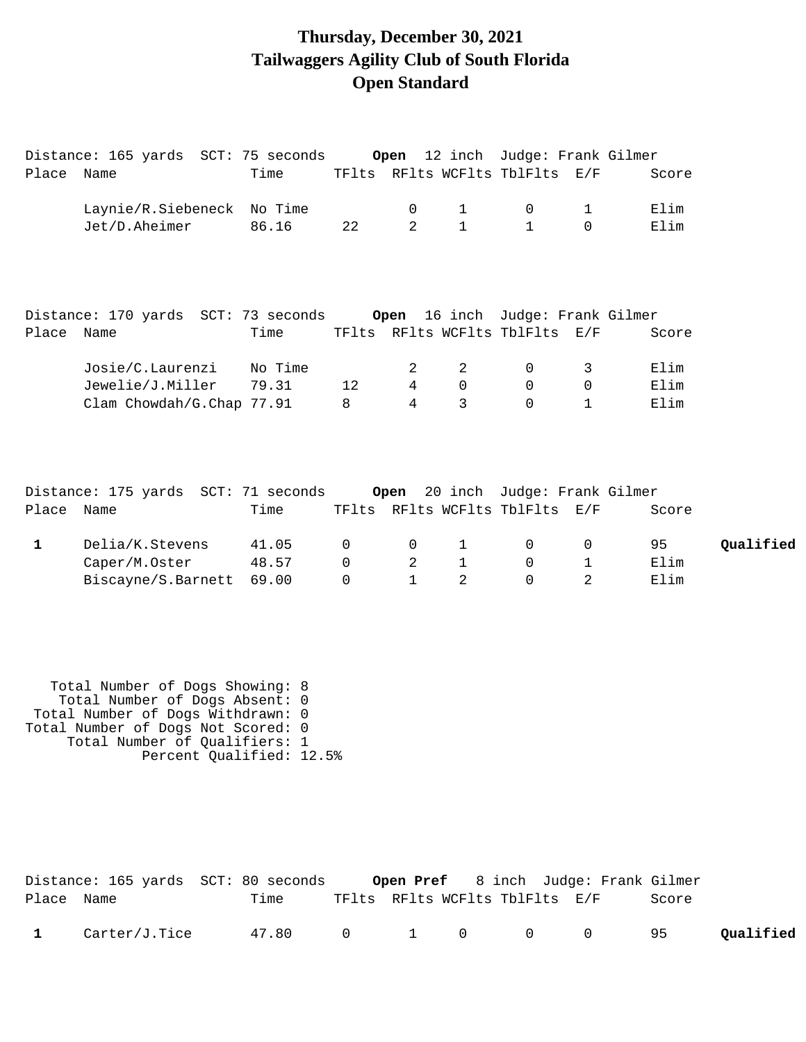### **Thursday, December 30, 2021 Tailwaggers Agility Club of South Florida Open Standard**

|              | Distance: 165 yards  SCT: 75 seconds <b>Open</b> 12 inch  Judge: Frank Gilmer |       |          |                |              |                                |                     |       |           |
|--------------|-------------------------------------------------------------------------------|-------|----------|----------------|--------------|--------------------------------|---------------------|-------|-----------|
| Place Name   |                                                                               | Time  |          |                |              | TFlts RFlts WCFlts TblFlts E/F |                     | Score |           |
|              | Laynie/R.Siebeneck No Time                                                    |       |          | 0              | $\mathbf{1}$ | $\overline{0}$                 | 1                   | Elim  |           |
|              | Jet/D.Aheimer                                                                 | 86.16 | 22       | $\overline{2}$ | $\mathbf{1}$ | $\mathbf{1}$                   | $\Omega$            | Elim  |           |
|              |                                                                               |       |          |                |              |                                |                     |       |           |
|              |                                                                               |       |          |                |              |                                |                     |       |           |
| Place Name   |                                                                               | Time  |          |                |              | TFlts RFlts WCFlts TblFlts E/F |                     | Score |           |
|              | Josie/C.Laurenzi No Time                                                      |       |          | 2              | 2            | $\overline{0}$                 | 3                   | Elim  |           |
|              | Jewelie/J.Miller                                                              | 79.31 | 12       | $\overline{4}$ | $\mathbf 0$  | $\overline{0}$                 | $\mathsf{O}\xspace$ | Elim  |           |
|              | Clam Chowdah/G.Chap 77.91                                                     |       | 8        | 4              | 3            | $\Omega$                       | $\mathbf{1}$        | Elim  |           |
| Place Name   |                                                                               | Time  |          |                |              | TFlts RFlts WCFlts TblFlts E/F |                     | Score |           |
|              |                                                                               |       |          |                |              |                                |                     |       |           |
| $\mathbf{1}$ | Delia/K.Stevens                                                               | 41.05 | $\Omega$ | $\mathbf 0$    | $\mathbf{1}$ | $\overline{0}$                 | $\mathbf 0$         | 95    | Qualified |
|              | Caper/M.Oster                                                                 | 48.57 | $\Omega$ | 2              | $\mathbf{1}$ | $\overline{0}$                 | 1                   | Elim  |           |
|              | Biscayne/S.Barnett 69.00                                                      |       | $\Omega$ | $\mathbf{1}$   | 2            | $\Omega$                       | 2                   | Elim  |           |
|              |                                                                               |       |          |                |              |                                |                     |       |           |
|              |                                                                               |       |          |                |              |                                |                     |       |           |
|              |                                                                               |       |          |                |              |                                |                     |       |           |

 Total Number of Dogs Showing: 8 Total Number of Dogs Absent: 0 Total Number of Dogs Withdrawn: 0 Total Number of Dogs Not Scored: 0 Total Number of Qualifiers: 1 Percent Qualified: 12.5%

|              |               | Distance: 165 yards SCT: 80 seconds |  |  |                                | <b>Open Pref</b> 8 inch Judge: Frank Gilmer |           |
|--------------|---------------|-------------------------------------|--|--|--------------------------------|---------------------------------------------|-----------|
| Place Name   |               | Time                                |  |  | TFlts RFlts WCFlts TblFlts E/F | Score                                       |           |
| $\mathbf{1}$ | Carter/J.Tice | 47.80 0 1 0 0 0 95                  |  |  |                                |                                             | Qualified |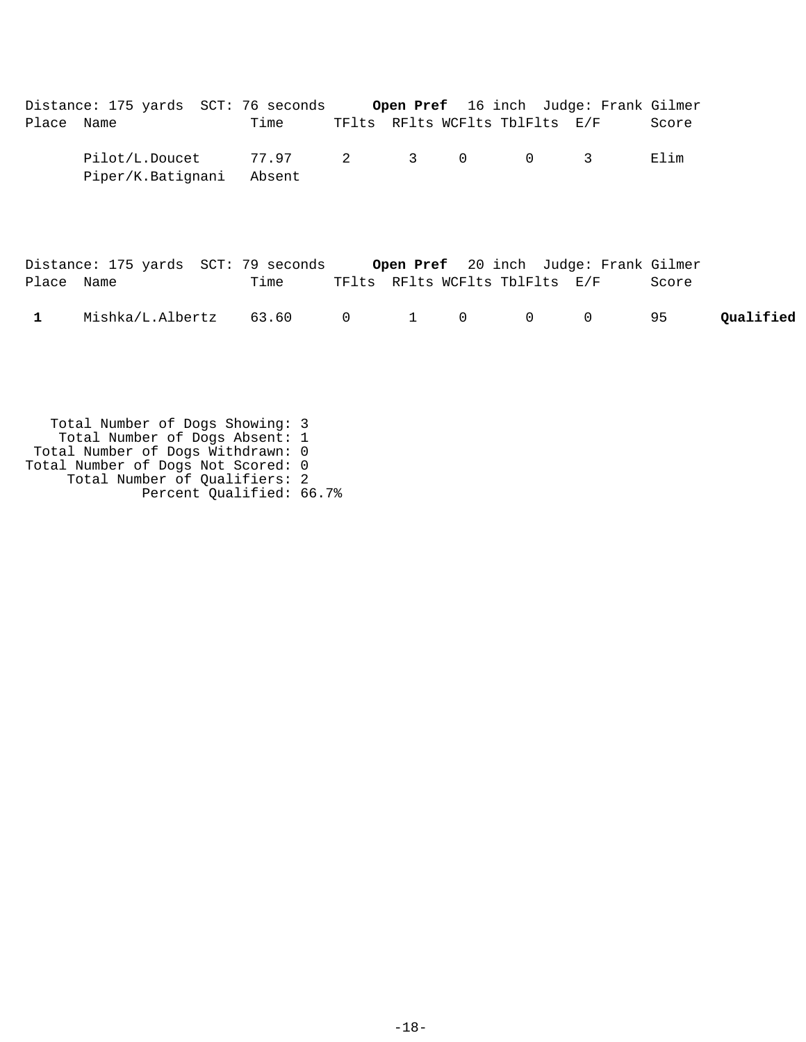|            | Distance: 175 yards SCT: 76 seconds Open Pref 16 inch Judge: Frank Gilmer |      |  |                                |  |       |
|------------|---------------------------------------------------------------------------|------|--|--------------------------------|--|-------|
| Place Name |                                                                           | Time |  | TFlts RFlts WCFlts TblFlts E/F |  | Score |
|            | Pilot/L.Doucet 77.97 2 3 0 0 3<br>Piper/K.Batignani Absent                |      |  |                                |  | Elim  |

|            | Distance: 175 yards SCT: 79 seconds <b>Open Pref</b> 20 inch Judge: Frank Gilmer |  |                                |  |       |           |
|------------|----------------------------------------------------------------------------------|--|--------------------------------|--|-------|-----------|
| Place Name | Time                                                                             |  | TFlts RFlts WCFlts TblFlts E/F |  | Score |           |
|            | Mishka/L.Albertz 63.60 0 1 0 0 0 95                                              |  |                                |  |       | Qualified |

```
 Total Number of Dogs Showing: 3
 Total Number of Dogs Absent: 1
 Total Number of Dogs Withdrawn: 0
Total Number of Dogs Not Scored: 0
 Total Number of Qualifiers: 2
 Percent Qualified: 66.7%
```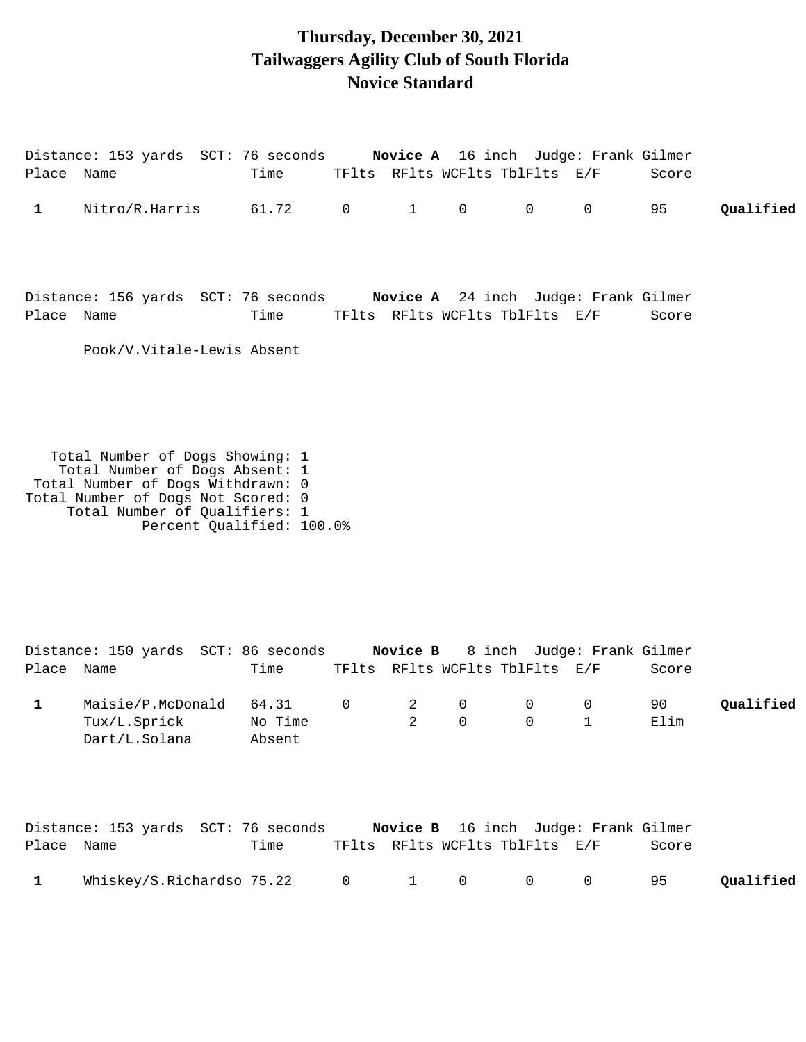### **Thursday, December 30, 2021 Tailwaggers Agility Club of South Florida Novice Standard**

| Place Name   | Distance: 153 yards SCT: 76 seconds Novice A 16 inch Judge: Frank Gilmer                                                                                                      | Time                       |                |              | TFlts RFlts WCFlts TblFlts E/F |                         |                                      | Score      |           |
|--------------|-------------------------------------------------------------------------------------------------------------------------------------------------------------------------------|----------------------------|----------------|--------------|--------------------------------|-------------------------|--------------------------------------|------------|-----------|
| 1            | Nitro/R.Harris                                                                                                                                                                | 61.72                      | $\overline{0}$ | $\mathbf{1}$ | $\mathsf{O}$                   | 0                       | 0                                    | 95         | Qualified |
| Place Name   | Distance: 156 yards SCT: 76 seconds Novice A 24 inch Judge: Frank Gilmer<br>Pook/V.Vitale-Lewis Absent                                                                        | Time                       |                |              | TFlts RFlts WCFlts TblFlts E/F |                         |                                      | Score      |           |
|              |                                                                                                                                                                               |                            |                |              |                                |                         |                                      |            |           |
|              | Total Number of Dogs Showing: 1<br>Total Number of Dogs Absent: 1<br>Total Number of Dogs Withdrawn: 0<br>Total Number of Dogs Not Scored: 0<br>Total Number of Qualifiers: 1 | Percent Qualified: 100.0%  |                |              |                                |                         |                                      |            |           |
| Place Name   | Distance: 150 yards SCT: 86 seconds Novice B                                                                                                                                  | Time                       |                |              | TFlts RFlts WCFlts TblFlts E/F |                         | 8 inch Judge: Frank Gilmer           | Score      |           |
| $\mathbf{1}$ | Maisie/P.McDonald<br>Tux/L.Sprick<br>Dart/L.Solana                                                                                                                            | 64.31<br>No Time<br>Absent | 0              | 2<br>2       | $\mathsf 0$<br>$\mathbf 0$     | $\mathbf 0$<br>$\Omega$ | 0<br>1                               | 90<br>Elim | Qualified |
| Place Name   | Distance: 153 yards SCT: 76 seconds                                                                                                                                           | Time                       |                |              | TFlts RFlts WCFlts TblFlts E/F |                         | Novice B 16 inch Judge: Frank Gilmer | Score      |           |
| 1            | Whiskey/S.Richardso 75.22                                                                                                                                                     |                            | 0              | $\mathbf 1$  | 0                              | 0                       | 0                                    | 95         | Qualified |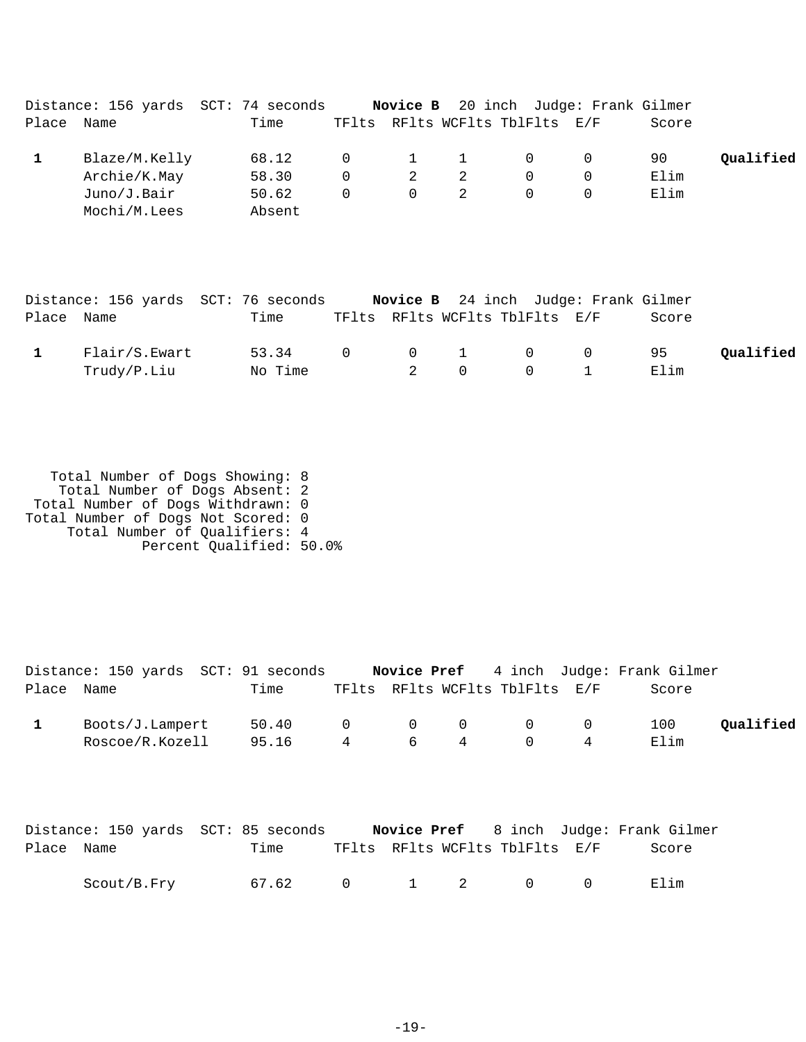|       |               | Distance: 156 yards SCT: 74 seconds |          |                   |             | Novice B 20 inch Judge: Frank Gilmer |   |       |           |
|-------|---------------|-------------------------------------|----------|-------------------|-------------|--------------------------------------|---|-------|-----------|
| Place | Name          | Time                                |          |                   |             | TFlts RFlts WCFlts TblFlts E/F       |   | Score |           |
|       | Blaze/M.Kelly | 68.12                               | - റ      |                   | $1 \quad 1$ | $\overline{0}$                       | 0 | 90    | Qualified |
|       | Archie/K.May  | 58.30                               | 0        | 2                 |             |                                      |   | Elim  |           |
|       | Juno/J.Bair   | 50.62                               | $\Omega$ | $0 \qquad \qquad$ | 2           |                                      |   | Elim  |           |
|       | Mochi/M.Lees  | Absent                              |          |                   |             |                                      |   |       |           |

|            |               | Distance: 156 yards SCT: 76 seconds |  |                                | <b>Novice B</b> 24 inch Judge: Frank Gilmer |           |
|------------|---------------|-------------------------------------|--|--------------------------------|---------------------------------------------|-----------|
| Place Name |               | Time                                |  | TFlts RFlts WCFlts TblFlts E/F | Score                                       |           |
|            | Flair/S.Ewart | 53.34 0 0 1 0 0 95                  |  |                                |                                             | Qualified |
|            | Trudy/P.Liu   | No Time                             |  | 2 0 0 1                        | Elim                                        |           |

 Total Number of Dogs Showing: 8 Total Number of Dogs Absent: 2 Total Number of Dogs Withdrawn: 0 Total Number of Dogs Not Scored: 0 Total Number of Qualifiers: 4 Percent Qualified: 50.0%

|            | Distance: 150 yards SCT: 91 seconds Novice Pref 4 inch Judge: Frank Gilmer |       |                |                |                |                                |                |                                               |           |
|------------|----------------------------------------------------------------------------|-------|----------------|----------------|----------------|--------------------------------|----------------|-----------------------------------------------|-----------|
| Place Name |                                                                            | Time  |                |                |                | TFlts RFlts WCFlts TblFlts E/F |                | Score                                         |           |
| 1          | Boots/J.Lampert                                                            | 50.40 | $\overline{0}$ | $\overline{0}$ | $\overline{0}$ | $\overline{O}$                 | $\overline{0}$ | 100                                           | Oualified |
|            | Roscoe/R.Kozell 95.16                                                      |       |                |                |                | $4 \qquad 6 \qquad 4 \qquad 0$ | $\overline{4}$ | Elim                                          |           |
|            |                                                                            |       |                |                |                |                                |                |                                               |           |
|            | Distance: 150 yards SCT: 85 seconds                                        |       |                |                |                |                                |                | <b>Novice Pref</b> 8 inch Judge: Frank Gilmer |           |
| Place Name |                                                                            | Time  |                |                |                | TFlts RFlts WCFlts TblFlts E/F |                | Score                                         |           |
|            | Scout/B.Fry                                                                | 67.62 | $\overline{0}$ |                | $1 \t 2$       | $\mathbf 0$                    | 0              | Elim                                          |           |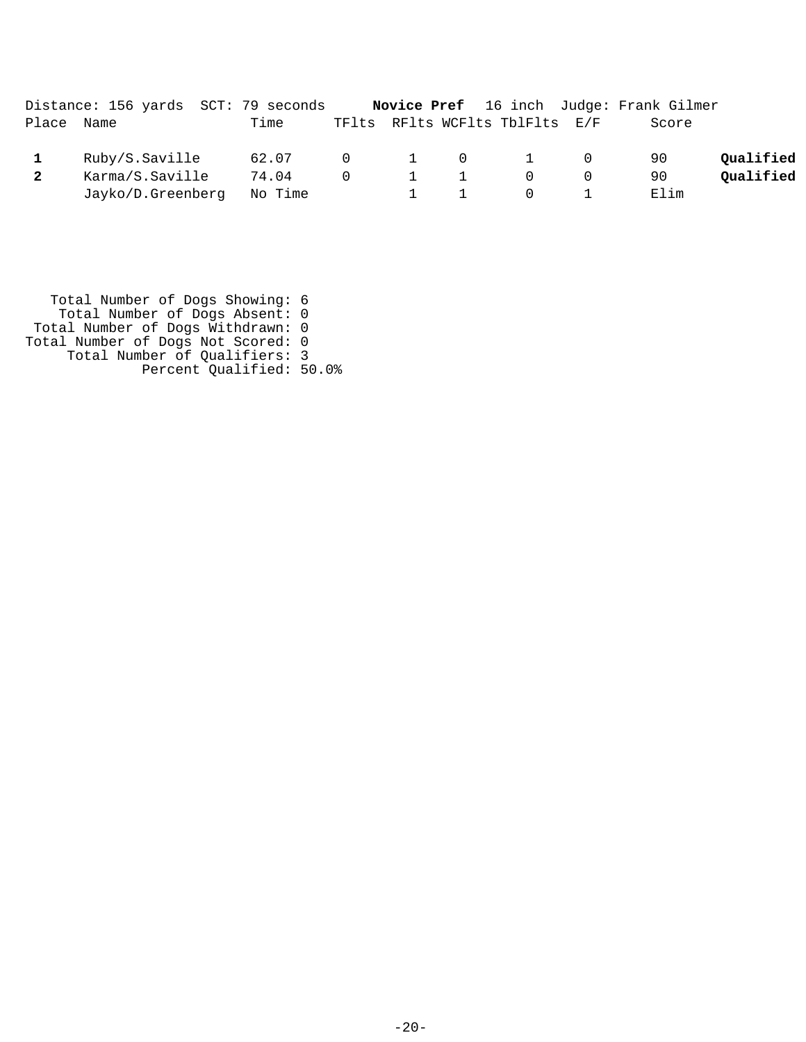|            | Distance: 156 yards SCT: 79 seconds |       |  |                                                      |                                                                                    |        | <b>Novice Pref</b> 16 inch Judge: Frank Gilmer |           |
|------------|-------------------------------------|-------|--|------------------------------------------------------|------------------------------------------------------------------------------------|--------|------------------------------------------------|-----------|
| Place Name |                                     | Time  |  |                                                      | TFlts RFlts WCFlts TblFlts E/F                                                     |        | Score                                          |           |
|            | Ruby/S.Saville                      | 62.07 |  |                                                      | $\begin{array}{ccccccccccccccccc} & & & 0 & & & 1 & & 0 & & & 1 & & 0 \end{array}$ |        | 90                                             | Oualified |
|            | Karma/S.Saville                     | 74.04 |  | $\begin{array}{ccccccc}\n0 & & 1 & & 1\n\end{array}$ | $\Omega$                                                                           | $\cup$ | 90                                             | Oualified |
|            | Jayko/D.Greenberg No Time           |       |  |                                                      | $\overline{0}$                                                                     |        | Elim                                           |           |

 Total Number of Dogs Showing: 6 Total Number of Dogs Absent: 0 Total Number of Dogs Withdrawn: 0 Total Number of Dogs Not Scored: 0 Total Number of Qualifiers: 3 Percent Qualified: 50.0%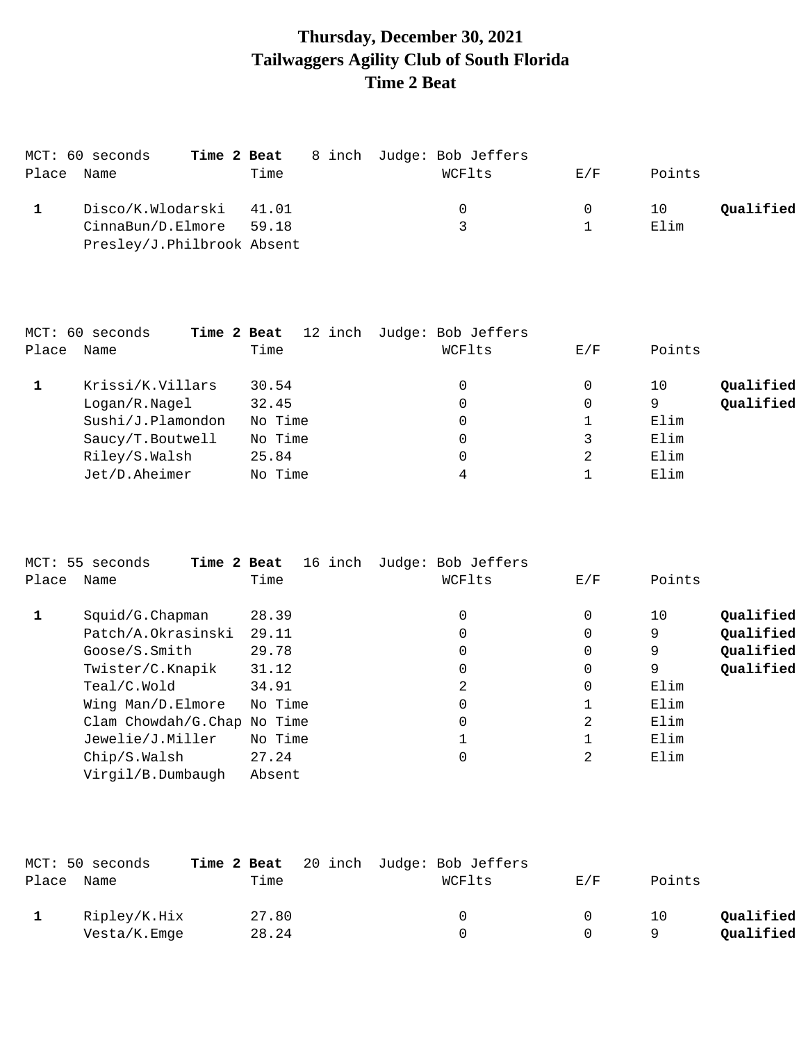# **Thursday, December 30, 2021 Tailwaggers Agility Club of South Florida Time 2 Beat**

|       | MCT: 60 seconds            | Time 2 Beat | 8 inch Judge: Bob Jeffers |     |        |           |
|-------|----------------------------|-------------|---------------------------|-----|--------|-----------|
| Place | Name                       | Time        | WCFlts                    | E/F | Points |           |
|       | Disco/K.Wlodarski 41.01    |             | 0                         | 0   | 10     | Qualified |
|       | CinnaBun/D.Elmore          | 59.18       | ર                         |     | Elim   |           |
|       | Presley/J.Philbrook Absent |             |                           |     |        |           |

|       | MCT: 60 seconds<br>Time 2 Beat | 12 inch | Judge: Bob Jeffers |          |                 |
|-------|--------------------------------|---------|--------------------|----------|-----------------|
| Place | Name                           | Time    | WCFlts             | E/F      | Points          |
|       | Krissi/K.Villars               | 30.54   | 0                  | 0        | Qualified<br>10 |
|       | Logan/R.Nagel                  | 32.45   | 0                  | $\Omega$ | Qualified<br>9  |
|       | Sushi/J.Plamondon              | No Time | 0                  |          | Elim            |
|       | Saucy/T.Boutwell               | No Time | 0                  |          | Elim            |
|       | Riley/S.Walsh                  | 25.84   | 0                  | 2        | Elim            |
|       | Jet/D.Aheimer                  | No Time | 4                  |          | Elim            |

|       | MCT: 55 seconds<br>Time 2 Beat | 16 inch | Judge: Bob Jeffers |             |        |           |
|-------|--------------------------------|---------|--------------------|-------------|--------|-----------|
| Place | Name                           | Time    | WCFlts             | E/F         | Points |           |
|       | Squid/G. Chapman               | 28.39   | 0                  | 0           | 10     | Qualified |
|       | Patch/A.Okrasinski             | 29.11   | 0                  | 0           | 9      | Qualified |
|       | Google/S.Smith                 | 29.78   | 0                  | 0           | 9      | Oualified |
|       | Twister/C.Knapik               | 31.12   | 0                  | 0           | 9      | Qualified |
|       | Teal/C.Wold                    | 34.91   | 2                  | $\mathbf 0$ | Elim   |           |
|       | Wing Man/D.Elmore              | No Time | 0                  |             | Elim   |           |
|       | Clam Chowdah/G.Chap No Time    |         | 0                  | 2           | Elim   |           |
|       | Jewelie/J.Miller               | No Time |                    |             | Elim   |           |
|       | Chip/S.Walsh                   | 27.24   | 0                  | 2           | Elim   |           |
|       | Virgil/B.Dumbaugh              | Absent  |                    |             |        |           |

|       | MCT: 50 seconds | Time 2 Beat |       | 20 inch Judge: Bob Jeffers |        |        |           |
|-------|-----------------|-------------|-------|----------------------------|--------|--------|-----------|
| Place | Name            |             | Time  | WCFlts                     | E/F    | Points |           |
|       | Ripley/K.Hix    |             | 27.80 | 0                          | $\cap$ | 10     | Oualified |
|       | Vesta/K.Emge    |             | 28.24 | 0                          |        | Q      | Qualified |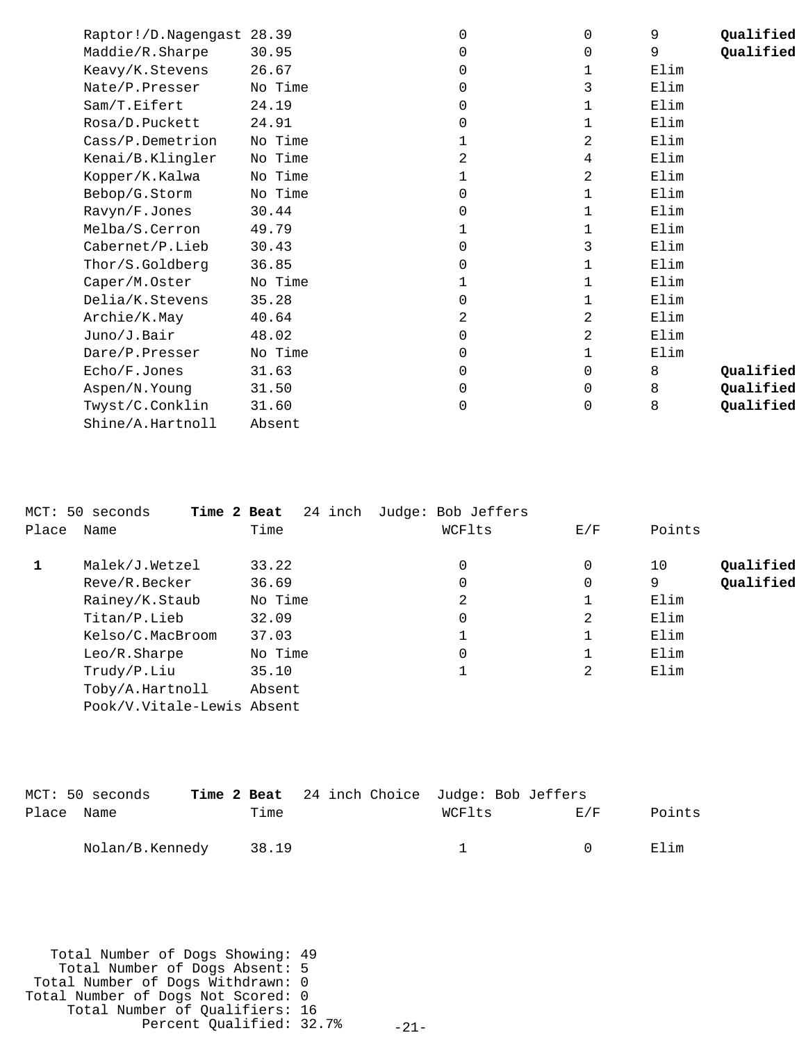| Raptor!/D.Nagengast 28.39 |         | 0 | 0            | 9    | Qualified |
|---------------------------|---------|---|--------------|------|-----------|
| Maddie/R.Sharpe           | 30.95   |   | 0            | 9    | Qualified |
| Keavy/K.Stevens           | 26.67   | 0 |              | Elim |           |
| Nate/P.Presser            | No Time | 0 | 3            | Elim |           |
| Sam/T.Eifert              | 24.19   | 0 |              | Elim |           |
| Rosa/D.Puckett            | 24.91   | 0 | 1            | Elim |           |
| Cass/P.Demetrion          | No Time |   | 2            | Elim |           |
| Kenai/B.Klingler          | No Time | 2 | 4            | Elim |           |
| Kopper/K.Kalwa            | No Time |   | 2            | Elim |           |
| Bebop/G.Storm             | No Time | 0 | $\mathbf{1}$ | Elim |           |
| Ravyn/F.Jones             | 30.44   | 0 |              | Elim |           |
| Melba/S.Cerron            | 49.79   |   |              | Elim |           |
| Cabernet/P.Lieb           | 30.43   | 0 | 3            | Elim |           |
| Thor/S.Goldberg           | 36.85   | 0 |              | Elim |           |
| Caper/M.Oster             | No Time |   |              | Elim |           |
| Delia/K.Stevens           | 35.28   | 0 |              | Elim |           |
| Archie/K.May              | 40.64   | 2 | 2            | Elim |           |
| Juno/J.Bair               | 48.02   | 0 | 2            | Elim |           |
| Dare/P.Presser            | No Time | 0 | 1            | Elim |           |
| Echo/F.Jones              | 31.63   | 0 | 0            | 8    | Qualified |
| Aspen/N.Young             | 31.50   | 0 | $\mathbf 0$  | 8    | Qualified |
| Twyst/C.Conklin           | 31.60   | 0 | 0            | 8    | Qualified |
| Shine/A.Hartnoll          | Absent  |   |              |      |           |

|       | MCT: 50 seconds<br>Time 2 Beat | 24 inch | Judge: Bob Jeffers |     |                 |
|-------|--------------------------------|---------|--------------------|-----|-----------------|
| Place | Name                           | Time    | WCFlts             | E/F | Points          |
| 1     | Malek/J.Wetzel                 | 33.22   | 0                  | 0   | Oualified<br>10 |
|       | Reve/R.Becker                  | 36.69   | 0                  | 0   | Qualified<br>9  |
|       | Rainey/K.Staub                 | No Time | 2                  |     | Elim            |
|       | Titan/P.Lieb                   | 32.09   | 0                  | 2   | Elim            |
|       | Kelso/C.MacBroom               | 37.03   |                    |     | Elim            |
|       | Leo/R.Sharpe                   | No Time | 0                  |     | Elim            |
|       | Trudy/P.Liu                    | 35.10   |                    | 2   | Elim            |
|       | Toby/A.Hartnoll                | Absent  |                    |     |                 |
|       | Pook/V.Vitale-Lewis Absent     |         |                    |     |                 |
|       |                                |         |                    |     |                 |

|            | MCT: 50 seconds |       |  |              | <b>Time 2 Beat</b> 24 inch Choice Judge: Bob Jeffers |        |
|------------|-----------------|-------|--|--------------|------------------------------------------------------|--------|
| Place Name |                 | Time  |  | WCFlts       | F./F                                                 | Points |
|            | Nolan/B.Kennedy | 38.19 |  | $\mathbf{1}$ | $\cap$                                               | Elim   |

 Total Number of Dogs Showing: 49 Total Number of Dogs Absent: 5 Total Number of Dogs Withdrawn: 0 Total Number of Dogs Not Scored: 0 Total Number of Qualifiers: 16 Percent Qualified: 32.7%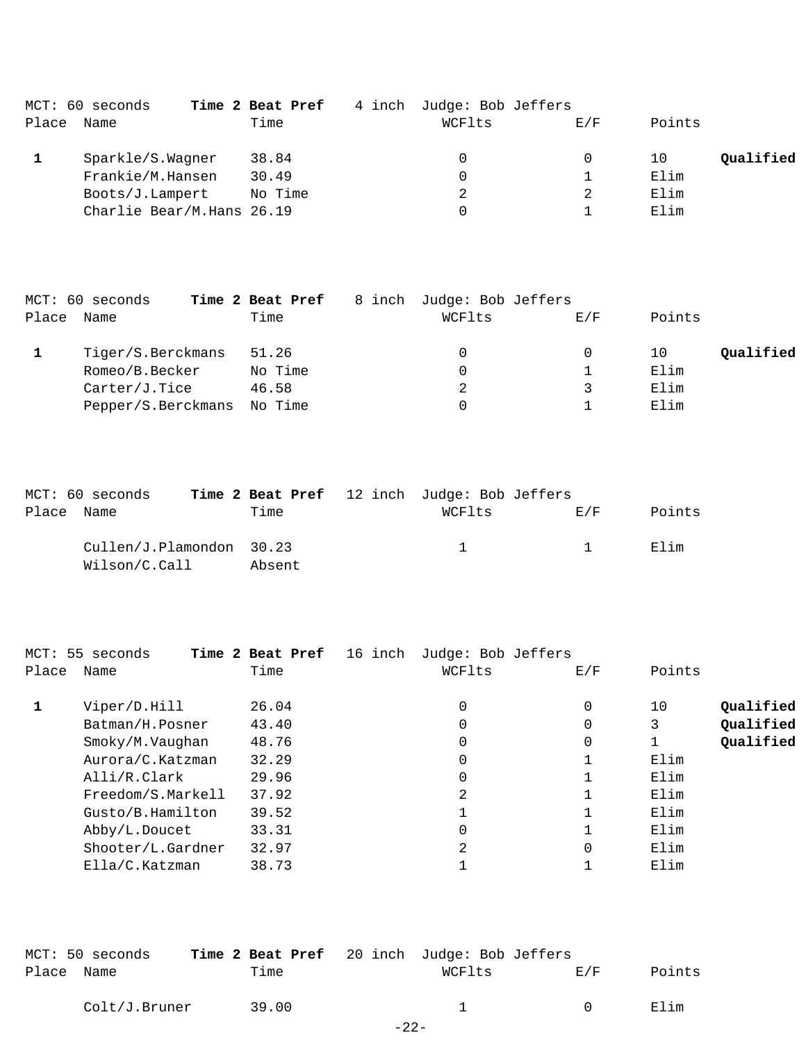|       | MCT: 60 seconds           | Time 2 Beat Pref | 4 inch Judge: Bob Jeffers |     |        |           |
|-------|---------------------------|------------------|---------------------------|-----|--------|-----------|
| Place | Name                      | Time             | WCFlts                    | E/F | Points |           |
|       | Sparkle/S.Wagner          | 38.84            | 0                         |     | 10     | Qualified |
|       | Frankie/M.Hansen          | 30.49            |                           |     | Elim   |           |
|       | Boots/J.Lampert           | No Time          |                           |     | Elim   |           |
|       | Charlie Bear/M.Hans 26.19 |                  |                           |     | Elim   |           |

|       | MCT: 60 seconds            | Time 2 Beat Pref | 8 inch Judge: Bob Jeffers |     |        |           |
|-------|----------------------------|------------------|---------------------------|-----|--------|-----------|
| Place | Name                       | Time             | WCFlts                    | E/F | Points |           |
|       | Tiger/S.Berckmans          | 51.26            | 0                         | 0   | 10     | Qualified |
|       | Romeo/B.Becker             | No Time          |                           |     | Elim   |           |
|       | Carter/J.Tice              | 46.58            | 2                         |     | Elim   |           |
|       | Pepper/S.Berckmans No Time |                  |                           |     | Elim   |           |

|            | MCT: 60 seconds          |        | <b>Time 2 Beat Pref</b> 12 inch Judge: Bob Jeffers |     |        |
|------------|--------------------------|--------|----------------------------------------------------|-----|--------|
| Place Name |                          | Time   | WCFlts                                             | E/F | Points |
|            | Cullen/J.Plamondon 30.23 |        | $1 \quad 1 \quad 1$                                |     | Elim   |
|            | Wilson/C.Call            | Absent |                                                    |     |        |

|       | MCT: 55 seconds   | Time 2 Beat Pref<br>16 inch | Judge: Bob Jeffers |     |        |           |
|-------|-------------------|-----------------------------|--------------------|-----|--------|-----------|
| Place | Name              | Time                        | WCFlts             | E/F | Points |           |
|       | Viper/D.Hill      | 26.04                       | 0                  | 0   | 10     | Qualified |
|       | Batman/H.Posner   | 43.40                       | 0                  |     |        | Qualified |
|       | Smoky/M.Vaughan   | 48.76                       | 0                  | 0   |        | Qualified |
|       | Aurora/C.Katzman  | 32.29                       | 0                  |     | Elim   |           |
|       | Alli/R.Clark      | 29.96                       | 0                  |     | Elim   |           |
|       | Freedom/S.Markell | 37.92                       | 2                  |     | Elim   |           |
|       | Gusto/B.Hamilton  | 39.52                       |                    |     | Elim   |           |
|       | Abby/L.Doucet     | 33.31                       | 0                  |     | Elim   |           |
|       | Shooter/L.Gardner | 32.97                       | 2                  | 0   | Elim   |           |
|       | Ella/C.Katzman    | 38.73                       |                    |     | Elim   |           |

|            | MCT: 50 seconds |       | Time 2 Beat Pref 20 inch Judge: Bob Jeffers |        |        |
|------------|-----------------|-------|---------------------------------------------|--------|--------|
| Place Name |                 | Time  | WCFlts                                      | F. / F | Points |
|            | Colt/J.Bruner   | 39.00 |                                             | $\cap$ | Elim   |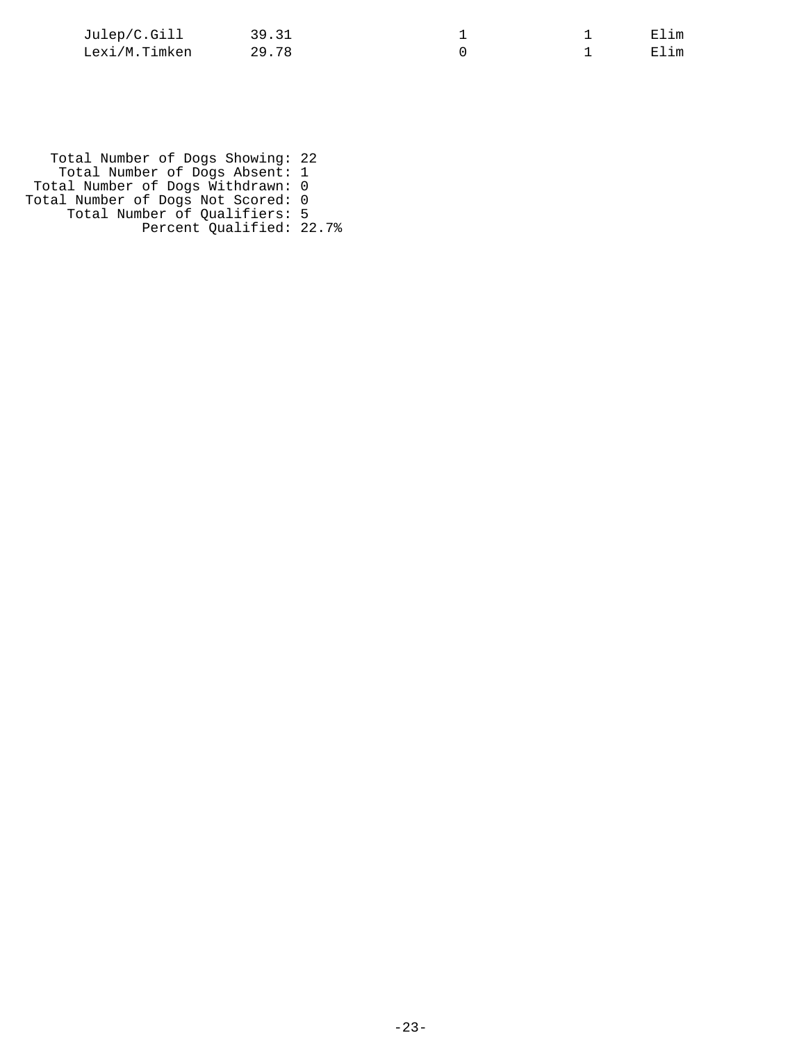| Julep/C.Gill  | 39.31 |  | Elim |
|---------------|-------|--|------|
| Lexi/M.Timken | 29.78 |  | Elim |

 Total Number of Dogs Showing: 22 Total Number of Dogs Absent: 1 Total Number of Dogs Withdrawn: 0 Total Number of Dogs Not Scored: 0 Total Number of Qualifiers: 5 Percent Qualified: 22.7%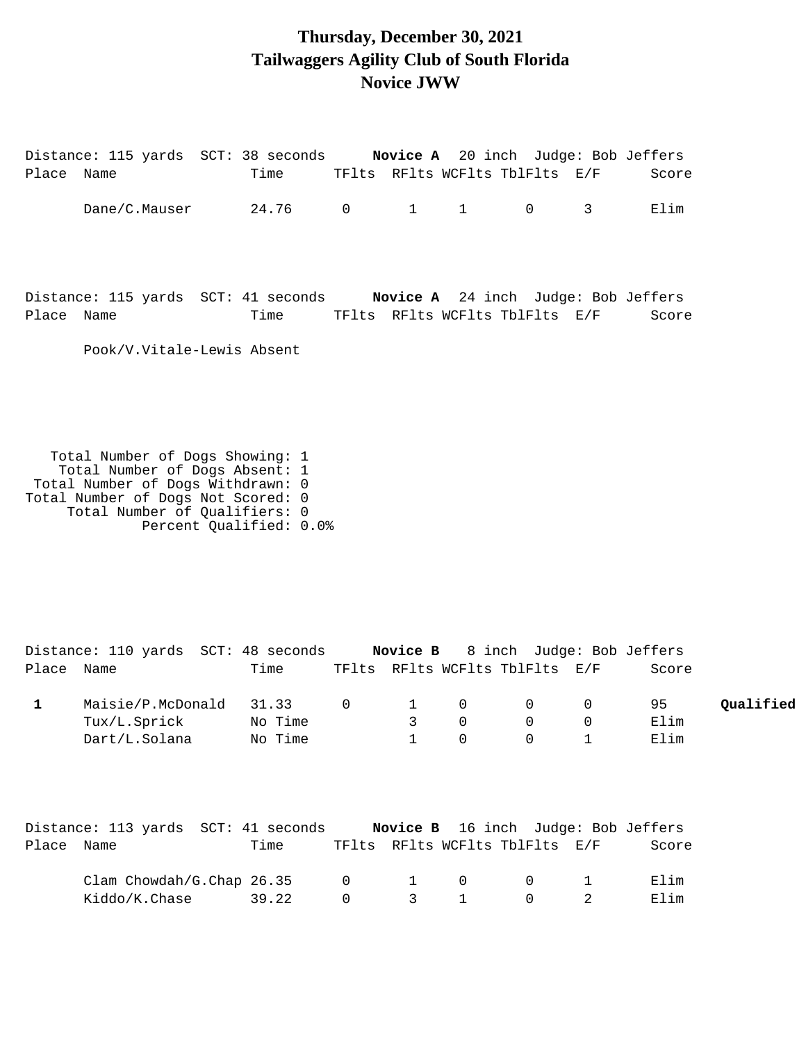### **Thursday, December 30, 2021 Tailwaggers Agility Club of South Florida Novice JWW**

| Place Name                 | Distance: 115 yards SCT: 38 seconds                                                                                                                                                                      | Time               |                |                              | TFlts RFlts WCFlts TblFlts E/F      |                      | Novice A 20 inch Judge: Bob Jeffers | Score        |           |
|----------------------------|----------------------------------------------------------------------------------------------------------------------------------------------------------------------------------------------------------|--------------------|----------------|------------------------------|-------------------------------------|----------------------|-------------------------------------|--------------|-----------|
|                            | Dane/C.Mauser                                                                                                                                                                                            | 24.76              | $\overline{0}$ |                              | $1 \quad 1$                         | $\overline{0}$       | $\mathbf{3}$                        | Elim         |           |
| Place Name                 | Distance: 115 yards SCT: 41 seconds Novice A 24 inch Judge: Bob Jeffers<br>Pook/V.Vitale-Lewis Absent                                                                                                    | Time               |                |                              | TFlts RFlts WCFlts TblFlts E/F      |                      |                                     | Score        |           |
|                            | Total Number of Dogs Showing: 1<br>Total Number of Dogs Absent: 1<br>Total Number of Dogs Withdrawn: 0<br>Total Number of Dogs Not Scored: 0<br>Total Number of Qualifiers: 0<br>Percent Qualified: 0.0% |                    |                |                              |                                     |                      |                                     |              |           |
| Place Name<br>$\mathbf{1}$ | Distance: 110 yards SCT: 48 seconds Novice B 8 inch Judge: Bob Jeffers<br>Maisie/P.McDonald                                                                                                              | Time<br>31.33      | 0              | $\mathbf{1}$                 | TFlts RFlts WCFlts TblFlts E/F<br>0 | 0                    | 0                                   | Score<br>95  | Qualified |
|                            | Tux/L.Sprick<br>Dart/L.Solana                                                                                                                                                                            | No Time<br>No Time |                | $\mathbf{3}$<br>$\mathbf{1}$ | $\Omega$<br>$\Omega$                | $\Omega$<br>$\Omega$ | $\Omega$<br>$\mathbf{1}$            | Elim<br>Elim |           |
|                            |                                                                                                                                                                                                          |                    |                |                              |                                     |                      |                                     |              |           |
|                            |                                                                                                                                                                                                          |                    |                |                              |                                     |                      |                                     |              |           |

|            |                           |       |           |     |  | Novice B 16 inch Judge: Bob Jeffers    |       |
|------------|---------------------------|-------|-----------|-----|--|----------------------------------------|-------|
| Place Name |                           | Time  |           |     |  | TFlts RFlts WCFlts TblFlts E/F         | Score |
|            | Clam Chowdah/G.Chap 26.35 |       |           |     |  | 0 1 0 0 1                              | Flim  |
|            | Kiddo/K.Chase             | 39.22 | $\bigcap$ | 3 1 |  | $\begin{array}{ccc} 0 & 2 \end{array}$ | Elim  |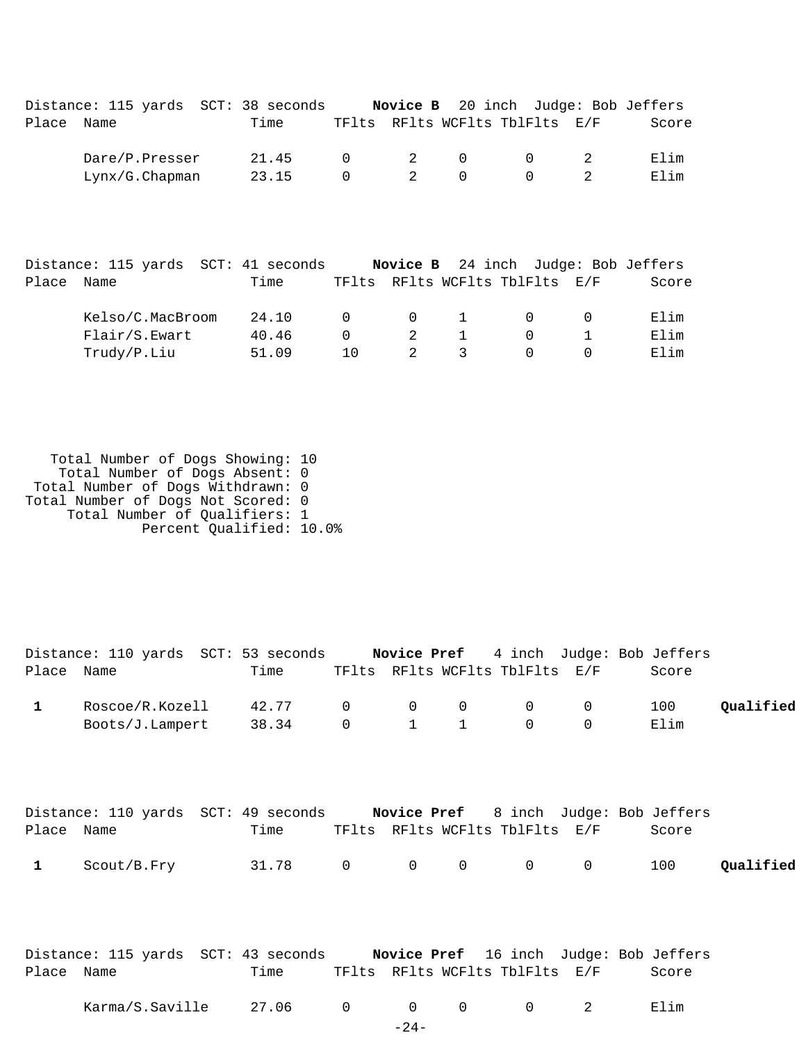|            | Distance: 115 yards SCT: 38 seconds |       |          |                                     |          |                                |                                        | <b>Novice B</b> 20 inch Judge: Bob Jeffers |
|------------|-------------------------------------|-------|----------|-------------------------------------|----------|--------------------------------|----------------------------------------|--------------------------------------------|
| Place Name |                                     | Time  |          |                                     |          | TFlts RFlts WCFlts TblFlts E/F |                                        | Score                                      |
|            | Dare/P.Presser                      | 21.45 |          | $0 \qquad \qquad 2 \qquad \qquad 0$ |          |                                | $\begin{array}{ccc} 0 & 2 \end{array}$ | Elim                                       |
|            | $Lynx/G$ . Chapman                  | 23.15 | $\Omega$ | $\overline{2}$                      | $\Omega$ | $\Omega$                       |                                        | Elim                                       |
|            |                                     |       |          |                                     |          |                                |                                        |                                            |

|       | Distance: 115 yards SCT: 41 seconds |       |          |           |                 | <b>Novice B</b> 24 inch Judge: Bob Jeffers |       |
|-------|-------------------------------------|-------|----------|-----------|-----------------|--------------------------------------------|-------|
| Place | Name                                | Time  |          |           |                 | TFlts RFlts WCFlts TblFlts E/F             | Score |
|       | Kelso/C.MacBroom                    | 24.10 | $\Omega$ | $\bigcap$ | $\sim$ 1 $\sim$ | $^{\circ}$                                 | Elim  |
|       | Flair/S.Ewart                       | 40.46 | $\Omega$ |           |                 | $^{\circ}$                                 | Elim  |
|       | Trudy/P.Liu                         | 51.09 | 1 N      |           |                 |                                            | Elim  |

 Total Number of Dogs Showing: 10 Total Number of Dogs Absent: 0 Total Number of Dogs Withdrawn: 0 Total Number of Dogs Not Scored: 0 Total Number of Qualifiers: 1 Percent Qualified: 10.0%

| Place Name      | Time  |                            |                                     |                             |                         |                  |                                                                  | Score       |                                                                                                                           |
|-----------------|-------|----------------------------|-------------------------------------|-----------------------------|-------------------------|------------------|------------------------------------------------------------------|-------------|---------------------------------------------------------------------------------------------------------------------------|
| Roscoe/R.Kozell | 38.34 | $\overline{0}$<br>$\Omega$ | $\mathbf 0$<br>1                    | $\mathbf 0$<br>$\mathbf{1}$ | $\mathbf 0$<br>$\Omega$ | 0<br>$\mathbf 0$ |                                                                  | 100<br>Elim | Qualified                                                                                                                 |
| Name            | Time  |                            |                                     |                             |                         |                  |                                                                  | Score       |                                                                                                                           |
| Scout/B.Fry     | 31.78 | $\mathbf 0$                | $\overline{0}$                      | 0                           | $\mathsf{O}$            | $\mathbf 0$      |                                                                  | 100         | Qualified                                                                                                                 |
|                 |       |                            |                                     |                             |                         |                  |                                                                  |             |                                                                                                                           |
|                 |       | 42.77<br>Boots/J.Lampert   | Distance: 110 yards SCT: 49 seconds |                             |                         |                  | TFlts RFlts WCFlts TblFlts E/F<br>TFlts RFlts WCFlts TblFlts E/F |             | Distance: 110 yards SCT: 53 seconds Novice Pref 4 inch Judge: Bob Jeffers<br><b>Novice Pref</b> 8 inch Judge: Bob Jeffers |

|            |  |  | Distance: 115 yards SCT: 43 seconds |  | Novice Pref 16 inch Judge: Bob Jeffers |  |       |
|------------|--|--|-------------------------------------|--|----------------------------------------|--|-------|
| Place Name |  |  | Time                                |  | TFlts RFlts WCFlts TblFlts E/F         |  | Score |

| ∼~<br>06<br>Karma/<br>$\cdot$ $\sim$ $\cdot$ $\cdot$ $\cdot$<br>$\sim$<br>.Saviile<br>. ت |  |  | ım |  |  |  |  |  |  |  |  |  |  |  |  |  |  |  |  |  |  |  |  |  |  |  |  |  |  |  |  |  |  |  |  |  |  |  |  |  |  |  |  |  |  |  |  |  |  |  |  |  |  |  |  |  |  |  |  |  |  |  |  |  |  |  |  |  |  |  |  |  |  |  |  |  |  |  |  |  |  |  |  |  |  |  |  |  |  |  |  |  |  |  |  |  |  |  |  |  |  |  |  |  |  |  |  |  |  |  |  |  |  |  |  |  |  |  |  |  |  |  |  |  |  |  |  |  |  |  |  |  |  |  |  |  |  |  |  |  |  |  |  |  |  |  |
|-------------------------------------------------------------------------------------------|--|--|----|--|--|--|--|--|--|--|--|--|--|--|--|--|--|--|--|--|--|--|--|--|--|--|--|--|--|--|--|--|--|--|--|--|--|--|--|--|--|--|--|--|--|--|--|--|--|--|--|--|--|--|--|--|--|--|--|--|--|--|--|--|--|--|--|--|--|--|--|--|--|--|--|--|--|--|--|--|--|--|--|--|--|--|--|--|--|--|--|--|--|--|--|--|--|--|--|--|--|--|--|--|--|--|--|--|--|--|--|--|--|--|--|--|--|--|--|--|--|--|--|--|--|--|--|--|--|--|--|--|--|--|--|--|--|--|--|--|--|--|--|--|--|--|
|-------------------------------------------------------------------------------------------|--|--|----|--|--|--|--|--|--|--|--|--|--|--|--|--|--|--|--|--|--|--|--|--|--|--|--|--|--|--|--|--|--|--|--|--|--|--|--|--|--|--|--|--|--|--|--|--|--|--|--|--|--|--|--|--|--|--|--|--|--|--|--|--|--|--|--|--|--|--|--|--|--|--|--|--|--|--|--|--|--|--|--|--|--|--|--|--|--|--|--|--|--|--|--|--|--|--|--|--|--|--|--|--|--|--|--|--|--|--|--|--|--|--|--|--|--|--|--|--|--|--|--|--|--|--|--|--|--|--|--|--|--|--|--|--|--|--|--|--|--|--|--|--|--|--|

-24-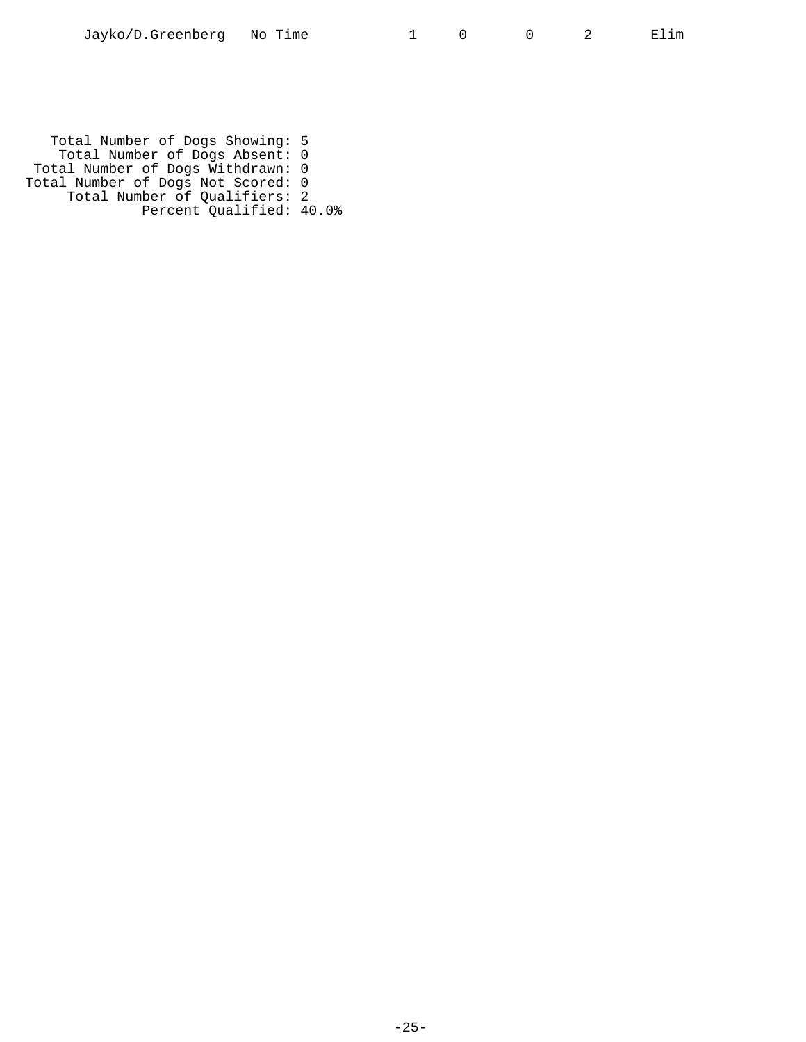Total Number of Dogs Showing: 5 Total Number of Dogs Absent: 0 Total Number of Dogs Withdrawn: 0 Total Number of Dogs Not Scored: 0 Total Number of Qualifiers: 2 Percent Qualified: 40.0%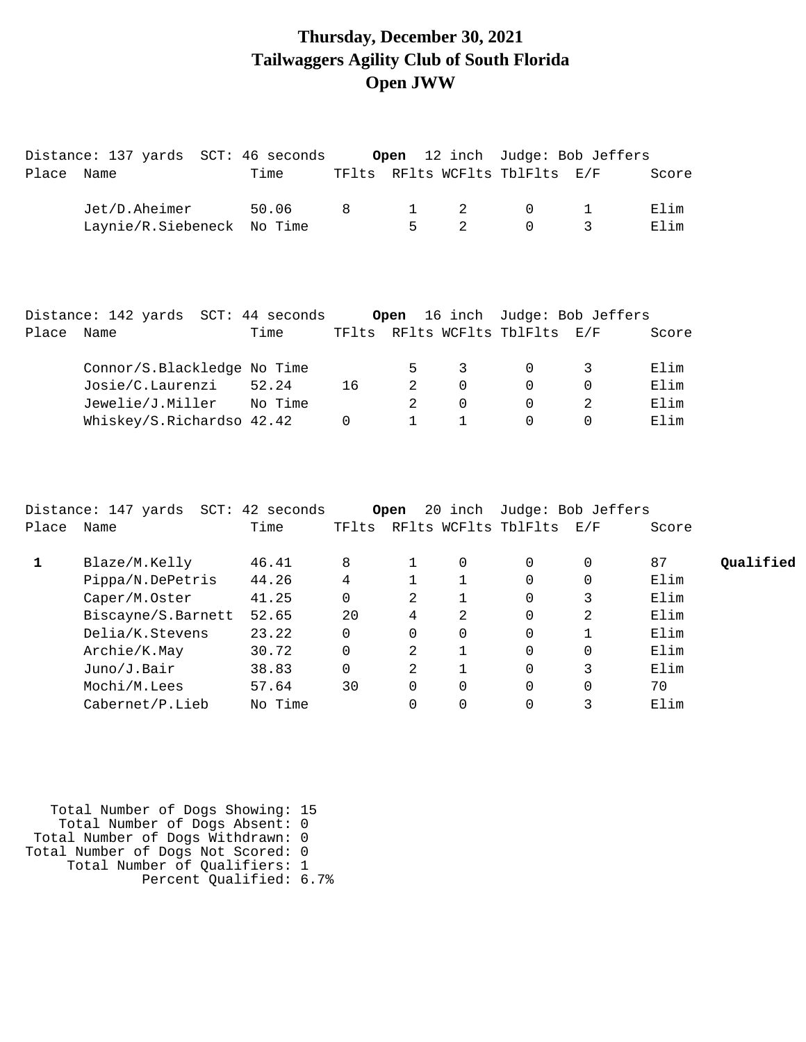#### **Thursday, December 30, 2021 Tailwaggers Agility Club of South Florida Open JWW**

|              | Distance: 137 yards SCT: 46 seconds |         |              | Open           |                | 12 inch Judge: Bob Jeffers      |                |       |           |
|--------------|-------------------------------------|---------|--------------|----------------|----------------|---------------------------------|----------------|-------|-----------|
| Place        | Name                                | Time    |              |                |                | TFlts RFlts WCFlts TblFlts      | E/F            | Score |           |
|              | Jet/D.Aheimer                       | 50.06   | 8            | 1              | 2              | 0                               | 1              | Elim  |           |
|              | Laynie/R.Siebeneck No Time          |         |              | 5              | $\overline{2}$ | $\Omega$                        | 3              | Elim  |           |
|              | Distance: 142 yards SCT: 44 seconds |         |              |                |                | Open 16 inch Judge: Bob Jeffers |                |       |           |
| Place        | Name                                | Time    |              |                |                | TFlts RFlts WCFlts TblFlts E/F  |                | Score |           |
|              | Connor/S.Blackledge No Time         |         |              | 5              | 3              | $\mathbf 0$                     | 3              | Elim  |           |
|              | Josie/C.Laurenzi                    | 52.24   | 16           | 2              | $\Omega$       | $\Omega$                        | $\mathbf 0$    | Elim  |           |
|              | Jewelie/J.Miller                    | No Time |              | 2              | $\mathbf 0$    | $\Omega$                        | 2              | Elim  |           |
|              | Whiskey/S.Richardso 42.42           |         | 0            | $\mathbf{1}$   | $\mathbf 1$    | $\Omega$                        | $\Omega$       | Elim  |           |
|              |                                     |         |              |                |                |                                 |                |       |           |
|              | Distance: 147 yards SCT: 42 seconds |         |              | Open           |                | 20 inch Judge: Bob Jeffers      |                |       |           |
| Place        | Name                                | Time    |              |                |                | TFlts RFlts WCFlts TblFlts E/F  |                | Score |           |
| $\mathbf{1}$ | Blaze/M.Kelly                       | 46.41   | 8            | 1              | 0              | $\mathbf 0$                     | 0              | 87    | Qualified |
|              | Pippa/N.DePetris                    | 44.26   | 4            | $\mathbf{1}$   | $\mathbf{1}$   | $\Omega$                        | 0              | Elim  |           |
|              | Caper/M.Oster                       | 41.25   | $\mathsf{O}$ | 2              | $\mathbf{1}$   | $\mathbf 0$                     | 3              | Elim  |           |
|              | Biscayne/S.Barnett                  | 52.65   | 20           | 4              | $\overline{2}$ | $\mathbf 0$                     | $\overline{a}$ | Elim  |           |
|              | Delia/K.Stevens                     | 23.22   | $\Omega$     | $\Omega$       | $\mathbf 0$    | $\Omega$                        | $\mathbf{1}$   | Elim  |           |
|              | Archie/K.May                        | 30.72   | $\Omega$     | $\overline{a}$ | $\mathbf{1}$   | $\Omega$                        | $\mathbf 0$    | Elim  |           |
|              | Juno/J.Bair                         | 38.83   | $\Omega$     | 2              | $\mathbf{1}$   | $\Omega$                        | 3              | Elim  |           |
|              | Mochi/M.Lees                        | 57.64   | 30           | 0              | 0              | 0                               | $\mathbf 0$    | 70    |           |
|              | Cabernet/P.Lieb                     | No Time |              | $\Omega$       | 0              | 0                               | 3              | Elim  |           |

 Total Number of Dogs Showing: 15 Total Number of Dogs Absent: 0 Total Number of Dogs Withdrawn: 0 Total Number of Dogs Not Scored: 0 Total Number of Qualifiers: 1 Percent Qualified: 6.7%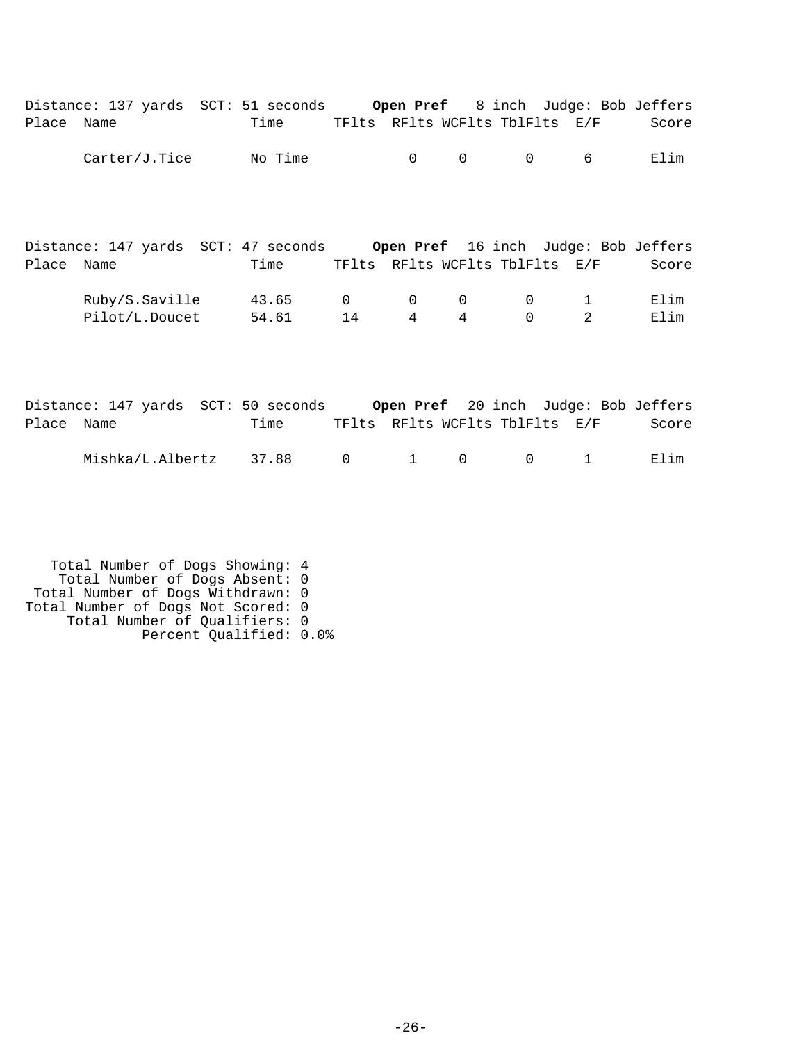|            | Distance: 137 yards SCT: 51 seconds Open Pref 8 inch Judge: Bob Jeffers  |         |                |                   |                 |                                |                     |       |
|------------|--------------------------------------------------------------------------|---------|----------------|-------------------|-----------------|--------------------------------|---------------------|-------|
| Place Name |                                                                          | Time    |                |                   |                 | TFlts RFlts WCFlts TblFlts E/F |                     | Score |
|            | Carter/J.Tice                                                            | No Time |                | $0 \qquad \qquad$ | $\overline{0}$  |                                | $0\qquad 6$         | Elim  |
|            |                                                                          |         |                |                   |                 |                                |                     |       |
|            |                                                                          |         |                |                   |                 |                                |                     |       |
|            | Distance: 147 yards SCT: 47 seconds Open Pref 16 inch Judge: Bob Jeffers |         |                |                   |                 |                                |                     |       |
| Place Name |                                                                          | Time    |                |                   |                 | TFlts RFlts WCFlts TblFlts E/F |                     | Score |
|            | Ruby/S.Saville 43.65                                                     |         | $\overline{0}$ |                   | $0\qquad 0$     |                                | $0 \qquad \qquad 1$ | Elim  |
|            | Pilot/L.Doucet 54.61                                                     |         | 14             | $4 \qquad \qquad$ | $4\overline{ }$ |                                | $0\qquad \qquad 2$  | Elim  |
|            |                                                                          |         |                |                   |                 |                                |                     |       |

|            | Distance: 147 yards SCT: 50 seconds |                 |  |  |                                | Open Pref 20 inch Judge: Bob Jeffers |
|------------|-------------------------------------|-----------------|--|--|--------------------------------|--------------------------------------|
| Place Name |                                     | Time            |  |  | TFlts RFlts WCFlts TblFlts E/F | Score                                |
|            | Mishka/L.Albertz                    | 37.88 0 1 0 0 1 |  |  |                                | Filim                                |

 Total Number of Dogs Showing: 4 Total Number of Dogs Absent: 0 Total Number of Dogs Withdrawn: 0 Total Number of Dogs Not Scored: 0 Total Number of Qualifiers: 0 Percent Qualified: 0.0%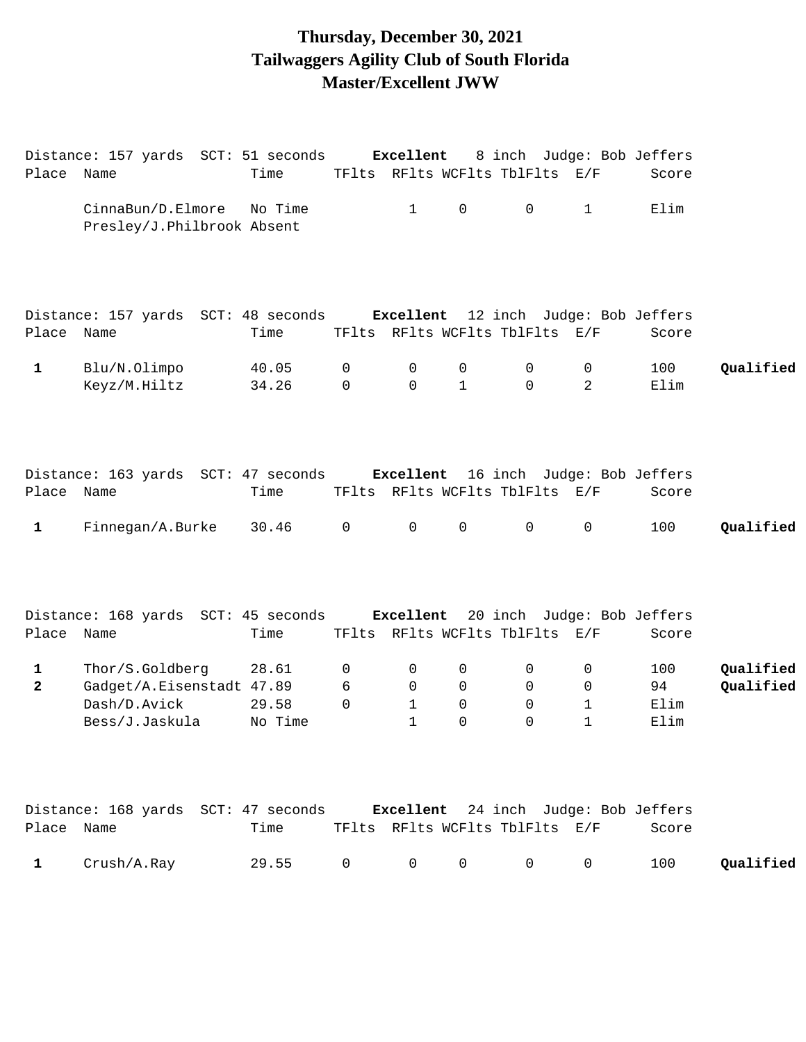### **Thursday, December 30, 2021 Tailwaggers Agility Club of South Florida Master/Excellent JWW**

|              | Distance: 157 yards SCT: 51 seconds                                      |         |                | Excellent    |                     | 8 inch Judge: Bob Jeffers      |                     |       |           |
|--------------|--------------------------------------------------------------------------|---------|----------------|--------------|---------------------|--------------------------------|---------------------|-------|-----------|
| Place Name   |                                                                          | Time    |                |              |                     | TFlts RFlts WCFlts TblFlts E/F |                     | Score |           |
|              | CinnaBun/D.Elmore<br>Presley/J.Philbrook Absent                          | No Time |                | $\mathbf{1}$ | $\mathsf{O}$        | 0                              | $\mathbf 1$         | Elim  |           |
| Place Name   | Distance: 157 yards SCT: 48 seconds Excellent 12 inch Judge: Bob Jeffers | Time    |                |              |                     | TFlts RFlts WCFlts TblFlts E/F |                     | Score |           |
| $\mathbf{1}$ | Blu/N.Olimpo                                                             | 40.05   | 0              | 0            | 0                   | 0                              | 0                   | 100   | Qualified |
|              | Keyz/M.Hiltz                                                             | 34.26   | $\mathsf{O}$   | 0            | $\mathbf{1}$        | $\mathbf 0$                    | 2                   | Elim  |           |
|              | Distance: 163 yards SCT: 47 seconds Excellent 16 inch Judge: Bob Jeffers |         |                |              |                     |                                |                     |       |           |
| Place Name   |                                                                          | Time    |                |              |                     | TFlts RFlts WCFlts TblFlts E/F |                     | Score |           |
| $\mathbf{1}$ | Finnegan/A.Burke                                                         | 30.46   | $\overline{0}$ | $\mathsf{O}$ | $\mathsf{O}\xspace$ | $\mathsf{O}$                   | $\mathsf{O}\xspace$ | 100   | Qualified |
|              | Distance: 168 yards SCT: 45 seconds                                      |         |                | Excellent    |                     | 20 inch Judge: Bob Jeffers     |                     |       |           |
| Place Name   |                                                                          | Time    |                |              |                     | TFlts RFlts WCFlts TblFlts E/F |                     | Score |           |
| $\mathbf{1}$ | Thor/S.Goldberg                                                          | 28.61   | 0              | 0            | 0                   | 0                              | 0                   | 100   | Qualified |
| $\mathbf{2}$ | Gadget/A.Eisenstadt 47.89                                                |         | 6              | 0            | 0                   | 0                              | $\mathsf{O}$        | 94    | Qualified |
|              | Dash/D.Avick                                                             | 29.58   | $\Omega$       | $\mathbf{1}$ | $\mathbf 0$         | 0                              | $\mathbf{1}$        | Elim  |           |
|              | Bess/J.Jaskula                                                           | No Time |                | $\mathbf{1}$ | 0                   | 0                              | $\mathbf 1$         | Elim  |           |
|              | Distance: 168 yards SCT: 47 seconds                                      |         |                | Excellent    |                     | 24 inch Judge: Bob Jeffers     |                     |       |           |
| Place Name   |                                                                          | Time    |                |              |                     | TFlts RFlts WCFlts TblFlts E/F |                     | Score |           |
| 1            | Crush/A.Ray                                                              | 29.55   | 0              | 0            | 0                   | $\mathbf{0}$                   | 0                   | 100   | Qualified |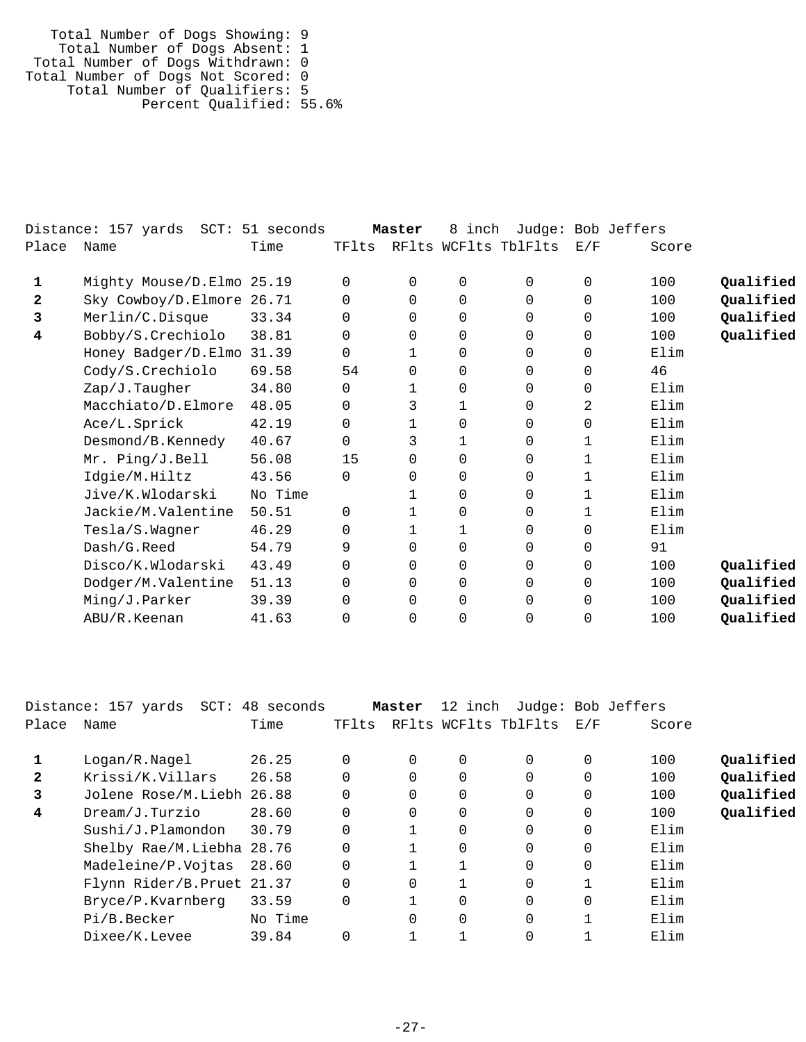Total Number of Dogs Showing: 9 Total Number of Dogs Absent: 1 Total Number of Dogs Withdrawn: 0 Total Number of Dogs Not Scored: 0 Total Number of Qualifiers: 5 Percent Qualified: 55.6%

|       | Distance: 157 yards SCT: 51 seconds |         |          | Master   | 8<br>inch   |                      |          | Judge: Bob Jeffers |           |
|-------|-------------------------------------|---------|----------|----------|-------------|----------------------|----------|--------------------|-----------|
| Place | Name                                | Time    | TFlts    |          |             | RFlts WCFlts TblFlts | E/F      | Score              |           |
| 1     | Mighty Mouse/D.Elmo 25.19           |         | 0        | $\Omega$ | 0           | 0                    | $\Omega$ | 100                | Qualified |
| 2     | Sky Cowboy/D.Elmore 26.71           |         | 0        | $\Omega$ | 0           | 0                    | $\Omega$ | 100                | Qualified |
| 3     | Merlin/C.Disque                     | 33.34   | $\Omega$ | $\Omega$ | $\Omega$    | $\Omega$             | $\Omega$ | 100                | Qualified |
| 4     | Bobby/S.Crechiolo                   | 38.81   | 0        | $\Omega$ | $\Omega$    | 0                    | $\Omega$ | 100                | Qualified |
|       | Honey Badger/D.Elmo 31.39           |         | $\Omega$ | 1        | 0           | 0                    | 0        | Elim               |           |
|       | Cody/S.Crechiolo                    | 69.58   | 54       | 0        | 0           | 0                    | $\Omega$ | 46                 |           |
|       | Zap/J.Taugher                       | 34.80   | 0        | 1        | 0           | 0                    | $\Omega$ | Elim               |           |
|       | Macchiato/D.Elmore                  | 48.05   | $\Omega$ | 3        | 1           | 0                    | 2        | Elim               |           |
|       | Ace/L.Sprick                        | 42.19   | 0        | 1        | 0           | 0                    | $\Omega$ | Elim               |           |
|       | Desmond/B.Kennedy                   | 40.67   | $\Omega$ | 3        | 1           | 0                    | 1        | Elim               |           |
|       | Mr. Ping/J.Bell                     | 56.08   | 15       | 0        | $\Omega$    | $\Omega$             |          | Elim               |           |
|       | Idgie/M.Hiltz                       | 43.56   | $\Omega$ | 0        | 0           | 0                    |          | Elim               |           |
|       | Jive/K.Wlodarski                    | No Time |          |          | 0           | 0                    |          | Elim               |           |
|       | Jackie/M.Valentine                  | 50.51   | 0        | 1        | $\Omega$    | 0                    | 1        | Elim               |           |
|       | Tesla/S.Wagner                      | 46.29   | 0        | 1        | 1           | 0                    | $\Omega$ | Elim               |           |
|       | Dash/G.Reed                         | 54.79   | 9        | 0        | 0           | 0                    | $\Omega$ | 91                 |           |
|       | Disco/K.Wlodarski                   | 43.49   | $\Omega$ | $\Omega$ | 0           | $\Omega$             | $\Omega$ | 100                | Qualified |
|       | Dodger/M.Valentine                  | 51.13   | 0        | $\Omega$ | 0           | 0                    | $\Omega$ | 100                | Qualified |
|       | Ming/J.Parker                       | 39.39   | 0        | $\Omega$ | $\mathbf 0$ | 0                    | $\Omega$ | 100                | Qualified |
|       | ABU/R.Keenan                        | 41.63   | 0        | 0        | 0           | 0                    | 0        | 100                | Qualified |
|       |                                     |         |          |          |             |                      |          |                    |           |

|              | Distance: 157 yards        | SCT: 48 seconds |       | Master   | 12 inch  |                      | Judge: Bob Jeffers |       |           |
|--------------|----------------------------|-----------------|-------|----------|----------|----------------------|--------------------|-------|-----------|
| Place        | Name                       | Time            | TFlts |          |          | RFlts WCFlts TblFlts | E/F                | Score |           |
|              |                            |                 |       |          |          |                      |                    |       |           |
|              | Logan/R.Naqel              | 26.25           |       | $\Omega$ | $\Omega$ | $\Omega$             | 0                  | 100   | Qualified |
| $\mathbf{2}$ | Krissi/K.Villars           | 26.58           |       | $\Omega$ | 0        | 0                    | 0                  | 100   | Qualified |
| 3            | Jolene Rose/M.Liebh 26.88  |                 |       | $\Omega$ | 0        | 0                    | 0                  | 100   | Oualified |
| 4            | Dream/J.Turzio             | 28.60           |       | $\Omega$ | $\Omega$ | $\Omega$             | 0                  | 100   | Qualified |
|              | Sushi/J.Plamondon          | 30.79           |       |          | $\Omega$ | $\Omega$             | $\Omega$           | Elim  |           |
|              | Shelby Rae/M.Liebha 28.76  |                 |       |          | 0        | 0                    | $\mathbf 0$        | Elim  |           |
|              | Madeleine/P.Vojtas         | 28.60           |       |          |          | $\Omega$             | $\Omega$           | Elim  |           |
|              | Flynn Rider/B. Pruet 21.37 |                 |       | $\Omega$ |          | $\Omega$             |                    | Elim  |           |
|              | Bryce/P.Kvarnberg          | 33.59           |       |          | 0        | 0                    | $\Omega$           | Elim  |           |
|              | Pi/B.Becker                | No Time         |       | $\Omega$ | $\Omega$ | 0                    |                    | Elim  |           |
|              | Dixee/K.Levee              | 39.84           |       |          |          | 0                    |                    | Elim  |           |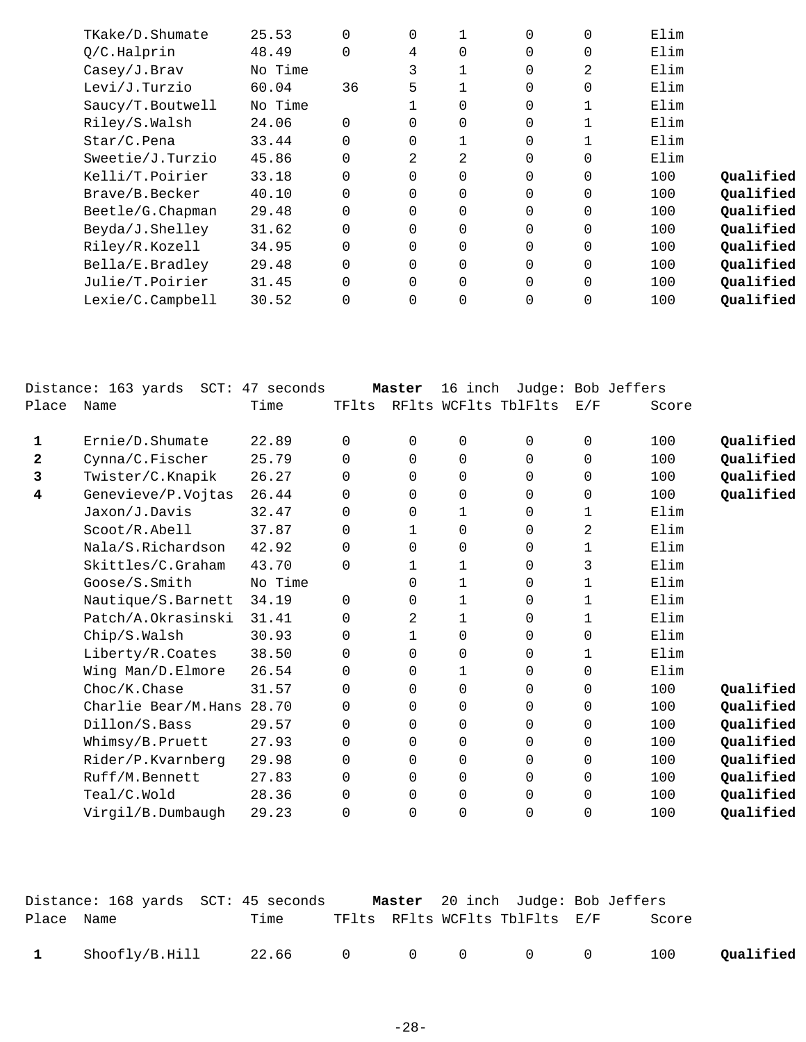| TKake/D.Shumate   | 25.53   | $\Omega$    | $\Omega$ |                | $\Omega$       | $\Omega$ | Elim |           |
|-------------------|---------|-------------|----------|----------------|----------------|----------|------|-----------|
| Q/C.Halprin       | 48.49   | $\mathbf 0$ | 4        | 0              | 0              | 0        | Elim |           |
| Casey/J.Brav      | No Time |             | 3        |                | $\Omega$       | 2        | Elim |           |
| Levi/J.Turzio     | 60.04   | 36          | 5        |                | $\Omega$       | $\Omega$ | Elim |           |
| Saucy/T.Boutwell  | No Time |             |          | 0              | 0              |          | Elim |           |
| Riley/S.Walsh     | 24.06   | $\Omega$    | $\Omega$ | 0              | $\Omega$       |          | Elim |           |
| Star/C.Pena       | 33.44   | $\Omega$    | $\Omega$ |                | 0              |          | Elim |           |
| Sweetie/J.Turzio  | 45.86   | 0           | 2        | $\overline{2}$ | $\overline{0}$ | 0        | Elim |           |
| Kelli/T.Poirier   | 33.18   | $\Omega$    | $\Omega$ | 0              | $\Omega$       | $\Omega$ | 100  | Qualified |
| Brave/B.Becker    | 40.10   | $\Omega$    | $\Omega$ | 0              | $\Omega$       | 0        | 100  | Qualified |
| Beetle/G. Chapman | 29.48   | 0           | $\Omega$ | 0              | $\overline{0}$ | 0        | 100  | Qualified |
| Beyda/J.Shelley   | 31.62   | $\mathbf 0$ | $\Omega$ | 0              | 0              | 0        | 100  | Qualified |
| Riley/R.Kozell    | 34.95   | $\Omega$    | $\Omega$ | 0              | $\Omega$       | $\Omega$ | 100  | Qualified |
| Bella/E.Bradley   | 29.48   | 0           | $\Omega$ | 0              | $\Omega$       | 0        | 100  | Qualified |
| Julie/T.Poirier   | 31.45   | $\Omega$    | $\Omega$ | 0              | $\overline{0}$ | 0        | 100  | Qualified |
| Lexie/C.Campbell  | 30.52   | $\Omega$    | $\Omega$ | 0              | $\mathbf 0$    | 0        | 100  | Qualified |
|                   |         |             |          |                |                |          |      |           |

|                | Distance: 163 yards | SCT: 47 seconds |          | Master      | 16 inch |                      |     | Judge: Bob Jeffers |           |
|----------------|---------------------|-----------------|----------|-------------|---------|----------------------|-----|--------------------|-----------|
| Place          | Name                | Time            | TFlts    |             |         | RFlts WCFlts TblFlts | E/F | Score              |           |
| 1              | Ernie/D.Shumate     | 22.89           | 0        | $\mathbf 0$ | 0       | 0                    | 0   | 100                | Qualified |
| $\mathbf{2}$   | Cynna/C.Fischer     | 25.79           | $\Omega$ | $\Omega$    | 0       | $\Omega$             | 0   | 100                | Qualified |
| 3              | Twister/C.Knapik    | 26.27           | $\Omega$ | $\Omega$    | 0       | 0                    | 0   | 100                | Qualified |
| $\overline{4}$ | Genevieve/P.Vojtas  | 26.44           | 0        | $\Omega$    | 0       | 0                    | 0   | 100                | Qualified |
|                | Jaxon/J.Davis       | 32.47           | $\Omega$ | $\Omega$    | 1       | 0                    | 1   | Elim               |           |
|                | Scoot/R.Abell       | 37.87           | 0        | $\mathbf 1$ | 0       | 0                    | 2   | Elim               |           |
|                | Nala/S.Richardson   | 42.92           | 0        | $\Omega$    | 0       | $\Omega$             | 1   | Elim               |           |
|                | Skittles/C.Graham   | 43.70           | 0        | $\mathbf 1$ | 1       | 0                    | 3   | Elim               |           |
|                | Goose/S.Smith       | No Time         |          | $\Omega$    | 1       | 0                    | 1   | Elim               |           |
|                | Nautique/S.Barnett  | 34.19           | $\Omega$ | $\Omega$    | 1       | 0                    | 1   | Elim               |           |
|                | Patch/A.Okrasinski  | 31.41           | 0        | 2           | 1       | 0                    | 1   | Elim               |           |
|                | Chip/S.Walsh        | 30.93           | $\Omega$ | $\mathbf 1$ | 0       | 0                    | 0   | Elim               |           |
|                | Liberty/R.Coates    | 38.50           | $\Omega$ | $\Omega$    | 0       | 0                    | 1   | Elim               |           |
|                | Wing Man/D.Elmore   | 26.54           | $\Omega$ | $\Omega$    | 1       | $\Omega$             | 0   | Elim               |           |
|                | Choc/K.Chase        | 31.57           | $\Omega$ | $\Omega$    | 0       | $\Omega$             | 0   | 100                | Qualified |
|                | Charlie Bear/M.Hans | 28.70           | $\Omega$ | $\mathbf 0$ | 0       | 0                    | 0   | 100                | Qualified |
|                | Dillon/S.Bass       | 29.57           | $\Omega$ | $\Omega$    | 0       | $\Omega$             | 0   | 100                | Qualified |
|                | Whimsy/B.Pruett     | 27.93           | 0        | $\Omega$    | 0       | 0                    | 0   | 100                | Qualified |
|                | Rider/P.Kvarnberg   | 29.98           | $\Omega$ | $\Omega$    | 0       | $\Omega$             | 0   | 100                | Qualified |
|                | Ruff/M.Bennett      | 27.83           | $\Omega$ | $\Omega$    | 0       | 0                    | 0   | 100                | Qualified |
|                | Teal/C.Wold         | 28.36           | $\Omega$ | $\Omega$    | 0       | $\Omega$             | 0   | 100                | Qualified |
|                | Virgil/B.Dumbaugh   | 29.23           | 0        | $\Omega$    | 0       | 0                    | 0   | 100                | Qualified |

|              | Distance: 168 yards SCT: 45 seconds |                 |  | Master 20 inch Judge: Bob Jeffers |       |           |
|--------------|-------------------------------------|-----------------|--|-----------------------------------|-------|-----------|
| Place Name   |                                     | Time            |  | TFlts RFlts WCFlts TblFlts E/F    | Score |           |
| $\mathbf{1}$ | Shoofly/B.Hill                      | 22.66 0 0 0 0 0 |  |                                   | 100   | Qualified |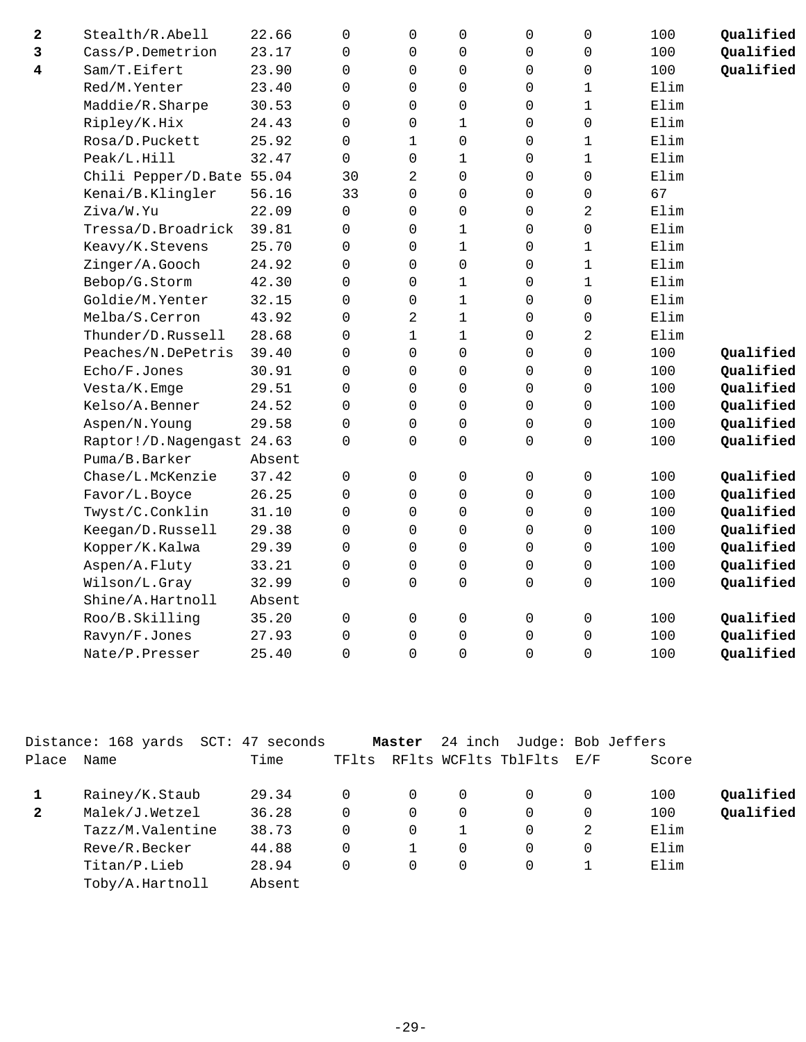| 2                       | Stealth/R.Abell           | 22.66  | 0           | 0              | 0                   | 0                   | $\mathsf 0$         | 100  | Qualified |
|-------------------------|---------------------------|--------|-------------|----------------|---------------------|---------------------|---------------------|------|-----------|
| 3                       | Cass/P.Demetrion          | 23.17  | 0           | 0              | $\overline{0}$      | 0                   | $\mathbf 0$         | 100  | Qualified |
| $\overline{\mathbf{4}}$ | Sam/T.Eifert              | 23.90  | 0           | 0              | 0                   | 0                   | $\mathbf 0$         | 100  | Qualified |
|                         | Red/M.Yenter              | 23.40  | 0           | 0              | $\mathsf{O}\xspace$ | 0                   | $1\,$               | Elim |           |
|                         | Maddie/R.Sharpe           | 30.53  | 0           | 0              | $\mathsf{O}\xspace$ | 0                   | $\mathbf 1$         | Elim |           |
|                         | Ripley/K.Hix              | 24.43  | 0           | 0              | $\mathbf 1$         | 0                   | $\mathsf{O}\xspace$ | Elim |           |
|                         | Rosa/D.Puckett            | 25.92  | 0           | 1              | $\mathsf{O}\xspace$ | 0                   | $\mathbf 1$         | Elim |           |
|                         | Peak/L.Hill               | 32.47  | 0           | $\mathbf 0$    | $\mathbf 1$         | 0                   | $\mathbf{1}$        | Elim |           |
|                         | Chili Pepper/D.Bate 55.04 |        | 30          | 2              | 0                   | 0                   | 0                   | Elim |           |
|                         | Kenai/B.Klingler          | 56.16  | 33          | $\overline{0}$ | 0                   | 0                   | $\mathsf 0$         | 67   |           |
|                         | Ziva/W.Yu                 | 22.09  | 0           | 0              | $\mathbf 0$         | $\Omega$            | $\overline{2}$      | Elim |           |
|                         | Tressa/D.Broadrick        | 39.81  | $\Omega$    | 0              | $\mathbf 1$         | $\Omega$            | 0                   | Elim |           |
|                         | Keavy/K.Stevens           | 25.70  | $\Omega$    | 0              | $\mathbf 1$         | $\Omega$            | $\mathbf 1$         | Elim |           |
|                         | Zinger/A.Gooch            | 24.92  | $\Omega$    | 0              | $\mathsf{O}\xspace$ | $\Omega$            | $1\,$               | Elim |           |
|                         | Bebop/G.Storm             | 42.30  | 0           | 0              | $\mathbf{1}$        | 0                   | $\mathbf 1$         | Elim |           |
|                         | Goldie/M.Yenter           | 32.15  | $\mathbf 0$ | 0              | $\mathbf 1$         | 0                   | 0                   | Elim |           |
|                         | Melba/S.Cerron            | 43.92  | 0           | 2              | $\mathbf 1$         | 0                   | 0                   | Elim |           |
|                         | Thunder/D.Russell         | 28.68  | $\mathbf 0$ | $\mathbf 1$    | $\mathbf 1$         | 0                   | $\overline{a}$      | Elim |           |
|                         | Peaches/N.DePetris        | 39.40  | $\mathbf 0$ | 0              | 0                   | 0                   | 0                   | 100  | Qualified |
|                         | Echo/F.Jones              | 30.91  | $\Omega$    | 0              | 0                   | 0                   | 0                   | 100  | Qualified |
|                         | Vesta/K.Emge              | 29.51  | $\Omega$    | 0              | 0                   | 0                   | $\mathbf 0$         | 100  | Qualified |
|                         | Kelso/A.Benner            | 24.52  | 0           | 0              | 0                   | $\Omega$            | $\mathbf 0$         | 100  | Qualified |
|                         | Aspen/N.Young             | 29.58  | 0           | 0              | 0                   | 0                   | 0                   | 100  | Qualified |
|                         | Raptor!/D.Nagengast 24.63 |        | 0           | 0              | $\mathsf{O}\xspace$ | 0                   | $\mathsf 0$         | 100  | Qualified |
|                         | Puma/B.Barker             | Absent |             |                |                     |                     |                     |      |           |
|                         | Chase/L.McKenzie          | 37.42  | 0           | 0              | $\mathsf{O}\xspace$ | $\mathsf{O}\xspace$ | $\mathsf 0$         | 100  | Qualified |
|                         | Favor/L.Boyce             | 26.25  | 0           | 0              | $\mathsf{O}\xspace$ | $\mathsf{O}\xspace$ | $\mathsf 0$         | 100  | Qualified |
|                         | Twyst/C.Conklin           | 31.10  | 0           | 0              | $\mathbf 0$         | 0                   | 0                   | 100  | Qualified |
|                         | Keegan/D.Russell          | 29.38  | 0           | 0              | 0                   | $\mathbf 0$         | 0                   | 100  | Qualified |
|                         | Kopper/K.Kalwa            | 29.39  | $\Omega$    | 0              | 0                   | $\Omega$            | $\mathbf 0$         | 100  | Qualified |
|                         | Aspen/A.Fluty             | 33.21  | $\Omega$    | 0              | 0                   | $\Omega$            | $\mathbf 0$         | 100  | Qualified |
|                         | Wilson/L.Gray             | 32.99  | $\Omega$    | 0              | $\mathsf 0$         | $\Omega$            | 0                   | 100  | Qualified |
|                         | Shine/A.Hartnoll          | Absent |             |                |                     |                     |                     |      |           |
|                         | Roo/B.Skilling            | 35.20  | 0           | 0              | $\mathsf 0$         | 0                   | $\mathsf 0$         | 100  | Qualified |
|                         | Ravyn/F.Jones             | 27.93  | $\Omega$    | 0              | $\mathsf 0$         | 0                   | 0                   | 100  | Qualified |
|                         | Nate/P.Presser            | 25.40  | 0           | 0              | 0                   | $\Omega$            | $\mathbf 0$         | 100  | Qualified |
|                         |                           |        |             |                |                     |                     |                     |      |           |

| Name             | Time   | TFlts                               |          |          |         | Score                    |                    |
|------------------|--------|-------------------------------------|----------|----------|---------|--------------------------|--------------------|
| Rainey/K.Staub   | 29.34  |                                     | $\Omega$ | 0        | 0       | 100                      | Qualified          |
| Malek/J.Wetzel   | 36.28  | 0                                   | $\Omega$ | 0        | 0       | 100                      | Qualified          |
| Tazz/M.Valentine | 38.73  | 0                                   | $\Omega$ |          | 2       | Elim                     |                    |
| Reve/R.Becker    | 44.88  |                                     |          | $\Omega$ | 0       | Elim                     |                    |
| Titan/P.Lieb     | 28.94  |                                     | $\Omega$ | 0        |         | Elim                     |                    |
| Toby/A.Hartnoll  | Absent |                                     |          |          |         |                          |                    |
|                  |        | Distance: 168 yards SCT: 47 seconds |          | Master   | 24 inch | RFlts WCFlts TblFlts E/F | Judge: Bob Jeffers |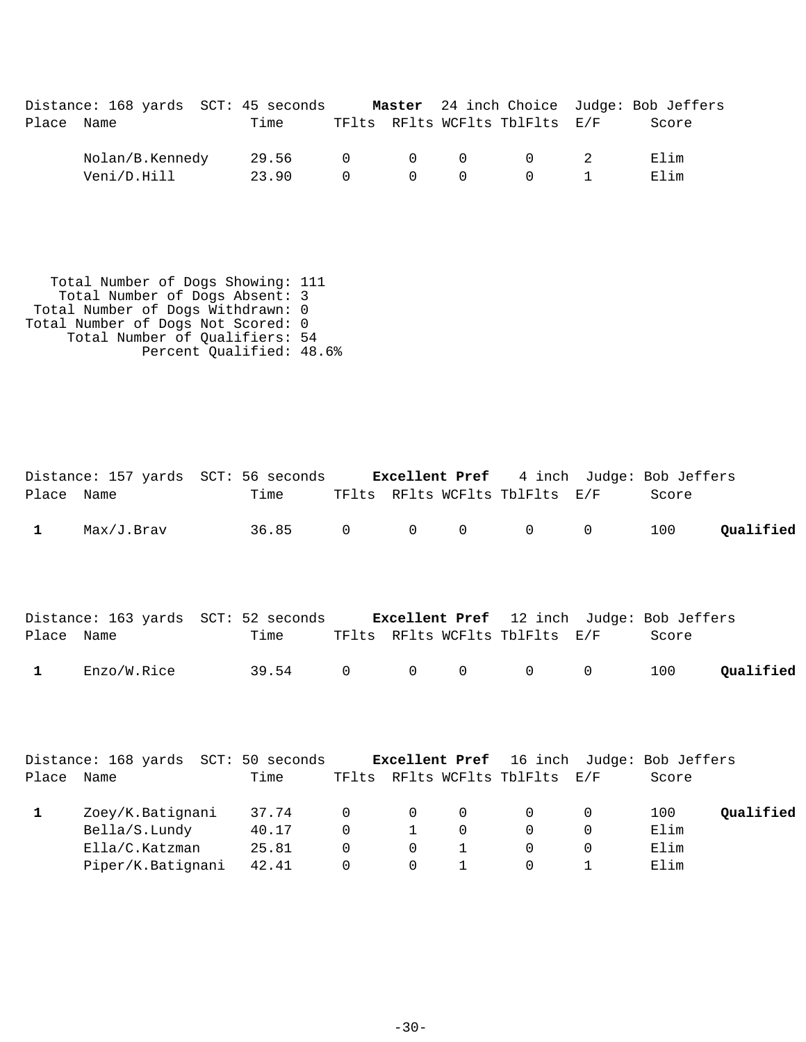|            | Distance: 168 yards SCT: 45 seconds |       |          |                                     |                                             | Master 24 inch Choice Judge: Bob Jeffers |
|------------|-------------------------------------|-------|----------|-------------------------------------|---------------------------------------------|------------------------------------------|
| Place Name |                                     | Time  |          |                                     | TFlts RFlts WCFlts TblFlts E/F              | Score                                    |
|            | Nolan/B.Kennedy                     | 29.56 | $\Omega$ |                                     | $\begin{matrix} 0 & 0 & 0 & 2 \end{matrix}$ | Elim                                     |
|            | Veni/D.Hill                         | 23.90 | $\Omega$ | $\begin{matrix} 0 & 0 \end{matrix}$ |                                             | Elim                                     |

 Total Number of Dogs Showing: 111 Total Number of Dogs Absent: 3 Total Number of Dogs Withdrawn: 0 Total Number of Dogs Not Scored: 0 Total Number of Qualifiers: 54 Percent Qualified: 48.6%

|            | Distance: 157 yards SCT: 56 seconds <b>Excellent Pref</b> 4 inch Judge: Bob Jeffers |       |                |                |              |                                |   |       |           |
|------------|-------------------------------------------------------------------------------------|-------|----------------|----------------|--------------|--------------------------------|---|-------|-----------|
| Place Name |                                                                                     | Time  |                |                |              | TFlts RFlts WCFlts TblFlts E/F |   | Score |           |
| 1          | Max/J.Brav                                                                          | 36.85 | $\overline{0}$ | $\overline{0}$ | 0            | $\mathsf{O}$                   | 0 | 100   | Qualified |
| Place Name | Distance: 163 yards SCT: 52 seconds Excellent Pref 12 inch Judge: Bob Jeffers       | Time  |                |                |              | TFlts RFlts WCFlts TblFlts E/F |   | Score |           |
| 1          | Enzo/W.Rice                                                                         | 39.54 | $\overline{0}$ | $\overline{0}$ | $\mathsf{O}$ | $\mathsf{O}$                   | 0 | 100   | Qualified |
|            |                                                                                     |       |                |                |              |                                |   |       |           |

|       | Distance: 168 yards SCT: 50 seconds |       |          |                |          |                          | <b>Excellent Pref</b> 16 inch Judge: Bob Jeffers |           |
|-------|-------------------------------------|-------|----------|----------------|----------|--------------------------|--------------------------------------------------|-----------|
| Place | Name                                | Time  | TFlts    |                |          | RFlts WCFlts TblFlts E/F | Score                                            |           |
|       | Zoey/K.Batignani                    | 37.74 | $\Omega$ | $\overline{0}$ | $\Omega$ | $\Omega$                 | 100                                              | Qualified |
|       | Bella/S.Lundy                       | 40.17 | $\Omega$ |                | $\Omega$ | $\Omega$                 | Elim                                             |           |
|       | Ella/C.Katzman                      | 25.81 | $\Omega$ | $\Omega$       |          |                          | Elim                                             |           |
|       | Piper/K.Batignani                   | 42.41 | $\Omega$ | $\Omega$       |          | $\Omega$                 | Elim                                             |           |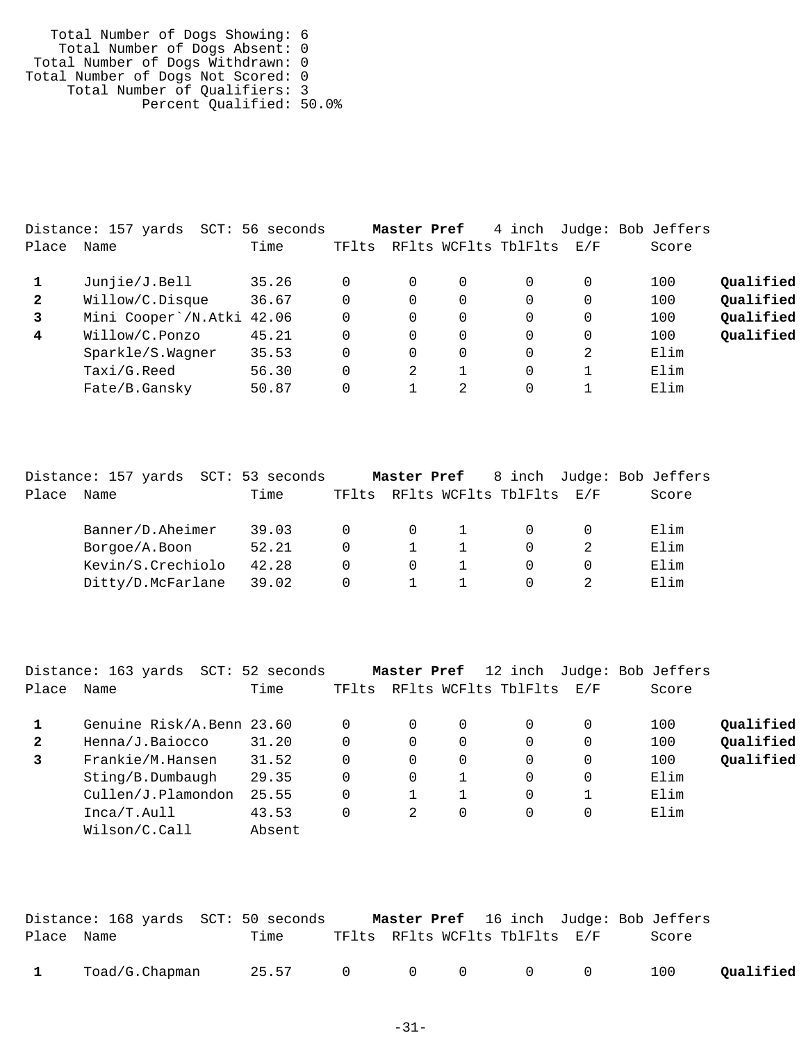Total Number of Dogs Showing: 6 Total Number of Dogs Absent: 0 Total Number of Dogs Withdrawn: 0 Total Number of Dogs Not Scored: 0 Total Number of Qualifiers: 3 Percent Qualified: 50.0%

|              | Distance: 157 yards<br>SCT: | 56 seconds |       | Master Pref |                | 4 inch               |     | Judge: Bob Jeffers |           |
|--------------|-----------------------------|------------|-------|-------------|----------------|----------------------|-----|--------------------|-----------|
| Place        | Name                        | Time       | TFlts |             |                | RFlts WCFlts TblFlts | E/F | Score              |           |
|              | Junjie/J.Bell               | 35.26      | 0     | 0           | $\Omega$       |                      |     | 100                | Qualified |
| $\mathbf{2}$ | Willow/C.Disque             | 36.67      | 0     | 0           | 0              |                      |     | 100                | Qualified |
| 3            | Mini Cooper`/N.Atki 42.06   |            | 0     | 0           | $\Omega$       |                      |     | 100                | Qualified |
| 4            | Willow/C.Ponzo              | 45.21      | 0     | 0           | $\Omega$       |                      |     | 100                | Qualified |
|              | Sparkle/S.Wagner            | 35.53      | 0     | 0           | $\Omega$       |                      | 2   | Elim               |           |
|              | Taxi/G.Reed                 | 56.30      | 0     | 2           |                |                      |     | Elim               |           |
|              | Fate/B.Gansky               | 50.87      | 0     |             | $\mathfrak{D}$ |                      |     | Elim               |           |

|       | Distance: 157 yards SCT: 53 seconds |       |              | Master Pref    |                      |             | 8 inch Judge: Bob Jeffers |
|-------|-------------------------------------|-------|--------------|----------------|----------------------|-------------|---------------------------|
| Place | Name                                | Time  | TFlts        |                | RFlts WCFlts TblFlts | <b>E</b> /F | Score                     |
|       |                                     |       |              |                |                      |             |                           |
|       | Banner/D.Aheimer                    | 39.03 |              | $\overline{0}$ | $\Omega$             |             | Elim                      |
|       | Borgoe/A.Boon                       | 52.21 | $\Omega$     |                |                      |             | Elim                      |
|       | Kevin/S.Crechiolo                   | 42.28 | <sup>n</sup> | $\Omega$       |                      |             | Elim                      |
|       | Ditty/D.McFarlane                   | 39.02 | $\Omega$     |                | 0                    |             | Elim                      |

|              | Distance: 163 yards SCT: 52 seconds |        |          | Master Pref |   | 12 inch                  | Judge: Bob Jeffers |           |
|--------------|-------------------------------------|--------|----------|-------------|---|--------------------------|--------------------|-----------|
| Place        | Name                                | Time   | TFlts    |             |   | RFlts WCFlts TblFlts E/F | Score              |           |
|              | Genuine Risk/A.Benn 23.60           |        |          |             | 0 | 0                        | 100                | Qualified |
| $\mathbf{2}$ | Henna/J.Baiocco                     | 31.20  | $\Omega$ | 0           | 0 | 0                        | 100                | Qualified |
| 3            | Frankie/M.Hansen                    | 31.52  |          |             | 0 | 0                        | 100                | Qualified |
|              | Sting/B.Dumbaugh                    | 29.35  | $\Omega$ |             |   | 0                        | Elim               |           |
|              | Cullen/J.Plamondon                  | 25.55  | 0        |             |   | 0                        | Elim               |           |
|              | Inca/T.Aull                         | 43.53  |          | 2           | 0 | 0                        | Elim               |           |
|              | Wilson/C.Call                       | Absent |          |             |   |                          |                    |           |

|              |                | Distance: 168 yards SCT: 50 seconds |  |                                |  | <b>Master Pref</b> 16 inch Judge: Bob Jeffers |           |
|--------------|----------------|-------------------------------------|--|--------------------------------|--|-----------------------------------------------|-----------|
| Place Name   |                | Time                                |  | TFlts RFlts WCFlts TblFlts E/F |  | Score                                         |           |
| $\mathbf{1}$ | Toad/G.Chapman | 25.57 0 0 0 0 0                     |  |                                |  | 100                                           | Qualified |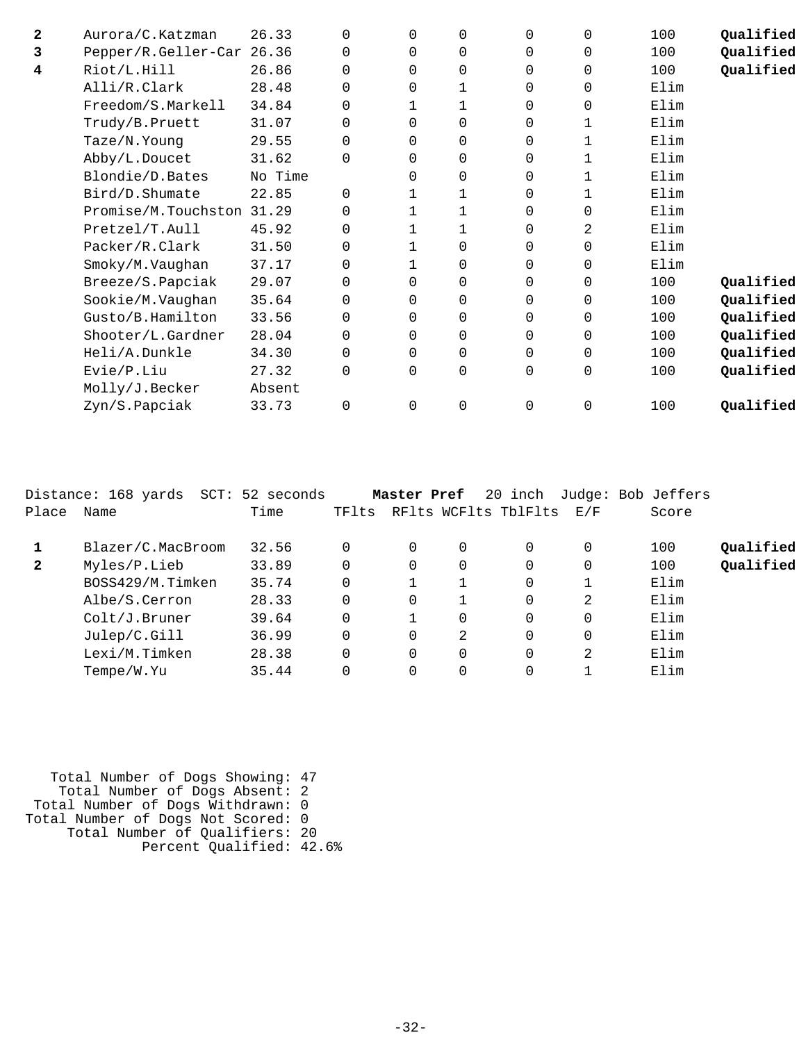| 2 | Aurora/C.Katzman          | 26.33   | 0        | $\Omega$ | $\Omega$    | $\Omega$ | 0            | 100  | Qualified |
|---|---------------------------|---------|----------|----------|-------------|----------|--------------|------|-----------|
| 3 | Pepper/R.Geller-Car 26.36 |         | 0        | 0        | 0           | 0        | 0            | 100  | Qualified |
| 4 | Riot/L.Hill               | 26.86   | 0        | $\Omega$ | $\Omega$    | 0        | $\Omega$     | 100  | Qualified |
|   | Alli/R.Clark              | 28.48   | 0        | $\Omega$ | 1           | 0        | $\mathbf 0$  | Elim |           |
|   | Freedom/S.Markell         | 34.84   | 0        | 1        | 1           | 0        | $\mathbf 0$  | Elim |           |
|   | Trudy/B.Pruett            | 31.07   | 0        | $\Omega$ | $\Omega$    | 0        | 1            | Elim |           |
|   | Taze/N.Young              | 29.55   | 0        | 0        | $\Omega$    | 0        | 1            | Elim |           |
|   | Abby/L.Doucet             | 31.62   | 0        | 0        | 0           | 0        | 1            | Elim |           |
|   | Blondie/D.Bates           | No Time |          | $\Omega$ | 0           | 0        | $\mathbf{1}$ | Elim |           |
|   | Bird/D.Shumate            | 22.85   | 0        | 1        | 1           | 0        | 1            | Elim |           |
|   | Promise/M.Touchston       | 31.29   | 0        |          |             | 0        | $\Omega$     | Elim |           |
|   | Pretzel/T.Aull            | 45.92   | 0        |          |             | 0        | 2            | Elim |           |
|   | Packer/R.Clark            | 31.50   | 0        | 1        | 0           | 0        | $\mathbf 0$  | Elim |           |
|   | Smoky/M.Vaughan           | 37.17   | $\Omega$ | 1        | $\Omega$    | 0        | $\Omega$     | Elim |           |
|   | Breeze/S.Papciak          | 29.07   | 0        | $\Omega$ | 0           | 0        | $\mathbf 0$  | 100  | Qualified |
|   | Sookie/M.Vaughan          | 35.64   | 0        | 0        | 0           | 0        | 0            | 100  | Qualified |
|   | Gusto/B.Hamilton          | 33.56   | $\Omega$ | $\Omega$ | $\Omega$    | 0        | $\Omega$     | 100  | Qualified |
|   | Shooter/L.Gardner         | 28.04   | 0        | $\Omega$ | $\Omega$    | 0        | $\mathbf 0$  | 100  | Qualified |
|   | Heli/A.Dunkle             | 34.30   | 0        | $\Omega$ | 0           | 0        | 0            | 100  | Qualified |
|   | Evie/P.Liu                | 27.32   | $\Omega$ | $\Omega$ | 0           | 0        | $\Omega$     | 100  | Qualified |
|   | Molly/J.Becker            | Absent  |          |          |             |          |              |      |           |
|   | Zyn/S.Papciak             | 33.73   | 0        | $\Omega$ | $\mathbf 0$ | 0        | $\Omega$     | 100  | Qualified |
|   |                           |         |          |          |             |          |              |      |           |

|              | Distance: 168 yards SCT: | 52 seconds |          | Master Pref |   | 20 inch              |     | Judge: Bob Jeffers |           |
|--------------|--------------------------|------------|----------|-------------|---|----------------------|-----|--------------------|-----------|
| Place        | Name                     | Time       | TFlts    |             |   | RFlts WCFlts TblFlts | E/F | Score              |           |
|              | Blazer/C.MacBroom        | 32.56      | 0        | $\Omega$    | 0 | $\Omega$             | 0   | 100                | Qualified |
| $\mathbf{2}$ | Myles/P.Lieb             | 33.89      | 0        | $\Omega$    | 0 | 0                    | 0   | 100                | Qualified |
|              | BOSS429/M.Timken         | 35.74      | 0        |             |   | 0                    |     | Elim               |           |
|              | Albe/S.Cerron            | 28.33      | 0        | $\Omega$    |   | 0                    | 2   | Elim               |           |
|              | Colt/J.Bruner            | 39.64      | $\Omega$ |             | 0 | 0                    | 0   | Elim               |           |
|              | Julep/C.Gill             | 36.99      | 0        | 0           | 2 | 0                    | 0   | Elim               |           |
|              | Lexi/M.Timken            | 28.38      | 0        | $\Omega$    | 0 | 0                    | 2   | Elim               |           |
|              | Tempe/W.Yu               | 35.44      |          | 0           | 0 |                      |     | Elim               |           |
|              |                          |            |          |             |   |                      |     |                    |           |

 Total Number of Dogs Showing: 47 Total Number of Dogs Absent: 2 Total Number of Dogs Withdrawn: 0 Total Number of Dogs Not Scored: 0 Total Number of Qualifiers: 20 Percent Qualified: 42.6%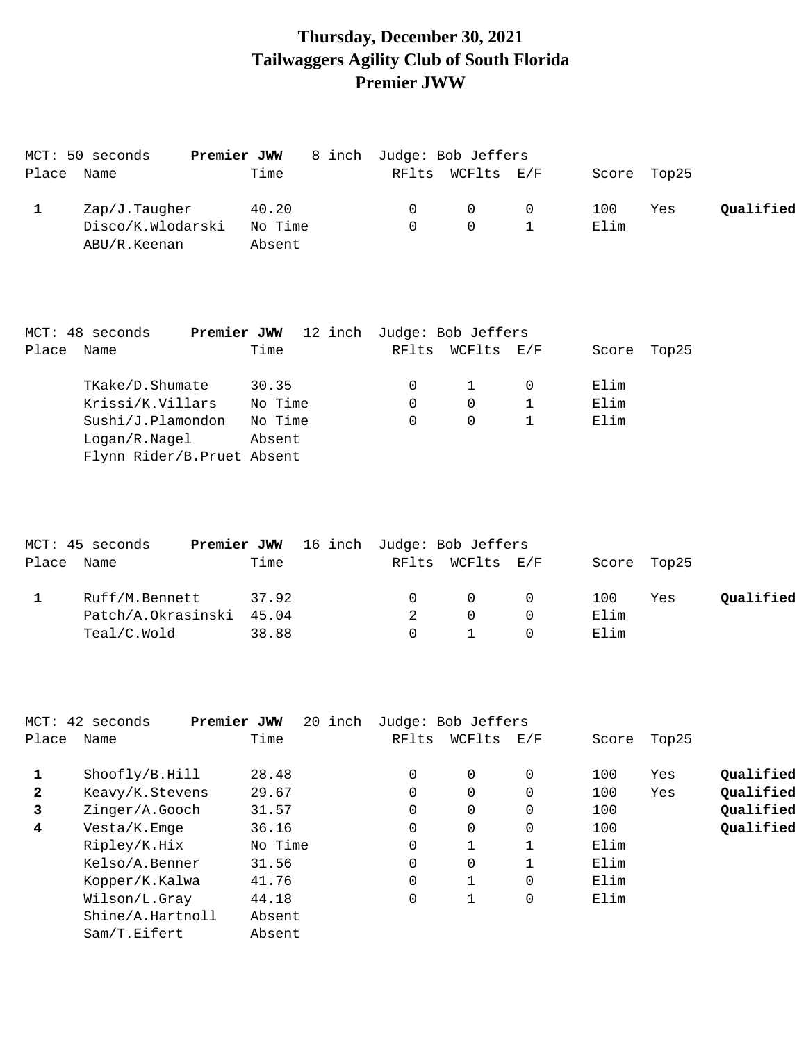# **Thursday, December 30, 2021 Tailwaggers Agility Club of South Florida Premier JWW**

|       | MCT: 50 seconds   | Premier JWW | 8 inch Judge: Bob Jeffers |                  |             |     |           |
|-------|-------------------|-------------|---------------------------|------------------|-------------|-----|-----------|
| Place | Name              | Time        |                           | RFlts WCFlts E/F | Score Top25 |     |           |
|       | Zap/J.Taugher     | 40.20       | $^{\circ}$                | $\Omega$         | 100         | Yes | Oualified |
|       | Disco/K.Wlodarski | No Time     |                           | $\Omega$         | Elim        |     |           |
|       | ABU/R.Keenan      | Absent      |                           |                  |             |     |           |

|       | MCT: 48 seconds            | Premier JWW |         | 12 inch Judge: Bob Jeffers |            |       |       |
|-------|----------------------------|-------------|---------|----------------------------|------------|-------|-------|
| Place | Name                       |             | Time    | RFlts                      | WCFlts E/F | Score | Top25 |
|       | TKake/D.Shumate            |             | 30.35   |                            |            | Elim  |       |
|       | Krissi/K.Villars           |             | No Time | 0                          | $\Omega$   | Elim  |       |
|       | Sushi/J.Plamondon          |             | No Time | 0                          | $\Omega$   | Elim  |       |
|       | Logan/R.Naqel              |             | Absent  |                            |            |       |       |
|       | Flynn Rider/B.Pruet Absent |             |         |                            |            |       |       |

|            | MCT: 45 seconds          | Premier JWW 16 inch Judge: Bob Jeffers |          |                  |                                     |             |     |           |
|------------|--------------------------|----------------------------------------|----------|------------------|-------------------------------------|-------------|-----|-----------|
| Place Name |                          | Time                                   |          | RFlts WCFlts E/F |                                     | Score Top25 |     |           |
|            | Ruff/M.Bennett           | 37.92                                  | $\Omega$ |                  | $\begin{matrix} 0 & 0 \end{matrix}$ | 100         | Yes | Qualified |
|            | Patch/A.Okrasinski 45.04 |                                        |          | $\cap$           |                                     | Elim        |     |           |
|            | Teal/C.Wold              | 38.88                                  |          |                  |                                     | Elim        |     |           |

| $MCT$ :      | Premier JWW<br>42 seconds | 20 inch |       | Judge: Bob Jeffers |          |       |       |           |
|--------------|---------------------------|---------|-------|--------------------|----------|-------|-------|-----------|
| Place        | Name                      | Time    | RFlts | WCFlts             | E/F      | Score | Top25 |           |
| 1            | Shoofly/B.Hill            | 28.48   | 0     | $\Omega$           | $\Omega$ | 100   | Yes   | Oualified |
| $\mathbf{2}$ | Keavy/K.Stevens           | 29.67   | 0     | $\Omega$           | $\Omega$ | 100   | Yes   | Qualified |
| 3            | Zinger/A.Gooch            | 31.57   | 0     | $\Omega$           | $\Omega$ | 100   |       | Qualified |
| 4            | Vesta/K.Emge              | 36.16   | 0     | $\Omega$           | $\Omega$ | 100   |       | Qualified |
|              | Ripley/K.Hix              | No Time | 0     |                    |          | Elim  |       |           |
|              | Kelso/A.Benner            | 31.56   | 0     | $\Omega$           |          | Elim  |       |           |
|              | Kopper/K.Kalwa            | 41.76   | 0     |                    | 0        | Elim  |       |           |
|              | Wilson/L.Gray             | 44.18   | 0     |                    | 0        | Elim  |       |           |
|              | Shine/A.Hartnoll          | Absent  |       |                    |          |       |       |           |
|              | Sam/T.Eifert              | Absent  |       |                    |          |       |       |           |
|              |                           |         |       |                    |          |       |       |           |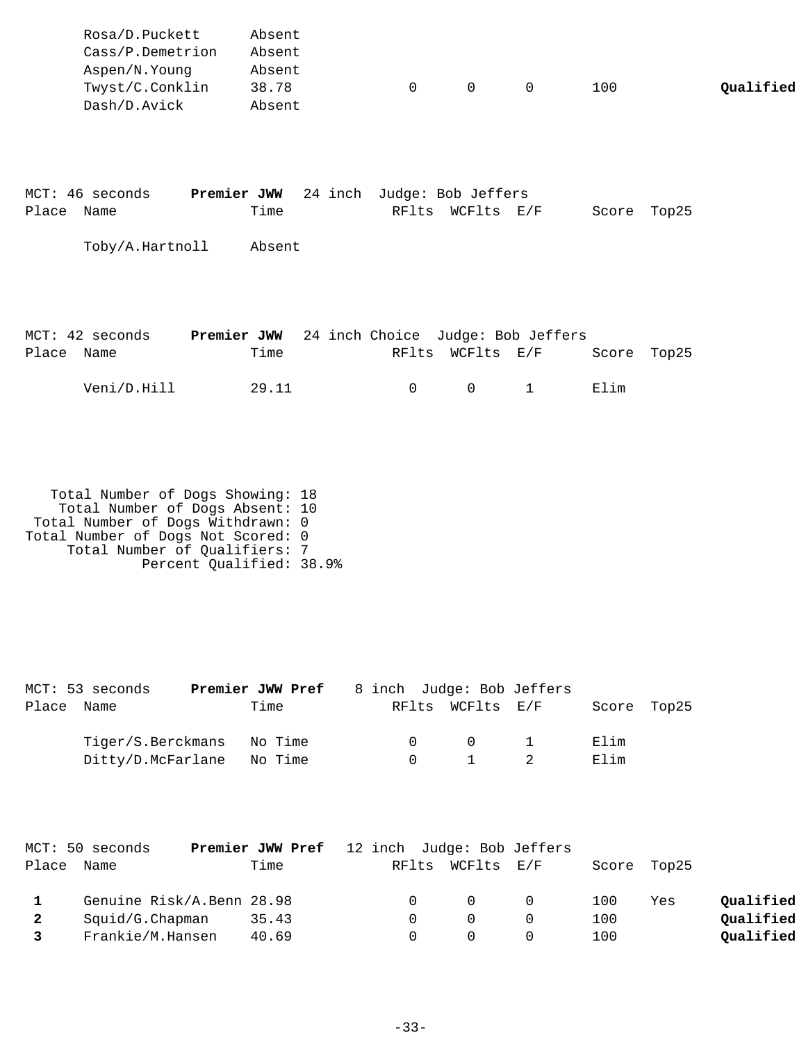| Rosa/D.Puckett   | Absent |            |     |           |
|------------------|--------|------------|-----|-----------|
| Cass/P.Demetrion | Absent |            |     |           |
| Aspen/N.Young    | Absent |            |     |           |
| Twyst/C.Conklin  | 38.78  | $^{\circ}$ | 100 | Qualified |
| Dash/D.Avick     | Absent |            |     |           |

| MCT: 46 seconds |      | <b>Premier JWW</b> 24 inch Judge: Bob Jeffers |             |
|-----------------|------|-----------------------------------------------|-------------|
| Place Name      | Time | RFlts WCFlts E/F                              | Score Top25 |

Toby/A.Hartnoll Absent

|            | MCT: 42 seconds | <b>Premier JWW</b> 24 inch Choice Judge: Bob Jeffers |  |                                                                                                                                                                                                                                                                                                                                                                                                                                                                                  |                  |             |  |
|------------|-----------------|------------------------------------------------------|--|----------------------------------------------------------------------------------------------------------------------------------------------------------------------------------------------------------------------------------------------------------------------------------------------------------------------------------------------------------------------------------------------------------------------------------------------------------------------------------|------------------|-------------|--|
| Place Name |                 | Time                                                 |  |                                                                                                                                                                                                                                                                                                                                                                                                                                                                                  | RFlts WCFlts E/F | Score Top25 |  |
|            | Veni/D.Hill     | 29.11                                                |  | $\begin{array}{ccc} & & & \text{if} & \\ & & \text{if} & \\ & & & \text{if} & \\ & & & \text{if} & \\ & & & & \text{if} & \\ & & & & \text{if} & \\ & & & & & \text{if} & \\ & & & & & \text{if} & \\ & & & & & \text{if} & \\ & & & & & \text{if} & \\ & & & & & \text{if} & \\ & & & & & & \text{if} & \\ & & & & & & \text{if} & \\ & & & & & & \text{if} & \\ & & & & & & & \text{if} & \\ & & & & & & & \text{if} & \\ & & & & & & & \text{if} & \\ & & & & & & & \text{if$ |                  | Elim        |  |

 Total Number of Dogs Showing: 18 Total Number of Dogs Absent: 10 Total Number of Dogs Withdrawn: 0 Total Number of Dogs Not Scored: 0 Total Number of Qualifiers: 7 Percent Qualified: 38.9%

|            | MCT: 53 seconds           | <b>Premier JWW Pref</b> 8 inch Judge: Bob Jeffers |        |                  |                               |             |  |
|------------|---------------------------|---------------------------------------------------|--------|------------------|-------------------------------|-------------|--|
| Place Name |                           | Time                                              |        | RFlts WCFlts E/F |                               | Score Top25 |  |
|            | Tiger/S.Berckmans No Time |                                                   | $\cap$ | $\cap$           | $\mathbf{I}$ and $\mathbf{I}$ | Elim        |  |
|            | Ditty/D.McFarlane No Time |                                                   |        |                  |                               | Elim        |  |

|              | MCT: 50 seconds           | <b>Premier JWW Pref</b> 12 inch Judge: Bob Jeffers |          |                  |     |             |           |
|--------------|---------------------------|----------------------------------------------------|----------|------------------|-----|-------------|-----------|
| Place Name   |                           | Time                                               |          | RFlts WCFlts E/F |     | Score Top25 |           |
|              | Genuine Risk/A.Benn 28.98 |                                                    | $\Omega$ | $\Omega$         | 100 | Yes         | Qualified |
| $\mathbf{2}$ | Squid/G.Chapman           | 35.43                                              | $\cap$   | $\cap$           | 100 |             | Qualified |
|              | Frankie/M.Hansen          | 40.69                                              |          | $\Omega$         | 100 |             | Qualified |